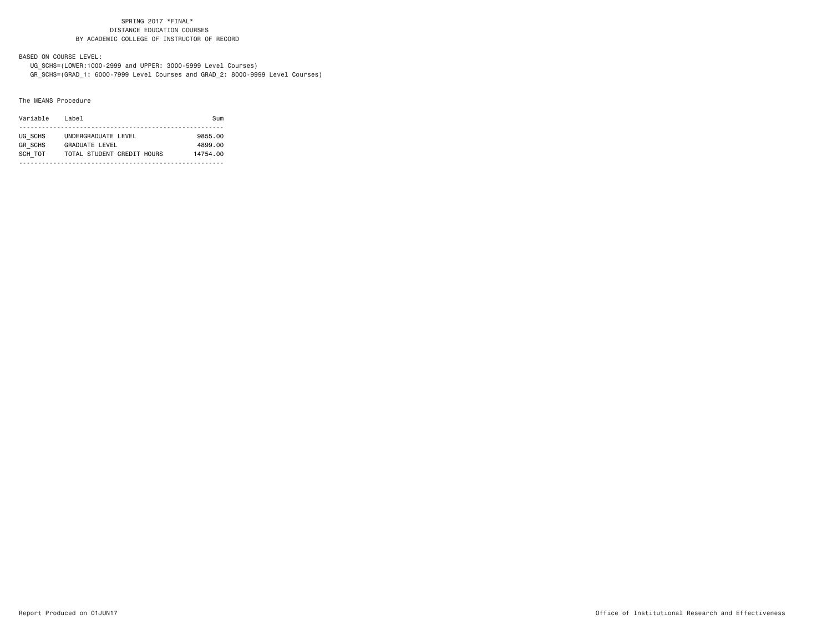BASED ON COURSE LEVEL:

 UG\_SCHS=(LOWER:1000-2999 and UPPER: 3000-5999 Level Courses) GR\_SCHS=(GRAD\_1: 6000-7999 Level Courses and GRAD\_2: 8000-9999 Level Courses)

#### The MEANS Procedure

| Variable       | l ahel                     | Sum      |
|----------------|----------------------------|----------|
|                |                            |          |
| UG SCHS        | UNDERGRADUATE LEVEL        | 9855.00  |
| <b>GR SCHS</b> | GRADUATE LEVEL             | 4899.00  |
| SCH TOT        | TOTAL STUDENT CREDIT HOURS | 14754.00 |
|                |                            |          |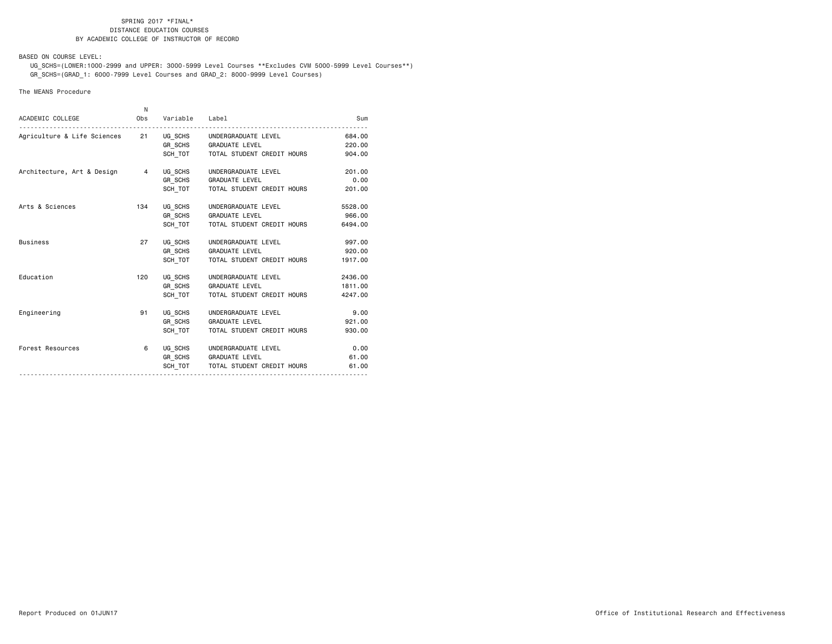BASED ON COURSE LEVEL:

 UG\_SCHS=(LOWER:1000-2999 and UPPER: 3000-5999 Level Courses \*\*Excludes CVM 5000-5999 Level Courses\*\*) GR\_SCHS=(GRAD\_1: 6000-7999 Level Courses and GRAD\_2: 8000-9999 Level Courses)

#### The MEANS Procedure

| Variable Label<br>ACADEMIC COLLEGE<br>Obs                      | Sum     |
|----------------------------------------------------------------|---------|
| Agriculture & Life Sciences 21 UG_SCHS UNDERGRADUATE LEVEL     | 684,00  |
| GR SCHS GRADUATE LEVEL                                         | 220,00  |
| SCH TOT   TOTAL STUDENT CREDIT HOURS                           | 904.00  |
| UG SCHS<br>Architecture, Art & Design 4<br>UNDERGRADUATE LEVEL | 201.00  |
| GR SCHS GRADUATE LEVEL                                         | 0.00    |
| SCH TOT<br>TOTAL STUDENT CREDIT HOURS                          | 201.00  |
| Arts & Sciences<br>134<br>UG SCHS<br>UNDERGRADUATE LEVEL       | 5528.00 |
| GR SCHS GRADUATE LEVEL                                         | 966.00  |
| SCH TOT<br>TOTAL STUDENT CREDIT HOURS                          | 6494.00 |
| <b>Business</b><br>UG SCHS UNDERGRADUATE LEVEL<br>27           | 997.00  |
| GR_SCHS GRADUATE LEVEL                                         | 920,00  |
| SCH TOT<br>TOTAL STUDENT CREDIT HOURS                          | 1917.00 |
| Education<br>120<br>UG SCHS<br>UNDERGRADUATE LEVEL             | 2436.00 |
| GR_SCHS GRADUATE LEVEL                                         | 1811.00 |
| SCH TOT<br>TOTAL STUDENT CREDIT HOURS                          | 4247.00 |
| Engineering<br>91<br>UG SCHS<br>UNDERGRADUATE LEVEL            | 9.00    |
| GR SCHS GRADUATE LEVEL                                         | 921.00  |
| SCH TOT<br>TOTAL STUDENT CREDIT HOURS                          | 930.00  |
| Forest Resources<br>6<br>UG_SCHS UNDERGRADUATE LEVEL           | 0.00    |
| GR SCHS GRADUATE LEVEL                                         | 61.00   |
| SCH TOT   TOTAL STUDENT CREDIT HOURS                           | 61.00   |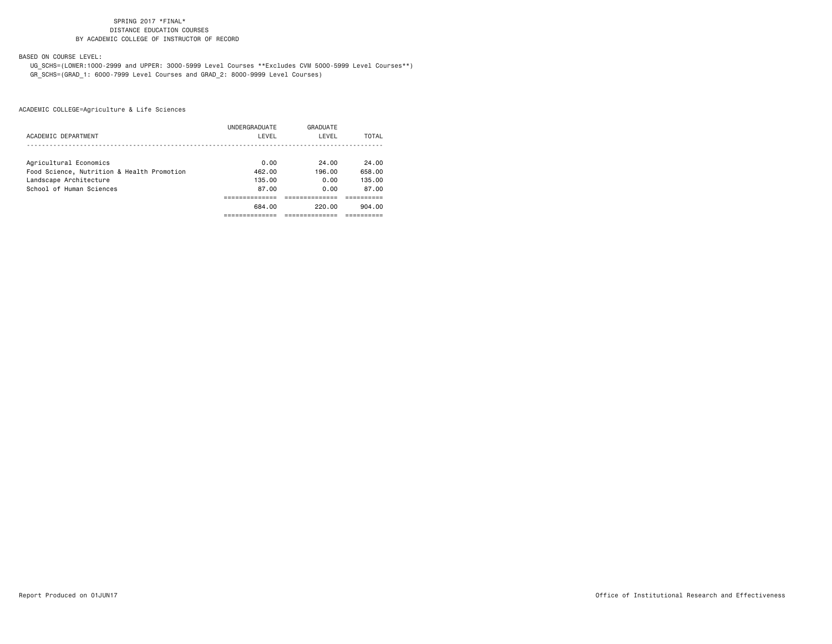BASED ON COURSE LEVEL:

 UG\_SCHS=(LOWER:1000-2999 and UPPER: 3000-5999 Level Courses \*\*Excludes CVM 5000-5999 Level Courses\*\*) GR\_SCHS=(GRAD\_1: 6000-7999 Level Courses and GRAD\_2: 8000-9999 Level Courses)

|                                            | UNDERGRADUATE | GRADUATE |        |
|--------------------------------------------|---------------|----------|--------|
| ACADEMIC DEPARTMENT                        | LEVEL         | LEVEL    | TOTAL  |
|                                            |               |          |        |
| Agricultural Economics                     | 0.00          | 24.00    | 24.00  |
| Food Science, Nutrition & Health Promotion | 462.00        | 196.00   | 658.00 |
| Landscape Architecture                     | 135.00        | 0.00     | 135.00 |
| School of Human Sciences                   | 87.00         | 0.00     | 87.00  |
|                                            |               |          |        |
|                                            | 684.00        | 220.00   | 904.00 |
|                                            |               |          |        |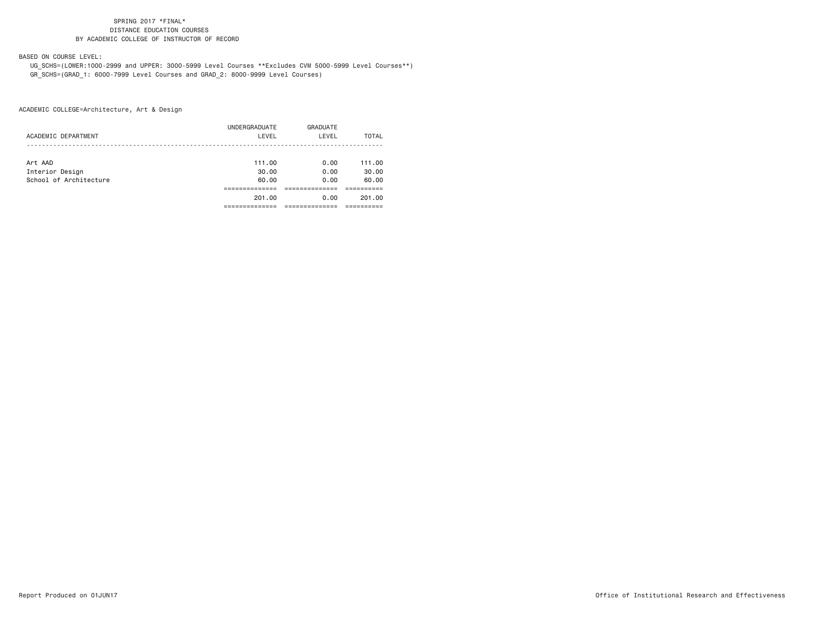### BASED ON COURSE LEVEL:

 UG\_SCHS=(LOWER:1000-2999 and UPPER: 3000-5999 Level Courses \*\*Excludes CVM 5000-5999 Level Courses\*\*) GR\_SCHS=(GRAD\_1: 6000-7999 Level Courses and GRAD\_2: 8000-9999 Level Courses)

| ACADEMIC DEPARTMENT    | UNDERGRADUATE<br>LEVEL | GRADUATE<br>LEVEL | TOTAL  |
|------------------------|------------------------|-------------------|--------|
| Art AAD                | 111.00                 | 0.00              | 111.00 |
| Interior Design        | 30.00                  | 0.00              | 30.00  |
| School of Architecture | 60.00                  | 0.00              | 60.00  |
|                        |                        |                   |        |
|                        | 201.00                 | 0.00              | 201.00 |
|                        |                        |                   |        |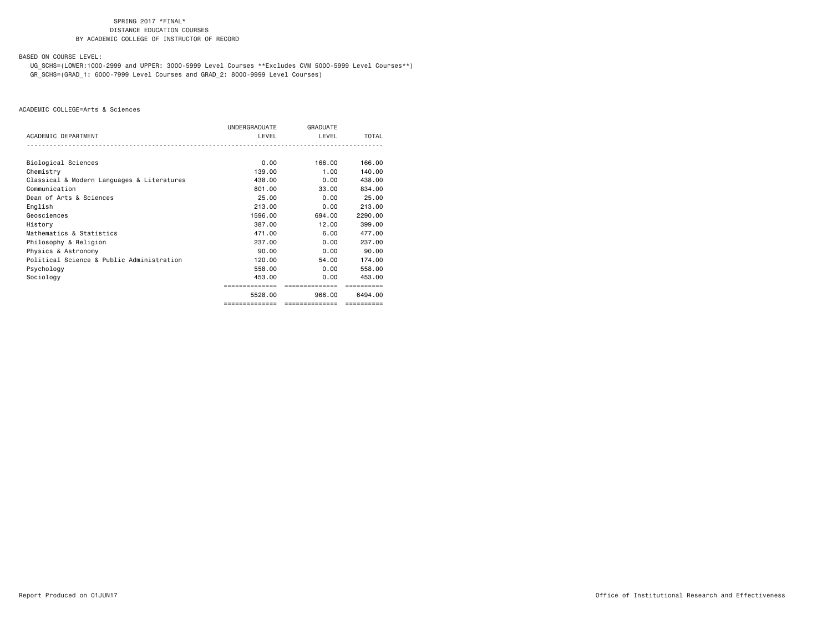BASED ON COURSE LEVEL:

 UG\_SCHS=(LOWER:1000-2999 and UPPER: 3000-5999 Level Courses \*\*Excludes CVM 5000-5999 Level Courses\*\*) GR\_SCHS=(GRAD\_1: 6000-7999 Level Courses and GRAD\_2: 8000-9999 Level Courses)

|                                            | UNDERGRADUATE  | <b>GRADUATE</b> |              |
|--------------------------------------------|----------------|-----------------|--------------|
| ACADEMIC DEPARTMENT                        | LEVEL          | LEVEL           | <b>TOTAL</b> |
| Biological Sciences                        | 0.00           | 166.00          | 166,00       |
| Chemistry                                  | 139,00         | 1.00            | 140.00       |
| Classical & Modern Languages & Literatures | 438,00         | 0.00            | 438,00       |
| Communication                              | 801.00         | 33,00           | 834.00       |
| Dean of Arts & Sciences                    | 25.00          | 0.00            | 25.00        |
| English                                    | 213,00         | 0.00            | 213,00       |
| Geosciences                                | 1596.00        | 694.00          | 2290.00      |
| History                                    | 387.00         | 12.00           | 399,00       |
| Mathematics & Statistics                   | 471.00         | 6.00            | 477.00       |
| Philosophy & Religion                      | 237,00         | 0.00            | 237,00       |
| Physics & Astronomy                        | 90.00          | 0.00            | 90.00        |
| Political Science & Public Administration  | 120.00         | 54.00           | 174.00       |
| Psychology                                 | 558,00         | 0.00            | 558,00       |
| Sociology                                  | 453,00         | 0.00            | 453,00       |
|                                            | ============== | ==============  | ==========   |
|                                            | 5528.00        | 966,00          | 6494.00      |
|                                            | ============== | ==============  | ==========   |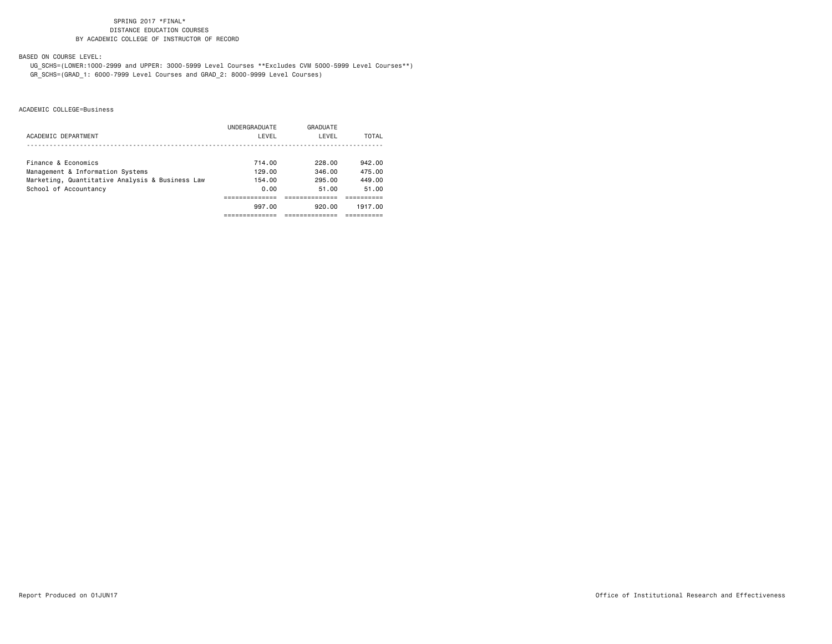BASED ON COURSE LEVEL:

 UG\_SCHS=(LOWER:1000-2999 and UPPER: 3000-5999 Level Courses \*\*Excludes CVM 5000-5999 Level Courses\*\*) GR\_SCHS=(GRAD\_1: 6000-7999 Level Courses and GRAD\_2: 8000-9999 Level Courses)

|                                                 | UNDERGRADUATE | GRADUATE |         |
|-------------------------------------------------|---------------|----------|---------|
| ACADEMIC DEPARTMENT                             | LEVEL         | LEVEL    | TOTAL   |
|                                                 |               |          |         |
| Finance & Economics                             | 714.00        | 228.00   | 942.00  |
| Management & Information Systems                | 129.00        | 346.00   | 475.00  |
| Marketing, Quantitative Analysis & Business Law | 154.00        | 295.00   | 449.00  |
| School of Accountancy                           | 0.00          | 51.00    | 51.00   |
|                                                 |               |          |         |
|                                                 | 997.00        | 920.00   | 1917.00 |
|                                                 |               |          |         |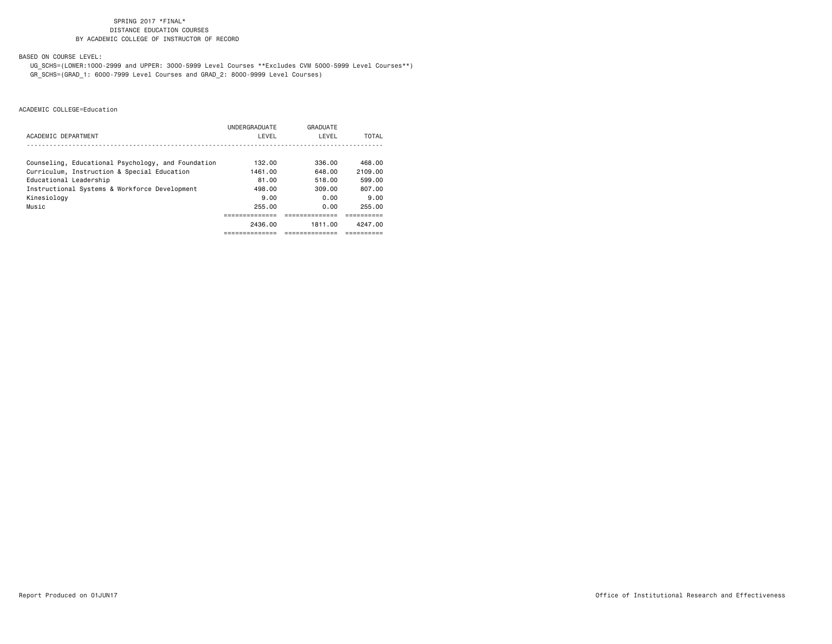BASED ON COURSE LEVEL:

 UG\_SCHS=(LOWER:1000-2999 and UPPER: 3000-5999 Level Courses \*\*Excludes CVM 5000-5999 Level Courses\*\*) GR\_SCHS=(GRAD\_1: 6000-7999 Level Courses and GRAD\_2: 8000-9999 Level Courses)

|                                                    | UNDERGRADUATE | GRADUATE |         |
|----------------------------------------------------|---------------|----------|---------|
| ACADEMIC DEPARTMENT                                | LEVEL         | LEVEL    | TOTAL   |
|                                                    |               |          |         |
| Counseling, Educational Psychology, and Foundation | 132,00        | 336.00   | 468.00  |
| Curriculum, Instruction & Special Education        | 1461.00       | 648.00   | 2109.00 |
| Educational Leadership                             | 81.00         | 518.00   | 599.00  |
| Instructional Systems & Workforce Development      | 498.00        | 309.00   | 807.00  |
| Kinesiology                                        | 9.00          | 0.00     | 9.00    |
| Music                                              | 255.00        | 0.00     | 255.00  |
|                                                    |               |          |         |
|                                                    | 2436.00       | 1811.00  | 4247.00 |
|                                                    |               |          |         |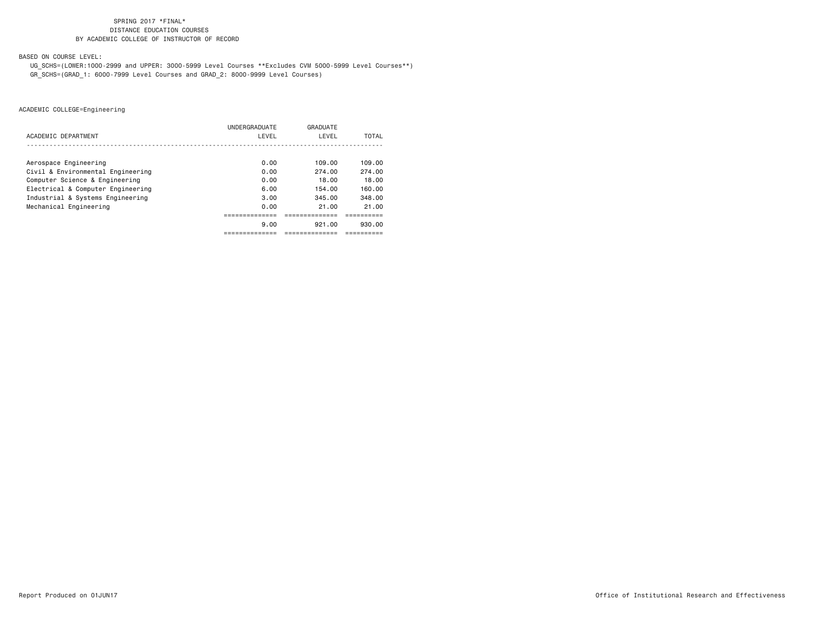BASED ON COURSE LEVEL:

 UG\_SCHS=(LOWER:1000-2999 and UPPER: 3000-5999 Level Courses \*\*Excludes CVM 5000-5999 Level Courses\*\*) GR\_SCHS=(GRAD\_1: 6000-7999 Level Courses and GRAD\_2: 8000-9999 Level Courses)

|                                   | UNDERGRADUATE | GRADUATE |        |
|-----------------------------------|---------------|----------|--------|
| ACADEMIC DEPARTMENT               | LEVEL         | LEVEL    | TOTAL  |
|                                   |               |          |        |
| Aerospace Engineering             | 0.00          | 109.00   | 109.00 |
| Civil & Environmental Engineering | 0.00          | 274.00   | 274.00 |
| Computer Science & Engineering    | 0.00          | 18.00    | 18.00  |
| Electrical & Computer Engineering | 6.00          | 154.00   | 160.00 |
| Industrial & Systems Engineering  | 3.00          | 345.00   | 348.00 |
| Mechanical Engineering            | 0.00          | 21.00    | 21.00  |
|                                   |               |          |        |
|                                   | 9.00          | 921.00   | 930.00 |
|                                   |               |          |        |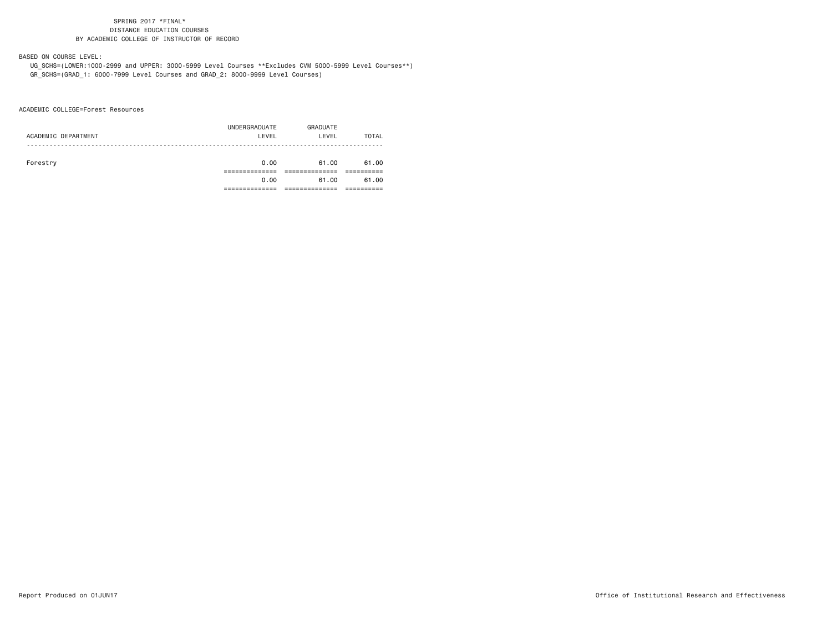BASED ON COURSE LEVEL:

 UG\_SCHS=(LOWER:1000-2999 and UPPER: 3000-5999 Level Courses \*\*Excludes CVM 5000-5999 Level Courses\*\*) GR\_SCHS=(GRAD\_1: 6000-7999 Level Courses and GRAD\_2: 8000-9999 Level Courses)

ACADEMIC COLLEGE=Forest Resources

| ACADEMIC DEPARTMENT | UNDERGRADUATE<br>LEVEL | GRADUATE<br>LEVEL | TOTAL |
|---------------------|------------------------|-------------------|-------|
| Forestry            | 0.00                   | 61.00             | 61.00 |
|                     | 0.00                   | 61.00             | 61.00 |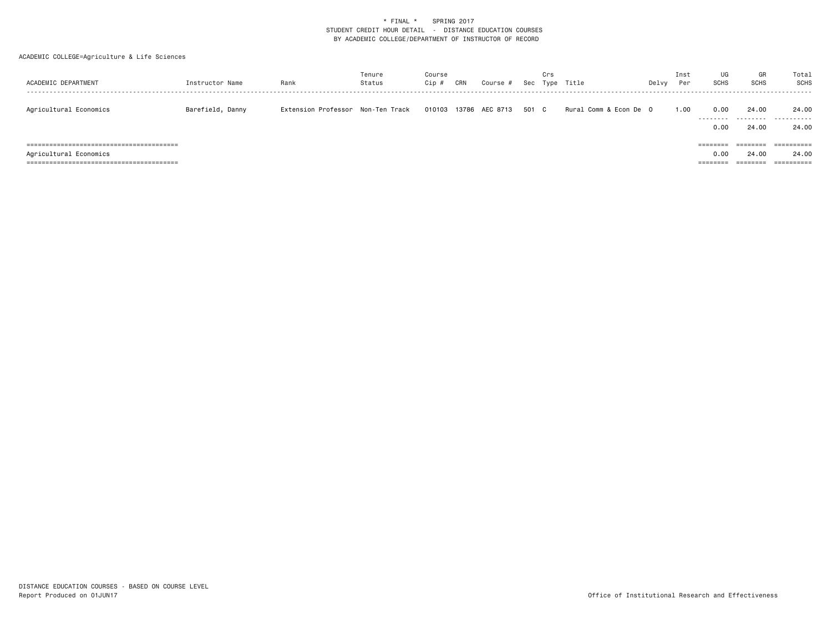| ACADEMIC DEPARTMENT    | Instructor Name  | Rank                              | Tenure<br>Status | Course<br>Cip # | CRN   | Course # |       | Crs | Sec Type Title         | Delvy | Inst<br>Per | UG<br><b>SCHS</b>            | GR<br><b>SCHS</b>             | Total<br><b>SCHS</b>              |
|------------------------|------------------|-----------------------------------|------------------|-----------------|-------|----------|-------|-----|------------------------|-------|-------------|------------------------------|-------------------------------|-----------------------------------|
| Agricultural Economics | Barefield, Danny | Extension Professor Non-Ten Track |                  | 010103          | 13786 | AEC 8713 | 501 C |     | Rural Comm & Econ De 0 |       | 1.00        | 0.00<br>.<br>0.00            | 24.00<br>.<br>24.00           | 24.00<br>.<br>24.00               |
| Agricultural Economics |                  |                                   |                  |                 |       |          |       |     |                        |       |             | ========<br>0.00<br>======== | ========<br>24,00<br>======== | ==========<br>24.00<br>========== |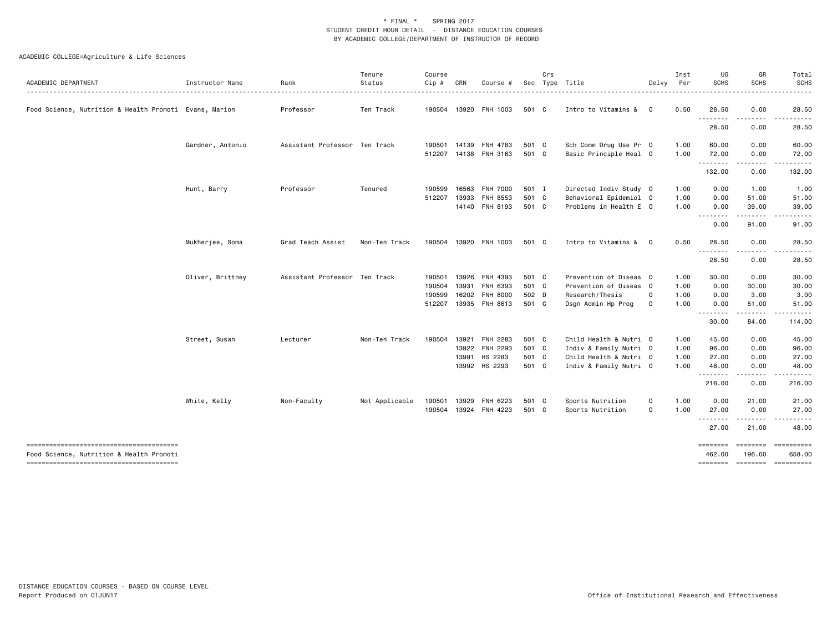| ACADEMIC DEPARTMENT                                    | Instructor Name  | Rank                          | Tenure<br>Status | Course<br>$Cip$ #                    | CRN                     | Course #                                                  |                                  | Crs | Sec Type Title                                                                                       | Delvy                      | Inst<br>Per                  | UG<br><b>SCHS</b>                                                                                                                                                                                                                                                                                                                                                                                                                                                                                                       | GR<br><b>SCHS</b>                                                                                                                                                                      | Total<br>SCHS                                        |
|--------------------------------------------------------|------------------|-------------------------------|------------------|--------------------------------------|-------------------------|-----------------------------------------------------------|----------------------------------|-----|------------------------------------------------------------------------------------------------------|----------------------------|------------------------------|-------------------------------------------------------------------------------------------------------------------------------------------------------------------------------------------------------------------------------------------------------------------------------------------------------------------------------------------------------------------------------------------------------------------------------------------------------------------------------------------------------------------------|----------------------------------------------------------------------------------------------------------------------------------------------------------------------------------------|------------------------------------------------------|
| Food Science, Nutrition & Health Promoti Evans, Marion |                  | Professor                     | Ten Track        | 190504                               |                         | 13920 FNH 1003                                            | 501 C                            |     | Intro to Vitamins &                                                                                  | $\mathbf 0$                | 0.50                         | 28.50                                                                                                                                                                                                                                                                                                                                                                                                                                                                                                                   | 0.00                                                                                                                                                                                   | 28.50                                                |
|                                                        |                  |                               |                  |                                      |                         |                                                           |                                  |     |                                                                                                      |                            |                              | . <b>.</b><br>28.50                                                                                                                                                                                                                                                                                                                                                                                                                                                                                                     | 0.00                                                                                                                                                                                   | 28.50                                                |
|                                                        | Gardner, Antonio | Assistant Professor Ten Track |                  | 190501<br>512207                     |                         | 14139 FNH 4783<br>14138 FNH 3163                          | 501 C<br>501 C                   |     | Sch Comm Drug Use Pr 0<br>Basic Principle Heal 0                                                     |                            | 1.00<br>1.00                 | 60.00<br>72.00                                                                                                                                                                                                                                                                                                                                                                                                                                                                                                          | 0.00<br>0.00                                                                                                                                                                           | 60.00<br>72.00                                       |
|                                                        |                  |                               |                  |                                      |                         |                                                           |                                  |     |                                                                                                      |                            |                              | $\begin{array}{cccccccccccccc} \multicolumn{2}{c}{} & \multicolumn{2}{c}{} & \multicolumn{2}{c}{} & \multicolumn{2}{c}{} & \multicolumn{2}{c}{} & \multicolumn{2}{c}{} & \multicolumn{2}{c}{} & \multicolumn{2}{c}{} & \multicolumn{2}{c}{} & \multicolumn{2}{c}{} & \multicolumn{2}{c}{} & \multicolumn{2}{c}{} & \multicolumn{2}{c}{} & \multicolumn{2}{c}{} & \multicolumn{2}{c}{} & \multicolumn{2}{c}{} & \multicolumn{2}{c}{} & \multicolumn{2}{c}{} & \multicolumn{2}{c}{} & \$<br>132.00                        | 0.00                                                                                                                                                                                   | 132.00                                               |
|                                                        | Hunt, Barry      | Professor                     | Tenured          | 190599<br>512207                     | 16563<br>13933          | <b>FNH 7000</b><br>FNH 8553<br>14140 FNH 8193             | 501 I<br>501 C<br>501 C          |     | Directed Indiv Study 0<br>Behavioral Epidemiol 0<br>Problems in Health E 0                           |                            | 1.00<br>1.00<br>1.00         | 0.00<br>0.00<br>0.00<br>0.00                                                                                                                                                                                                                                                                                                                                                                                                                                                                                            | 1.00<br>51.00<br>39.00<br>91.00                                                                                                                                                        | 1.00<br>51.00<br>39.00<br>91.00                      |
|                                                        | Mukherjee, Soma  | Grad Teach Assist             | Non-Ten Track    | 190504                               |                         | 13920 FNH 1003                                            | 501 C                            |     | Intro to Vitamins &                                                                                  | $\Omega$                   | 0.50                         | 28.50                                                                                                                                                                                                                                                                                                                                                                                                                                                                                                                   | 0.00                                                                                                                                                                                   | 28.50                                                |
|                                                        |                  |                               |                  |                                      |                         |                                                           |                                  |     |                                                                                                      |                            |                              | 28.50                                                                                                                                                                                                                                                                                                                                                                                                                                                                                                                   | 0.00                                                                                                                                                                                   | 28.50                                                |
|                                                        | Oliver, Brittney | Assistant Professor Ten Track |                  | 190501<br>190504<br>190599<br>512207 | 13926<br>13931<br>16202 | FNH 4393<br>FNH 6393<br><b>FNH 8000</b><br>13935 FNH 8613 | 501 C<br>501 C<br>502 D<br>501 C |     | Prevention of Diseas 0<br>Prevention of Diseas 0<br>Research/Thesis<br>Dsgn Admin Hp Prog            | $\mathbf 0$<br>$\mathbf 0$ | 1.00<br>1.00<br>1.00<br>1.00 | 30.00<br>0.00<br>0.00<br>0.00<br>$\begin{array}{cccccccccccccc} \multicolumn{2}{c}{} & \multicolumn{2}{c}{} & \multicolumn{2}{c}{} & \multicolumn{2}{c}{} & \multicolumn{2}{c}{} & \multicolumn{2}{c}{} & \multicolumn{2}{c}{} & \multicolumn{2}{c}{} & \multicolumn{2}{c}{} & \multicolumn{2}{c}{} & \multicolumn{2}{c}{} & \multicolumn{2}{c}{} & \multicolumn{2}{c}{} & \multicolumn{2}{c}{} & \multicolumn{2}{c}{} & \multicolumn{2}{c}{} & \multicolumn{2}{c}{} & \multicolumn{2}{c}{} & \multicolumn{2}{c}{} & \$ | 0.00<br>30.00<br>3.00<br>51.00<br>$\frac{1}{2} \left( \frac{1}{2} \right) \left( \frac{1}{2} \right) \left( \frac{1}{2} \right) \left( \frac{1}{2} \right) \left( \frac{1}{2} \right)$ | 30.00<br>30.00<br>3.00<br>51.00                      |
|                                                        | Street, Susan    | Lecturer                      | Non-Ten Track    | 190504                               | 13922<br>13991          | 13921 FNH 2283<br>FNH 2293<br>HS 2283<br>13992 HS 2293    | 501 C<br>501 C<br>501 C<br>501 C |     | Child Health & Nutri 0<br>Indiv & Family Nutri 0<br>Child Health & Nutri 0<br>Indiv & Family Nutri 0 |                            | 1.00<br>1.00<br>1.00<br>1.00 | 30.00<br>45.00<br>96.00<br>27.00<br>48.00<br><u>.</u><br>216.00                                                                                                                                                                                                                                                                                                                                                                                                                                                         | 84.00<br>0.00<br>0.00<br>0.00<br>0.00<br>0.00                                                                                                                                          | 114.00<br>45.00<br>96.00<br>27.00<br>48.00<br>216.00 |
|                                                        | White, Kelly     | Non-Faculty                   | Not Applicable   | 190501<br>190504                     |                         | 13929 FNH 6223<br>13924 FNH 4223                          | 501 C<br>501 C                   |     | Sports Nutrition<br>Sports Nutrition                                                                 | 0<br>$\mathbf 0$           | 1.00<br>1.00                 | 0.00<br>27.00<br>.<br>27.00                                                                                                                                                                                                                                                                                                                                                                                                                                                                                             | 21.00<br>0.00<br><u>.</u><br>21.00                                                                                                                                                     | 21.00<br>27.00<br>48.00                              |
| Food Science, Nutrition & Health Promoti               |                  |                               |                  |                                      |                         |                                                           |                                  |     |                                                                                                      |                            |                              | ========<br>462,00<br>========                                                                                                                                                                                                                                                                                                                                                                                                                                                                                          | <b>EBBEEBEE</b><br>196,00<br><b>EEEEEEEE</b>                                                                                                                                           | ==========<br>658.00<br>==========                   |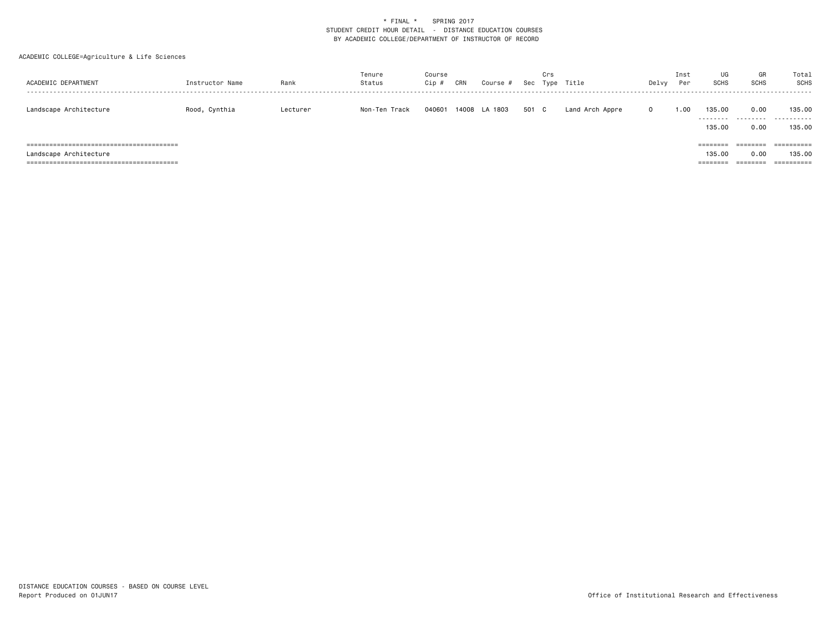| ACADEMIC DEPARTMENT    | Instructor Name | Rank     | Tenure<br>Status | Course<br>Cip # | CRN | Course #      | Sec   | Crs | Type Title      | Delvy        | Inst<br>Per | UG<br><b>SCHS</b>              | GR<br><b>SCHS</b>            | Total<br>SCHS                      |
|------------------------|-----------------|----------|------------------|-----------------|-----|---------------|-------|-----|-----------------|--------------|-------------|--------------------------------|------------------------------|------------------------------------|
| Landscape Architecture | Rood, Cynthia   | Lecturer | Non-Ten Track    | 040601          |     | 14008 LA 1803 | 501 C |     | Land Arch Appre | $\mathbf{0}$ | 1.00        | 135.00<br>135.00               | 0.00<br>0.00                 | 135.00<br><br>135.00               |
| Landscape Architecture |                 |          |                  |                 |     |               |       |     |                 |              |             | ========<br>135,00<br>======== | ========<br>0.00<br>======== | ==========<br>135,00<br>========== |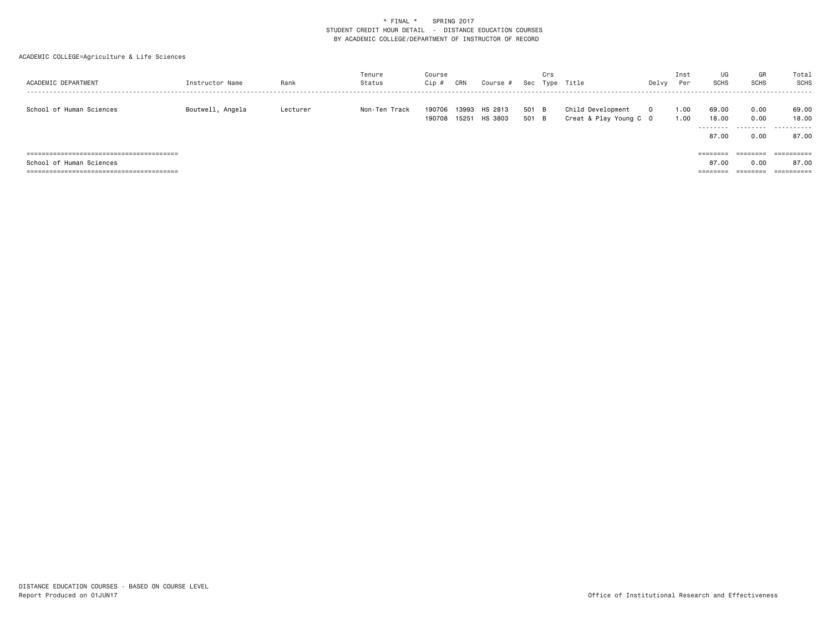| ACADEMIC DEPARTMENT         | Instructor Name  | Rank     | Tenure<br>Status | Course<br>Cip # | CRN   | Course #                        | Sec            | Crs | Type Title                                  | Delvy    | Inst<br>Per  | UG<br><b>SCHS</b>            | GR<br>SCHS                | Total<br>SCHS                |
|-----------------------------|------------------|----------|------------------|-----------------|-------|---------------------------------|----------------|-----|---------------------------------------------|----------|--------------|------------------------------|---------------------------|------------------------------|
| School of Human Sciences    | Boutwell, Angela | Lecturer | Non-Ten Track    | 190706          | 13993 | HS 2813<br>190708 15251 HS 3803 | 501 B<br>501 B |     | Child Development<br>Creat & Play Young C 0 | $\Omega$ | 1.00<br>1.00 | 69.00<br>18,00<br>.<br>87.00 | 0.00<br>0.00<br>.<br>0.00 | 69.00<br>18,00<br>.<br>87.00 |
| =========================== |                  |          |                  |                 |       |                                 |                |     |                                             |          |              | $=$ = = = = = = =            | ========                  |                              |
| School of Human Sciences    |                  |          |                  |                 |       |                                 |                |     |                                             |          |              | 87.00                        | 0.00                      | 87.00                        |
|                             |                  |          |                  |                 |       |                                 |                |     |                                             |          |              | ========                     |                           |                              |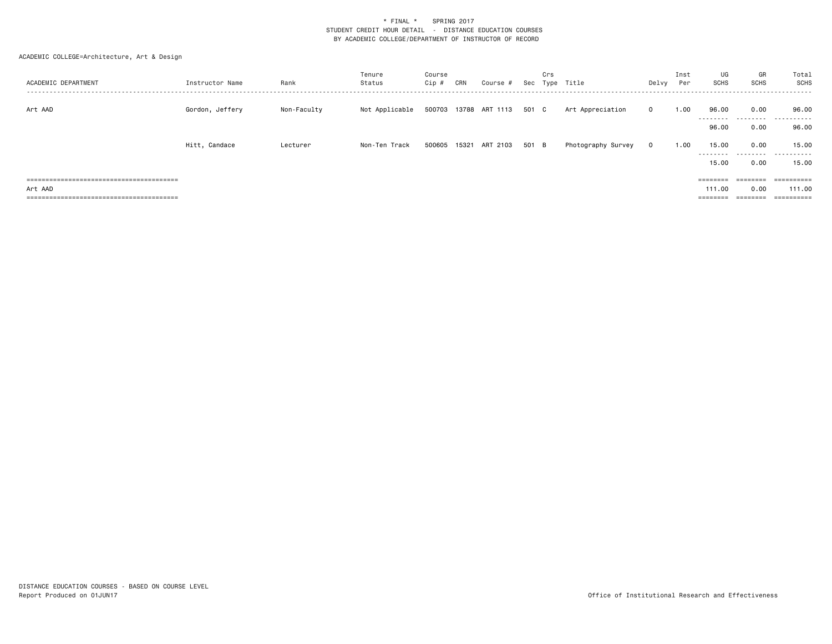| ACADEMIC DEPARTMENT | Instructor Name | Rank        | Tenure<br>Status | Course<br>Cip # | CRN | Course #              |       | Crs | Sec Type Title     | Delvy        | Inst<br>Per | UG<br>SCHS                  | GR<br>SCHS        | Total<br>SCHS       |
|---------------------|-----------------|-------------|------------------|-----------------|-----|-----------------------|-------|-----|--------------------|--------------|-------------|-----------------------------|-------------------|---------------------|
| Art AAD             | Gordon, Jeffery | Non-Faculty | Not Applicable   |                 |     | 500703 13788 ART 1113 | 501 C |     | Art Appreciation   | $\mathbf{0}$ | 1.00        | 96.00<br>--------           | 0.00<br>.         | 96.00<br>.          |
|                     |                 |             |                  |                 |     |                       |       |     |                    |              |             | 96.00                       | 0.00              | 96.00               |
|                     | Hitt, Candace   | Lecturer    | Non-Ten Track    |                 |     | 500605 15321 ART 2103 | 501 B |     | Photography Survey | $\mathbf 0$  | 1.00        | 15.00<br>---------<br>15.00 | 0.00<br>.<br>0.00 | 15.00<br>.<br>15.00 |
|                     |                 |             |                  |                 |     |                       |       |     |                    |              |             | ========                    | ========          | ==========          |
| Art AAD             |                 |             |                  |                 |     |                       |       |     |                    |              |             | 111.00                      | 0.00              | 111.00              |
|                     |                 |             |                  |                 |     |                       |       |     |                    |              |             |                             | ========          | ==========          |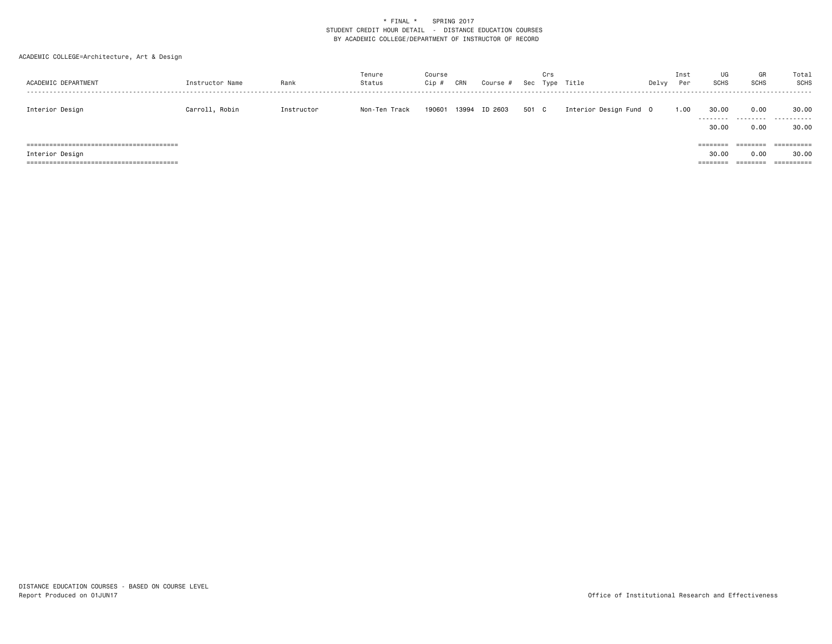| ACADEMIC DEPARTMENT | Instructor Name | Rank       | Tenure<br>Status | Course<br>Cip # | CRN   | Course # |       | Crs | Sec Type Title         | Delvy | Inst<br>Per | UG<br><b>SCHS</b>             | GR<br><b>SCHS</b>            | Total<br><b>SCHS</b> |
|---------------------|-----------------|------------|------------------|-----------------|-------|----------|-------|-----|------------------------|-------|-------------|-------------------------------|------------------------------|----------------------|
| Interior Design     | Carroll, Robin  | Instructor | Non-Ten Track    | 190601          | 13994 | ID 2603  | 501 C |     | Interior Design Fund 0 |       | 1.00        | 30.00<br>.<br>30.00           | 0.00<br>.<br>0.00            | 30.00<br>.<br>30.00  |
| Interior Design     |                 |            |                  |                 |       |          |       |     |                        |       |             | ========<br>30,00<br>======== | ========<br>0.00<br>======== | ==========<br>30,00  |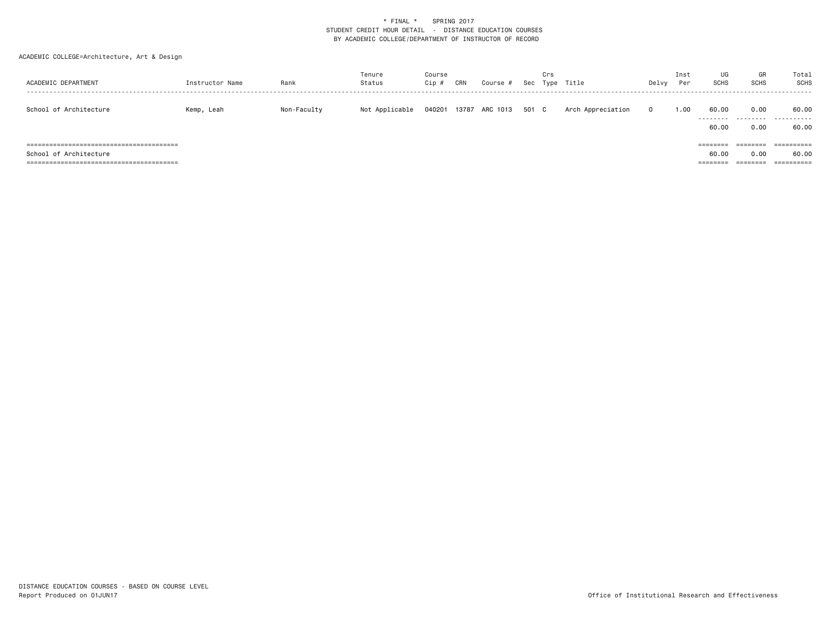| ACADEMIC DEPARTMENT    | Instructor Name | Rank        | Tenure<br>Status | Course<br>Cip | CRN   | Course # | Sec   | Crs<br>Type | Title             | Delvy        | Inst<br>Per | UG<br><b>SCHS</b>             | GR<br><b>SCHS</b>                     | Total<br>SCHS                     |
|------------------------|-----------------|-------------|------------------|---------------|-------|----------|-------|-------------|-------------------|--------------|-------------|-------------------------------|---------------------------------------|-----------------------------------|
| School of Architecture | Kemp, Leah      | Non-Faculty | Not Applicable   | 040201        | 13787 | ARC 1013 | 501 C |             | Arch Appreciation | $\mathbf{0}$ | 1.00        | 60.00<br>.<br>60.00           | 0.00<br>.<br>0.00                     | 60.00<br>.<br>60.00               |
| School of Architecture |                 |             |                  |               |       |          |       |             |                   |              |             | ========<br>60.00<br>======== | $=$ = = = = = = =<br>0.00<br>======== | ==========<br>60.00<br>========== |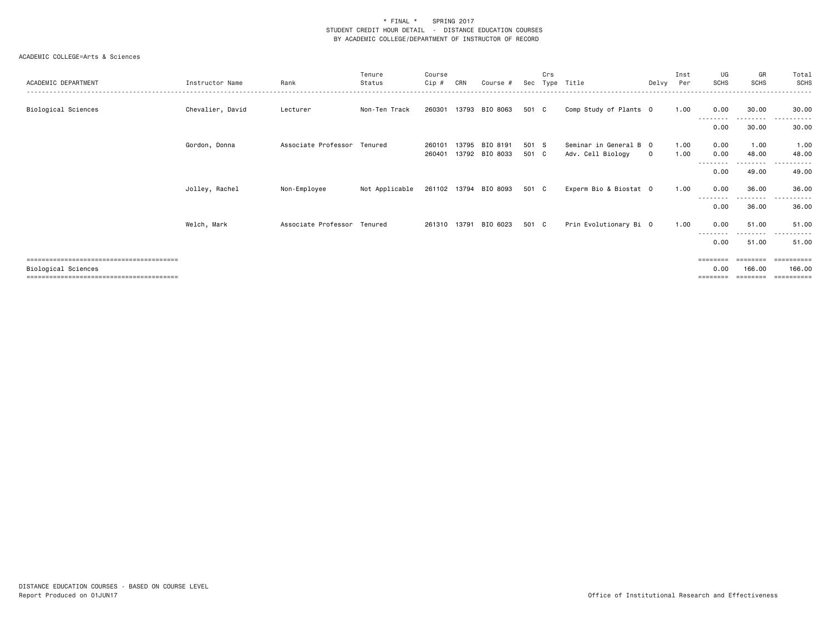| ACADEMIC DEPARTMENT | Instructor Name  | Rank                        | Tenure<br>Status | Course<br>Cip #  | CRN   | Course #                   | Sec            | Crs | Type Title                                  | Delvv       | Inst<br>Per  | UG<br><b>SCHS</b>            | GR<br><b>SCHS</b>               | Total<br><b>SCHS</b>              |
|---------------------|------------------|-----------------------------|------------------|------------------|-------|----------------------------|----------------|-----|---------------------------------------------|-------------|--------------|------------------------------|---------------------------------|-----------------------------------|
| Biological Sciences | Chevalier, David | Lecturer                    | Non-Ten Track    | 260301           |       | 13793 BIO 8063             | 501 C          |     | Comp Study of Plants 0                      |             | 1.00         | 0.00                         | 30.00                           | 30.00                             |
|                     |                  |                             |                  |                  |       |                            |                |     |                                             |             |              | --------<br>0.00             | ------<br>30.00                 | 30.00                             |
|                     | Gordon, Donna    | Associate Professor Tenured |                  | 260101<br>260401 | 13795 | BIO 8191<br>13792 BIO 8033 | 501 S<br>501 C |     | Seminar in General B 0<br>Adv. Cell Biology | $\mathbf 0$ | 1.00<br>1.00 | 0.00<br>0.00                 | 1.00<br>48.00                   | 1.00<br>48.00                     |
|                     |                  |                             |                  |                  |       |                            |                |     |                                             |             |              | --------<br>0.00             | -------<br>49.00                | -----<br>49.00                    |
|                     | Jolley, Rachel   | Non-Employee                | Not Applicable   |                  |       | 261102 13794 BIO 8093      | 501 C          |     | Experm Bio & Biostat 0                      |             | 1.00         | 0.00                         | 36.00                           | 36.00                             |
|                     |                  |                             |                  |                  |       |                            |                |     |                                             |             |              | $\cdots$<br>0.00             | 36.00                           | 36.00                             |
|                     | Welch, Mark      | Associate Professor Tenured |                  | 261310           | 13791 | BIO 6023                   | 501 C          |     | Prin Evolutionary Bi 0                      |             | 1.00         | 0.00                         | 51.00                           | 51.00                             |
|                     |                  |                             |                  |                  |       |                            |                |     |                                             |             |              | 0.00                         | --------<br>51.00               | 51.00                             |
| Biological Sciences |                  |                             |                  |                  |       |                            |                |     |                                             |             |              | ========<br>0.00<br>======== | --------<br>166.00<br>--------- | eeeeeeee<br>166.00<br>----------- |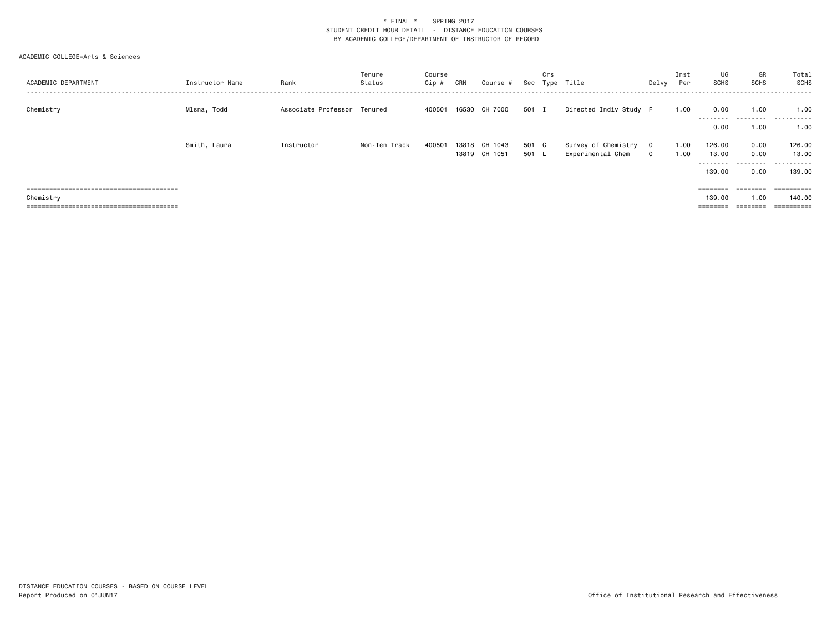| ACADEMIC DEPARTMENT | Instructor Name | Rank                        | Tenure<br>Status | Course<br>Cip # | CRN   | Course #      | Sec   | Crs | Type Title             | Delvy        | Inst<br>Per | UG<br>SCHS                  | GR<br><b>SCHS</b>         | Total<br>SCHS<br>. <u>.</u> . |
|---------------------|-----------------|-----------------------------|------------------|-----------------|-------|---------------|-------|-----|------------------------|--------------|-------------|-----------------------------|---------------------------|-------------------------------|
| Chemistry           | Mlsna, Todd     | Associate Professor Tenured |                  | 400501          |       | 16530 CH 7000 | 501 I |     | Directed Indiv Study F |              | 1.00        | 0.00<br>--------            | 1.00<br>.                 | 1.00<br>.                     |
|                     | Smith, Laura    | Instructor                  | Non-Ten Track    | 400501          | 13818 | CH 1043       | 501 C |     | Survey of Chemistry    | $\mathbf{O}$ | 1.00        | 0.00<br>126.00              | 1.00<br>0.00              | 1.00<br>126.00                |
|                     |                 |                             |                  |                 |       | 13819 CH 1051 | 501 L |     | Experimental Chem      | $\mathbf 0$  | 1.00        | 13.00<br>---------          | 0.00<br>.                 | 13.00<br>.                    |
|                     |                 |                             |                  |                 |       |               |       |     |                        |              |             | 139.00<br>$=$ = = = = = = = | 0.00<br>$=$ = = = = = = = | 139.00<br>==========          |
| Chemistry           |                 |                             |                  |                 |       |               |       |     |                        |              |             | 139,00<br>========          | 1.00<br>========          | 140.00<br>==========          |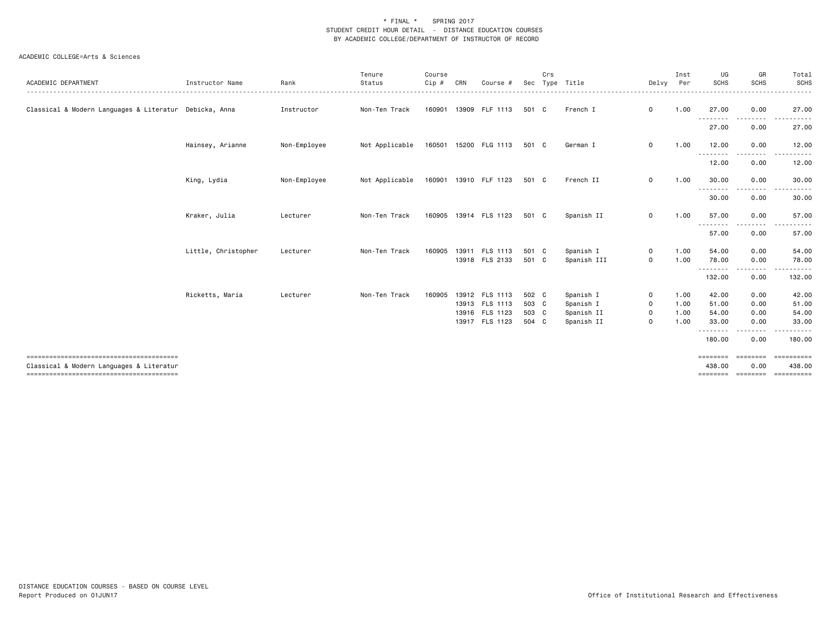|                                                        |                     |              | Tenure         | Course  |     |                       |       | Crs |             |              | Inst | UG                 | GR                                                                                                                                | Total       |
|--------------------------------------------------------|---------------------|--------------|----------------|---------|-----|-----------------------|-------|-----|-------------|--------------|------|--------------------|-----------------------------------------------------------------------------------------------------------------------------------|-------------|
| ACADEMIC DEPARTMENT                                    | Instructor Name     | Rank         | Status         | $Cip$ # | CRN | Course #              | Sec   |     | Type Title  | Delvy        | Per  | <b>SCHS</b>        | <b>SCHS</b>                                                                                                                       | <b>SCHS</b> |
| Classical & Modern Languages & Literatur Debicka, Anna |                     | Instructor   | Non-Ten Track  | 160901  |     | 13909 FLF 1113        | 501 C |     | French I    | $\mathbf 0$  | 1.00 | 27.00              | 0.00                                                                                                                              | 27.00       |
|                                                        |                     |              |                |         |     |                       |       |     |             |              |      | --------<br>27.00  | $\frac{1}{2} \left( \frac{1}{2} \right) \left( \frac{1}{2} \right) \left( \frac{1}{2} \right) \left( \frac{1}{2} \right)$<br>0.00 | 27.00       |
|                                                        | Hainsey, Arianne    | Non-Employee | Not Applicable |         |     | 160501 15200 FLG 1113 | 501 C |     | German I    | $\mathbf 0$  | 1.00 | 12.00<br>--------- | 0.00<br>. <u>.</u>                                                                                                                | 12.00       |
|                                                        |                     |              |                |         |     |                       |       |     |             |              |      | 12.00              | 0.00                                                                                                                              | 12.00       |
|                                                        | King, Lydia         | Non-Employee | Not Applicable |         |     | 160901 13910 FLF 1123 | 501 C |     | French II   | $\mathbf 0$  | 1.00 | 30.00<br>--------- | 0.00<br>-----                                                                                                                     | 30.00<br>.  |
|                                                        |                     |              |                |         |     |                       |       |     |             |              |      | 30.00              | 0.00                                                                                                                              | 30.00       |
|                                                        | Kraker, Julia       | Lecturer     | Non-Ten Track  | 160905  |     | 13914 FLS 1123        | 501 C |     | Spanish II  | 0            | 1.00 | 57.00<br>--------- | 0.00<br>-----                                                                                                                     | 57.00<br>.  |
|                                                        |                     |              |                |         |     |                       |       |     |             |              |      | 57.00              | 0.00                                                                                                                              | 57.00       |
|                                                        | Little, Christopher | Lecturer     | Non-Ten Track  | 160905  |     | 13911 FLS 1113        | 501 C |     | Spanish I   | $\mathsf{o}$ | 1.00 | 54.00              | 0.00                                                                                                                              | 54.00       |
|                                                        |                     |              |                |         |     | 13918 FLS 2133        | 501 C |     | Spanish III | $\mathbf 0$  | 1.00 | 78.00<br>--------  | 0.00                                                                                                                              | 78.00       |
|                                                        |                     |              |                |         |     |                       |       |     |             |              |      | 132.00             | 0.00                                                                                                                              | 132.00      |
|                                                        | Ricketts, Maria     | Lecturer     | Non-Ten Track  | 160905  |     | 13912 FLS 1113        | 502 C |     | Spanish I   | $\mathbf 0$  | 1.00 | 42.00              | 0.00                                                                                                                              | 42.00       |
|                                                        |                     |              |                |         |     | 13913 FLS 1113        | 503 C |     | Spanish I   | $\mathbf 0$  | 1.00 | 51.00              | 0.00                                                                                                                              | 51.00       |
|                                                        |                     |              |                |         |     | 13916 FLS 1123        | 503 C |     | Spanish II  | 0            | 1.00 | 54.00              | 0.00                                                                                                                              | 54.00       |
|                                                        |                     |              |                |         |     | 13917 FLS 1123        | 504 C |     | Spanish II  | $\mathbf 0$  | 1.00 | 33.00              | 0.00                                                                                                                              | 33.00       |
|                                                        |                     |              |                |         |     |                       |       |     |             |              |      | --------<br>180.00 | .<br>0.00                                                                                                                         | 180.00      |
|                                                        |                     |              |                |         |     |                       |       |     |             |              |      | $=$ = = = = = = =  | ========                                                                                                                          | ==========  |
| Classical & Modern Languages & Literatur               |                     |              |                |         |     |                       |       |     |             |              |      | 438.00             | 0.00                                                                                                                              | 438.00      |
|                                                        |                     |              |                |         |     |                       |       |     |             |              |      |                    | =================                                                                                                                 | ==========  |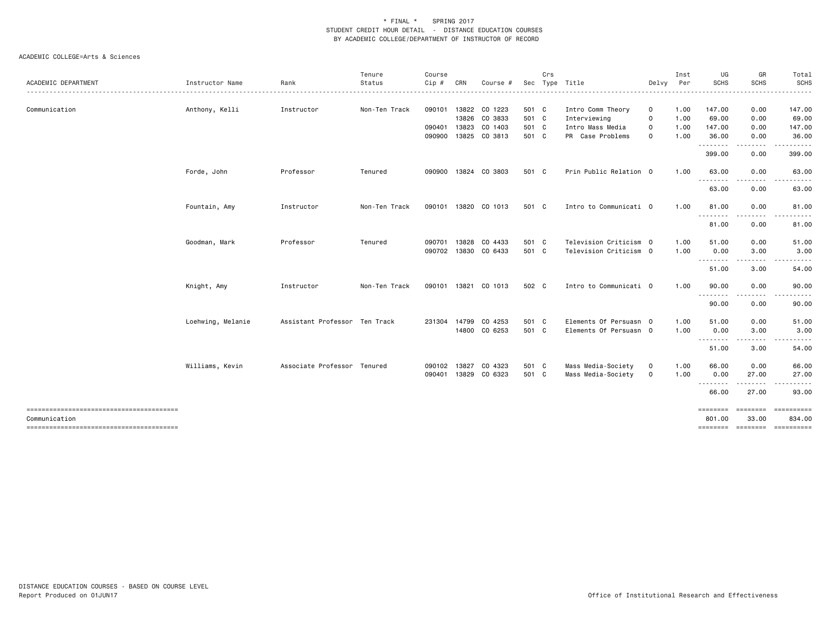|                     |                   |                               | Tenure        | Course |              |                      |       | Crs |                        |             | Inst | UG                 | GR                | Total                                 |
|---------------------|-------------------|-------------------------------|---------------|--------|--------------|----------------------|-------|-----|------------------------|-------------|------|--------------------|-------------------|---------------------------------------|
| ACADEMIC DEPARTMENT | Instructor Name   | Rank                          | Status        | Cip #  | CRN          | Course #             | Sec   |     | Type Title             | Delvy       | Per  | <b>SCHS</b>        | <b>SCHS</b>       | <b>SCHS</b>                           |
| Communication       | Anthony, Kelli    | Instructor                    | Non-Ten Track | 090101 |              | 13822 CO 1223        | 501 C |     | Intro Comm Theory      | 0           | 1.00 | 147.00             | 0.00              | 147.00                                |
|                     |                   |                               |               |        |              | 13826 CO 3833        | 501 C |     | Interviewing           | 0           | 1.00 | 69.00              | 0.00              | 69.00                                 |
|                     |                   |                               |               | 090401 | 13823        | CO 1403              | 501 C |     | Intro Mass Media       | 0           | 1.00 | 147.00             | 0.00              | 147.00                                |
|                     |                   |                               |               | 090900 |              | 13825 CO 3813        | 501 C |     | PR Case Problems       | 0           | 1.00 | 36.00<br>--------  | 0.00<br>.         | 36.00                                 |
|                     |                   |                               |               |        |              |                      |       |     |                        |             |      | 399.00             | 0.00              | 399.00                                |
|                     | Forde, John       | Professor                     | Tenured       | 090900 |              | 13824 CO 3803        | 501 C |     | Prin Public Relation 0 |             | 1.00 | 63.00<br>- - - -   | 0.00              | 63.00                                 |
|                     |                   |                               |               |        |              |                      |       |     |                        |             |      | 63.00              | 0.00              | 63.00                                 |
|                     | Fountain, Amy     | Instructor                    | Non-Ten Track |        |              | 090101 13820 CO 1013 | 501 C |     | Intro to Communicati 0 |             | 1.00 | 81.00              | 0.00              | 81.00                                 |
|                     |                   |                               |               |        |              |                      |       |     |                        |             |      | ---------<br>81.00 | <u>.</u><br>0.00  | .<br>81.00                            |
|                     | Goodman, Mark     | Professor                     | Tenured       | 090701 | 13828        | CO 4433              | 501 C |     | Television Criticism 0 |             | 1.00 | 51.00              | 0.00              | 51.00                                 |
|                     |                   |                               |               | 090702 |              | 13830 CO 6433        | 501 C |     | Television Criticism 0 |             | 1.00 | 0.00               | 3.00              | 3.00                                  |
|                     |                   |                               |               |        |              |                      |       |     |                        |             |      | .<br>51.00         | 3.00              | 54.00                                 |
|                     | Knight, Amy       | Instructor                    | Non-Ten Track |        |              | 090101 13821 CO 1013 | 502 C |     | Intro to Communicati 0 |             | 1.00 | 90.00              | 0.00              | 90.00                                 |
|                     |                   |                               |               |        |              |                      |       |     |                        |             |      | .<br>90.00         | 0.00              | 90.00                                 |
|                     | Loehwing, Melanie | Assistant Professor Ten Track |               | 231304 | 14799        | CO 4253              | 501 C |     | Elements Of Persuasn 0 |             | 1.00 | 51.00              | 0.00              | 51.00                                 |
|                     |                   |                               |               |        |              | 14800 CO 6253        | 501 C |     | Elements Of Persuasn 0 |             | 1.00 | 0.00               | 3.00              | 3.00                                  |
|                     |                   |                               |               |        |              |                      |       |     |                        |             |      | ---------<br>51.00 | - - - - -<br>3.00 | 54.00                                 |
|                     | Williams, Kevin   | Associate Professor Tenured   |               |        | 090102 13827 | CO 4323              | 501 C |     | Mass Media-Society     | $\mathbf 0$ | 1.00 | 66.00              | 0.00              | 66.00                                 |
|                     |                   |                               |               |        |              | 090401 13829 CO 6323 | 501 C |     | Mass Media-Society     | $\mathbf 0$ | 1.00 | 0.00<br>--------   | 27.00<br>-----    | 27.00<br>.                            |
|                     |                   |                               |               |        |              |                      |       |     |                        |             |      | 66.00              | 27.00             | 93.00                                 |
|                     |                   |                               |               |        |              |                      |       |     |                        |             |      | ========           | <b>EEEEEEE</b>    | ==========                            |
| Communication       |                   |                               |               |        |              |                      |       |     |                        |             |      | 801.00             | 33.00             | 834.00<br>======== ======== ========= |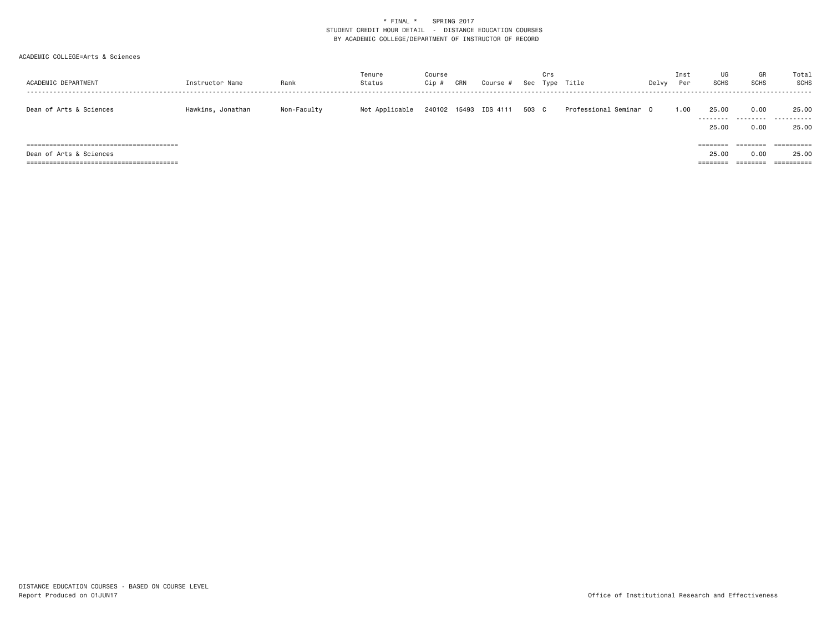| ACADEMIC DEPARTMENT     | Instructor Name   | Rank        | Tenure<br>Status | Course<br>Cip | CRN | Course #              | Sec   | Crs<br>Type | Title                  | Delvy | Inst<br>Per | UG<br><b>SCHS</b>             | GR<br><b>SCHS</b>            | Total<br>SCHS                     |
|-------------------------|-------------------|-------------|------------------|---------------|-----|-----------------------|-------|-------------|------------------------|-------|-------------|-------------------------------|------------------------------|-----------------------------------|
| Dean of Arts & Sciences | Hawkins, Jonathan | Non-Faculty | Not Applicable   |               |     | 240102 15493 IDS 4111 | 503 C |             | Professional Seminar O |       | 1.00        | 25.00<br>---------<br>25.00   | 0.00<br>.<br>0.00            | 25.00<br>.<br>25.00               |
| Dean of Arts & Sciences |                   |             |                  |               |     |                       |       |             |                        |       |             | ========<br>25.00<br>======== | ========<br>0.00<br>======== | ==========<br>25.00<br>========== |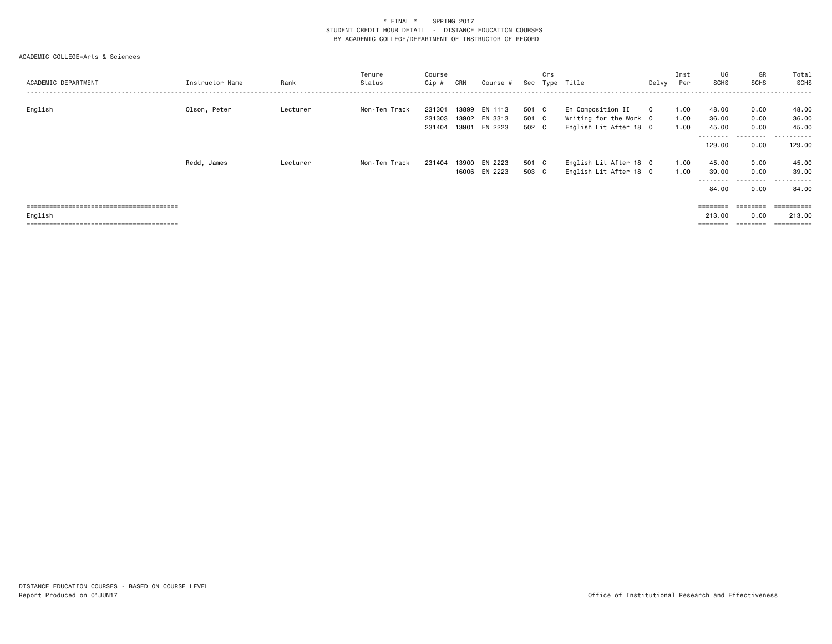| ACADEMIC DEPARTMENT | Instructor Name | Rank     | Tenure<br>Status | Course<br>Cip #            | CRN            | Course #                            | Sec                     | Crs<br>Type | Title                                                                 | Delvy Per   | Inst                 | UG<br>SCHS                           | GR<br><b>SCHS</b>         | Total<br>SCHS                |
|---------------------|-----------------|----------|------------------|----------------------------|----------------|-------------------------------------|-------------------------|-------------|-----------------------------------------------------------------------|-------------|----------------------|--------------------------------------|---------------------------|------------------------------|
| English             | Olson, Peter    | Lecturer | Non-Ten Track    | 231301<br>231303<br>231404 | 13899<br>13901 | EN 1113<br>13902 EN 3313<br>EN 2223 | 501 C<br>501 C<br>502 C |             | En Composition II<br>Writing for the Work O<br>English Lit After 18 0 | $\mathbf 0$ | 1.00<br>1.00<br>1.00 | 48.00<br>36.00<br>45.00<br>.         | 0.00<br>0.00<br>0.00<br>. | 48.00<br>36.00<br>45.00<br>. |
|                     |                 |          |                  |                            |                |                                     |                         |             |                                                                       |             |                      | 129.00                               | 0.00                      | 129.00                       |
|                     | Redd, James     | Lecturer | Non-Ten Track    | 231404                     | 13900          | EN 2223<br>16006 EN 2223            | 501 C<br>503 C          |             | English Lit After 18 0<br>English Lit After 18 0                      |             | 1.00<br>1.00         | 45.00<br>39.00<br>---------<br>84.00 | 0.00<br>0.00<br>.<br>0.00 | 45.00<br>39,00<br>.<br>84.00 |
|                     |                 |          |                  |                            |                |                                     |                         |             |                                                                       |             |                      | ========                             |                           | ==========                   |
| English             |                 |          |                  |                            |                |                                     |                         |             |                                                                       |             |                      | 213.00                               | 0.00                      | 213,00                       |
|                     |                 |          |                  |                            |                |                                     |                         |             |                                                                       |             |                      |                                      |                           |                              |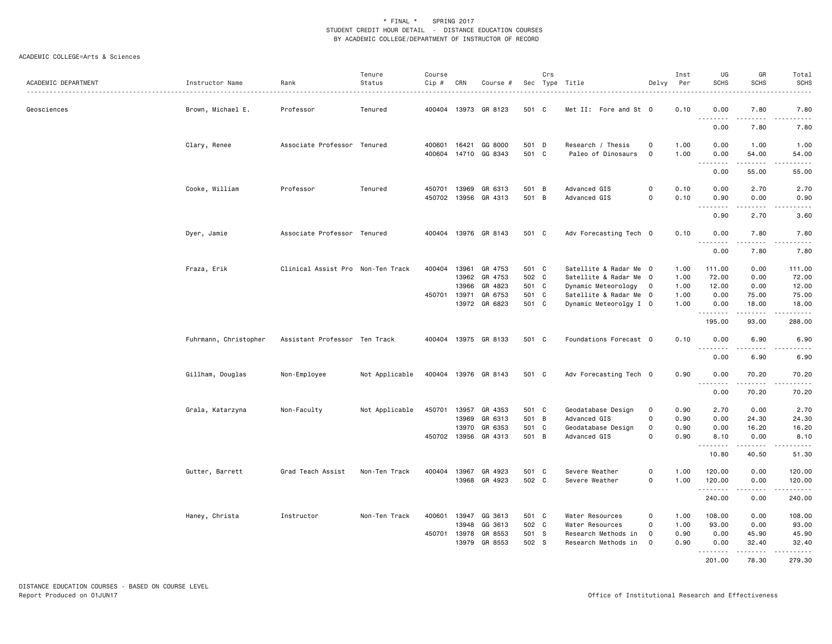| ACADEMIC DEPARTMENT | Instructor Name       | Rank<br>.                         | Tenure<br>Status | Course<br>Cip #  | CRN                                     | Course #                                 |                                  | Crs | Sec Type Title                                                                                    | Delvy                                         | Inst<br>Per                  | UG<br><b>SCHS</b>                | GR<br><b>SCHS</b>              | Total<br><b>SCHS</b>              |
|---------------------|-----------------------|-----------------------------------|------------------|------------------|-----------------------------------------|------------------------------------------|----------------------------------|-----|---------------------------------------------------------------------------------------------------|-----------------------------------------------|------------------------------|----------------------------------|--------------------------------|-----------------------------------|
| Geosciences         | Brown, Michael E.     | Professor                         | Tenured          | 400404           |                                         | 13973 GR 8123                            | 501 C                            |     | Met II: Fore and St 0                                                                             |                                               | 0.10                         | 0.00<br><u>.</u>                 | 7.80<br>.                      | 7.80<br>$- - - -$                 |
|                     |                       |                                   |                  |                  |                                         |                                          |                                  |     |                                                                                                   |                                               |                              | 0.00                             | 7.80                           | 7.80                              |
|                     | Clary, Renee          | Associate Professor Tenured       |                  | 400601<br>400604 | 16421<br>14710                          | GG 8000<br>GG 8343                       | 501 D<br>501 C                   |     | Research / Thesis<br>Paleo of Dinosaurs                                                           | $\mathbf 0$<br>$\mathbf 0$                    | 1.00<br>1.00                 | 0.00<br>0.00                     | 1.00<br>54.00                  | 1.00<br>54.00                     |
|                     |                       |                                   |                  |                  |                                         |                                          |                                  |     |                                                                                                   |                                               |                              | .<br>0.00                        | 55.00                          | 55.00                             |
|                     | Cooke, William        | Professor                         | Tenured          | 450701<br>450702 | 13969<br>13956                          | GR 6313<br>GR 4313                       | 501 B<br>501 B                   |     | Advanced GIS<br>Advanced GIS                                                                      | $\mathbf 0$<br>$\mathbf 0$                    | 0.10<br>0.10                 | 0.00<br>0.90                     | 2.70<br>0.00                   | 2.70<br>0.90                      |
|                     |                       |                                   |                  |                  |                                         |                                          |                                  |     |                                                                                                   |                                               |                              | .<br>0.90                        | .<br>2.70                      | 3.60                              |
|                     | Dyer, Jamie           | Associate Professor Tenured       |                  | 400404           |                                         | 13976 GR 8143                            | 501 C                            |     | Adv Forecasting Tech 0                                                                            |                                               | 0.10                         | 0.00<br><u>--------</u>          | 7.80                           | 7.80                              |
|                     |                       |                                   |                  |                  |                                         |                                          |                                  |     |                                                                                                   |                                               |                              | 0.00                             | 7.80                           | 7.80                              |
|                     | Fraza, Erik           | Clinical Assist Pro Non-Ten Track |                  | 400404<br>450701 | 13961<br>13962<br>13966<br>13971        | GR 4753<br>GR 4753<br>GR 4823<br>GR 6753 | 501 C<br>502 C<br>501 C<br>501 C |     | Satellite & Radar Me 0<br>Satellite & Radar Me 0<br>Dynamic Meteorology<br>Satellite & Radar Me 0 | $\overline{\mathbf{0}}$                       | 1.00<br>1.00<br>1.00<br>1.00 | 111.00<br>72.00<br>12.00<br>0.00 | 0.00<br>0.00<br>0.00<br>75.00  | 111.00<br>72.00<br>12.00<br>75.00 |
|                     |                       |                                   |                  |                  |                                         | 13972 GR 6823                            | 501 C                            |     | Dynamic Meteorolgy I 0                                                                            |                                               | 1.00                         | 0.00<br>.<br>195.00              | 18.00<br>.<br>93.00            | 18.00<br>.<br>288.00              |
|                     | Fuhrmann, Christopher | Assistant Professor Ten Track     |                  | 400404           |                                         | 13975 GR 8133                            | 501 C                            |     | Foundations Forecast 0                                                                            |                                               | 0.10                         | 0.00                             | 6.90                           | 6.90                              |
|                     |                       |                                   |                  |                  |                                         |                                          |                                  |     |                                                                                                   |                                               |                              | 0.00                             | 6.90                           | 6.90                              |
|                     | Gillham, Douglas      | Non-Employee                      | Not Applicable   |                  |                                         | 400404 13976 GR 8143                     | 501 C                            |     | Adv Forecasting Tech 0                                                                            |                                               | 0.90                         | 0.00                             | 70.20<br>- - - - -             | 70.20                             |
|                     |                       |                                   |                  |                  |                                         |                                          |                                  |     |                                                                                                   |                                               |                              | 0.00                             | 70.20                          | 70.20                             |
|                     | Grala, Katarzyna      | Non-Faculty                       | Not Applicable   | 450701           | 13957<br>13969<br>13970<br>450702 13956 | GR 4353<br>GR 6313<br>GR 6353<br>GR 4313 | 501 C<br>501 B<br>501 C<br>501 B |     | Geodatabase Design<br>Advanced GIS<br>Geodatabase Design<br>Advanced GIS                          | 0<br>$\mathbf 0$<br>$\mathsf{o}$<br>$\Omega$  | 0.90<br>0.90<br>0.90<br>0.90 | 2.70<br>0.00<br>0.00<br>8.10     | 0.00<br>24.30<br>16.20<br>0.00 | 2.70<br>24.30<br>16.20<br>8.10    |
|                     |                       |                                   |                  |                  |                                         |                                          |                                  |     |                                                                                                   |                                               |                              | <u>.</u><br>10.80                | .<br>40.50                     | $\omega$ is $\omega$ in<br>51.30  |
|                     | Gutter, Barrett       | Grad Teach Assist                 | Non-Ten Track    | 400404           | 13967                                   | GR 4923<br>13968 GR 4923                 | 501 C<br>502 C                   |     | Severe Weather<br>Severe Weather                                                                  | $\mathbf 0$<br>$\mathsf{O}\xspace$            | 1.00<br>1.00                 | 120.00<br>120.00<br>.            | 0.00<br>0.00<br>.              | 120.00<br>120.00<br>.             |
|                     |                       |                                   |                  |                  |                                         |                                          |                                  |     |                                                                                                   |                                               |                              | 240.00                           | 0.00                           | 240.00                            |
|                     | Haney, Christa        | Instructor                        | Non-Ten Track    | 400601<br>450701 | 13947<br>13948<br>13978<br>13979        | GG 3613<br>GG 3613<br>GR 8553<br>GR 8553 | 501 C<br>502 C<br>501 S<br>502 S |     | Water Resources<br>Water Resources<br>Research Methods in<br>Research Methods in                  | $\circ$<br>$\circ$<br>$\mathbf 0$<br>$\Omega$ | 1.00<br>1.00<br>0.90<br>0.90 | 108.00<br>93.00<br>0.00<br>0.00  | 0.00<br>0.00<br>45.90<br>32.40 | 108.00<br>93.00<br>45.90<br>32.40 |
|                     |                       |                                   |                  |                  |                                         |                                          |                                  |     |                                                                                                   |                                               |                              | . <b>.</b><br>201.00             | .<br>78.30                     | .<br>279.30                       |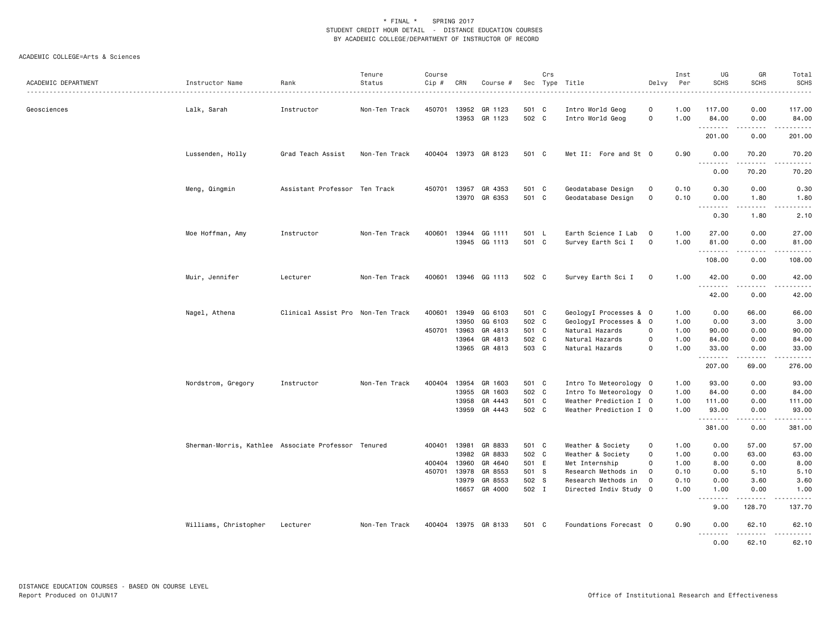| ACADEMIC DEPARTMENT | Instructor Name                                     | Rank                              | Tenure<br>Status | Course<br>Cip # | CRN            | Course #                       |                | Crs | Sec Type Title                            | Delvy                      | Inst<br>Per  | UG<br><b>SCHS</b>          | GR<br><b>SCHS</b>             | Total<br><b>SCHS</b>   |
|---------------------|-----------------------------------------------------|-----------------------------------|------------------|-----------------|----------------|--------------------------------|----------------|-----|-------------------------------------------|----------------------------|--------------|----------------------------|-------------------------------|------------------------|
|                     |                                                     | .                                 |                  |                 |                |                                |                |     |                                           |                            |              |                            |                               | .                      |
| Geosciences         | Lalk, Sarah                                         | Instructor                        | Non-Ten Track    | 450701          | 13952<br>13953 | GR 1123<br>GR 1123             | 501 C<br>502 C |     | Intro World Geog<br>Intro World Geog      | 0<br>$\mathsf{o}$          | 1.00<br>1.00 | 117.00<br>84.00            | 0.00<br>0.00<br>$\frac{1}{2}$ | 117.00<br>84.00        |
|                     |                                                     |                                   |                  |                 |                |                                |                |     |                                           |                            |              | .<br>201.00                | 0.00                          | .<br>201.00            |
|                     | Lussenden, Holly                                    | Grad Teach Assist                 | Non-Ten Track    |                 |                | 400404 13973 GR 8123           | 501 C          |     | Met II: Fore and St 0                     |                            | 0.90         | 0.00                       | 70.20<br>.                    | 70.20<br>$\frac{1}{2}$ |
|                     |                                                     |                                   |                  |                 |                |                                |                |     |                                           |                            |              | 0.00                       | 70.20                         | 70.20                  |
|                     | Meng, Qingmin                                       | Assistant Professor Ten Track     |                  | 450701          | 13957          | GR 4353<br>13970 GR 6353       | 501<br>501 C   | C   | Geodatabase Design<br>Geodatabase Design  | 0<br>$\mathsf{o}$          | 0.10<br>0.10 | 0.30<br>0.00<br>. <b>.</b> | 0.00<br>1.80<br>$\frac{1}{2}$ | 0.30<br>1.80           |
|                     |                                                     |                                   |                  |                 |                |                                |                |     |                                           |                            |              | 0.30                       | 1.80                          | .<br>2.10              |
|                     | Moe Hoffman, Amy                                    | Instructor                        | Non-Ten Track    | 400601          |                | 13944 GG 1111<br>13945 GG 1113 | 501 L<br>501 C |     | Earth Science I Lab<br>Survey Earth Sci I | $\mathbf 0$<br>$\mathbf 0$ | 1.00<br>1.00 | 27.00<br>81.00             | 0.00<br>0.00<br>.             | 27.00<br>81.00         |
|                     |                                                     |                                   |                  |                 |                |                                |                |     |                                           |                            |              | .<br>108.00                | 0.00                          | .<br>108.00            |
|                     | Muir, Jennifer                                      | Lecturer                          | Non-Ten Track    | 400601          |                | 13946 GG 1113                  | 502 C          |     | Survey Earth Sci I                        | $\mathbf 0$                | 1.00         | 42.00<br>.                 | 0.00<br>.                     | 42.00<br>.             |
|                     |                                                     |                                   |                  |                 |                |                                |                |     |                                           |                            |              | 42.00                      | 0.00                          | 42.00                  |
|                     | Nagel, Athena                                       | Clinical Assist Pro Non-Ten Track |                  | 400601          | 13949          | GG 6103                        | 501 C          |     | GeologyI Processes & 0                    |                            | 1.00         | 0.00                       | 66.00                         | 66.00                  |
|                     |                                                     |                                   |                  |                 | 13950          | GG 6103                        | 502 C          |     | GeologyI Processes & 0                    |                            | 1.00         | 0.00                       | 3.00                          | 3.00                   |
|                     |                                                     |                                   |                  | 450701          | 13963          | GR 4813                        | 501 C          |     | Natural Hazards                           | 0                          | 1.00         | 90.00                      | 0.00                          | 90.00                  |
|                     |                                                     |                                   |                  |                 | 13964          | GR 4813                        | 502 C          |     | Natural Hazards                           | 0                          | 1.00         | 84.00                      | 0.00                          | 84.00                  |
|                     |                                                     |                                   |                  |                 |                | 13965 GR 4813                  | 503 C          |     | Natural Hazards                           | $\Omega$                   | 1.00         | 33.00<br>.                 | 0.00<br>.                     | 33.00<br>.             |
|                     |                                                     |                                   |                  |                 |                |                                |                |     |                                           |                            |              | 207.00                     | 69.00                         | 276.00                 |
|                     | Nordstrom, Gregory                                  | Instructor                        | Non-Ten Track    | 400404          |                | 13954 GR 1603                  | 501 C          |     | Intro To Meteorology 0                    |                            | 1.00         | 93.00                      | 0.00                          | 93.00                  |
|                     |                                                     |                                   |                  |                 | 13955          | GR 1603                        | 502 C          |     | Intro To Meteorology 0                    |                            | 1.00         | 84.00                      | 0.00                          | 84.00                  |
|                     |                                                     |                                   |                  |                 | 13958          | GR 4443                        | 501 C          |     | Weather Prediction I 0                    |                            | 1.00         | 111.00                     | 0.00                          | 111.00                 |
|                     |                                                     |                                   |                  |                 |                | 13959 GR 4443                  | 502 C          |     | Weather Prediction I 0                    |                            | 1.00         | 93.00<br>.                 | 0.00<br>.                     | 93.00<br>.             |
|                     |                                                     |                                   |                  |                 |                |                                |                |     |                                           |                            |              | 381.00                     | 0.00                          | 381.00                 |
|                     | Sherman-Morris, Kathlee Associate Professor Tenured |                                   |                  | 400401          | 13981          | GR 8833                        | 501 C          |     | Weather & Society                         | 0                          | 1.00         | 0.00                       | 57.00                         | 57.00                  |
|                     |                                                     |                                   |                  |                 | 13982          | GR 8833                        | 502 C          |     | Weather & Society                         | $\mathsf{o}$               | 1.00         | 0.00                       | 63.00                         | 63.00                  |
|                     |                                                     |                                   |                  | 400404          | 13960          | GR 4640                        | 501 E          |     | Met Internship                            | $\mathbf 0$                | 1.00         | 8.00                       | 0.00                          | 8.00                   |
|                     |                                                     |                                   |                  | 450701          | 13978          | GR 8553                        | 501 S          |     | Research Methods in                       | $\mathbf 0$                | 0.10         | 0.00                       | 5.10                          | 5.10                   |
|                     |                                                     |                                   |                  |                 | 13979          | GR 8553<br>GR 4000             | 502 S          |     | Research Methods in                       | 0                          | 0.10         | 0.00                       | 3.60                          | 3.60                   |
|                     |                                                     |                                   |                  |                 | 16657          |                                | 502 I          |     | Directed Indiv Study                      | $\overline{\mathbf{0}}$    | 1.00         | 1.00<br>.                  | 0.00<br>د د د د               | 1.00<br>.              |
|                     |                                                     |                                   |                  |                 |                |                                |                |     |                                           |                            |              | 9.00                       | 128.70                        | 137.70                 |
|                     | Williams, Christopher                               | Lecturer                          | Non-Ten Track    |                 |                | 400404 13975 GR 8133           | 501 C          |     | Foundations Forecast 0                    |                            | 0.90         | 0.00<br>.<br>0.00          | 62.10<br>.<br>62.10           | 62.10<br>.<br>62.10    |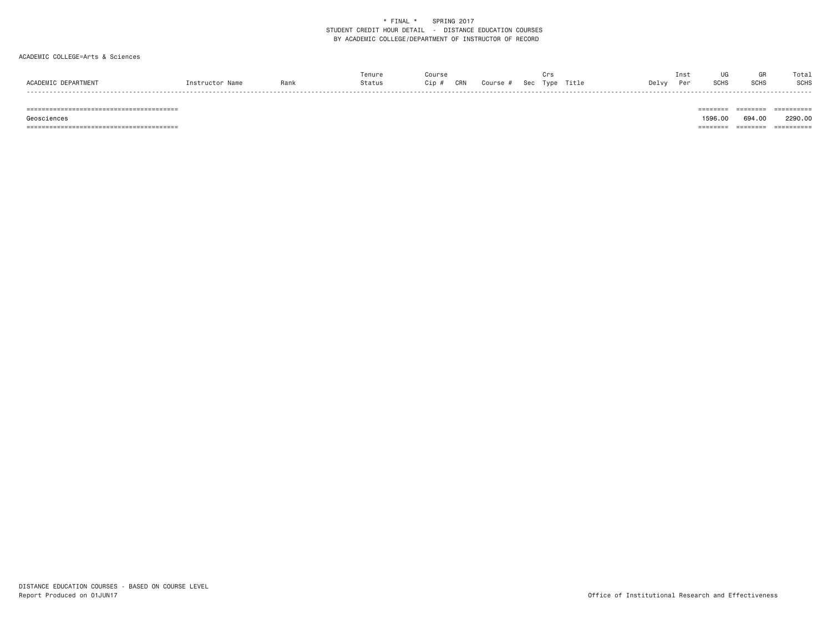#### ACADEMIC COLLEGE=Arts & Sciences

|                     |                 |      | renure | Course       |          | Crs            |       | Inst |             |             | Tota.  |
|---------------------|-----------------|------|--------|--------------|----------|----------------|-------|------|-------------|-------------|--------|
| ACADEMIC DEPARTMENT | Instructor Name | Rank | Status | CRN<br>Cip # | Course # | Sec Type Title | Delvy | Per  | <b>SCHS</b> | <b>SCHS</b> | SCHS   |
| ------              |                 |      |        |              |          |                |       |      |             |             | ------ |

======================================== ======== ======== ==========

======================================== ======== ======== ==========

 Geosciences 1596.00 694.00 2290.00-------- ------- ---------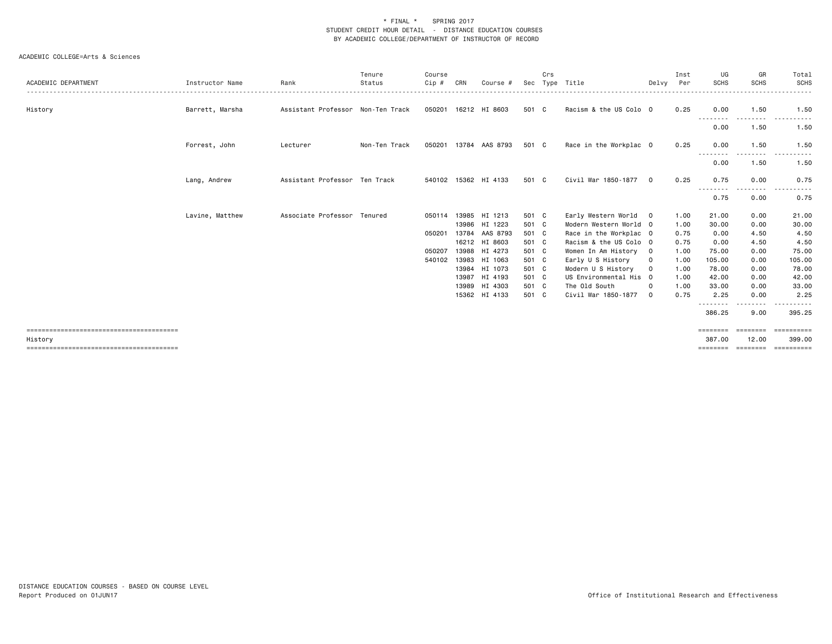| ACADEMIC DEPARTMENT | Instructor Name | Rank                              | Tenure<br>Status | Course<br>$Cip$ # | CRN   | Course #             | Sec   | Crs | Type Title             | Delvv        | Inst<br>Per | UG<br><b>SCHS</b>                                                                                                                         | GR<br><b>SCHS</b> | Total<br><b>SCHS</b><br>----- |
|---------------------|-----------------|-----------------------------------|------------------|-------------------|-------|----------------------|-------|-----|------------------------|--------------|-------------|-------------------------------------------------------------------------------------------------------------------------------------------|-------------------|-------------------------------|
| History             | Barrett, Marsha | Assistant Professor Non-Ten Track |                  |                   |       | 050201 16212 HI 8603 | 501 C |     | Racism & the US Colo 0 |              | 0.25        | 0.00                                                                                                                                      | 1.50              | 1.50                          |
|                     |                 |                                   |                  |                   |       |                      |       |     |                        |              |             | .<br>0.00                                                                                                                                 | 1.50              | 1.50                          |
|                     | Forrest, John   | Lecturer                          | Non-Ten Track    | 050201            |       | 13784 AAS 8793       | 501 C |     | Race in the Workplac 0 |              | 0.25        | 0.00                                                                                                                                      | 1.50              | 1.50                          |
|                     |                 |                                   |                  |                   |       |                      |       |     |                        |              |             | $\frac{1}{2} \left( \frac{1}{2} \right) \left( \frac{1}{2} \right) \left( \frac{1}{2} \right) \left( \frac{1}{2} \right)$<br>----<br>0.00 | 1.50              | 1.50                          |
|                     | Lang, Andrew    | Assistant Professor Ten Track     |                  |                   |       | 540102 15362 HI 4133 | 501 C |     | Civil War 1850-1877    | $\Omega$     | 0.25        | 0.75                                                                                                                                      | 0.00<br>.         | 0.75                          |
|                     |                 |                                   |                  |                   |       |                      |       |     |                        |              |             | --------<br>0.75                                                                                                                          | 0.00              | 0.75                          |
|                     | Lavine, Matthew | Associate Professor Tenured       |                  | 050114            |       | 13985 HI 1213        | 501 C |     | Early Western World 0  |              | 1.00        | 21.00                                                                                                                                     | 0.00              | 21.00                         |
|                     |                 |                                   |                  |                   |       | 13986 HI 1223        | 501 C |     | Modern Western World 0 |              | 1.00        | 30.00                                                                                                                                     | 0.00              | 30.00                         |
|                     |                 |                                   |                  | 050201            | 13784 | AAS 8793             | 501 C |     | Race in the Workplac 0 |              | 0.75        | 0.00                                                                                                                                      | 4.50              | 4.50                          |
|                     |                 |                                   |                  |                   |       | 16212 HI 8603        | 501 C |     | Racism & the US Colo 0 |              | 0.75        | 0.00                                                                                                                                      | 4.50              | 4.50                          |
|                     |                 |                                   |                  | 050207            |       | 13988 HI 4273        | 501 C |     | Women In Am History    | $\mathbf{0}$ | 1.00        | 75.00                                                                                                                                     | 0.00              | 75.00                         |
|                     |                 |                                   |                  | 540102            |       | 13983 HI 1063        | 501 C |     | Early U S History      | 0            | 1.00        | 105.00                                                                                                                                    | 0.00              | 105.00                        |
|                     |                 |                                   |                  |                   |       | 13984 HI 1073        | 501 C |     | Modern U S History     | $\mathbf 0$  | 1.00        | 78.00                                                                                                                                     | 0.00              | 78.00                         |
|                     |                 |                                   |                  |                   |       | 13987 HI 4193        | 501 C |     | US Environmental His 0 |              | 1.00        | 42.00                                                                                                                                     | 0.00              | 42.00                         |
|                     |                 |                                   |                  |                   |       | 13989 HI 4303        | 501 C |     | The Old South          | $\Omega$     | 1.00        | 33.00                                                                                                                                     | 0.00              | 33.00                         |
|                     |                 |                                   |                  |                   |       | 15362 HI 4133        | 501 C |     | Civil War 1850-1877    | $\Omega$     | 0.75        | 2.25                                                                                                                                      | 0.00              | 2.25                          |
|                     |                 |                                   |                  |                   |       |                      |       |     |                        |              |             | --------<br>386.25                                                                                                                        | .<br>9.00         | .<br>395.25                   |
|                     |                 |                                   |                  |                   |       |                      |       |     |                        |              |             | ========                                                                                                                                  | ========          | ==========                    |
| History             |                 |                                   |                  |                   |       |                      |       |     |                        |              |             | 387.00                                                                                                                                    | 12.00             | 399.00                        |
|                     |                 |                                   |                  |                   |       |                      |       |     |                        |              |             | ========                                                                                                                                  | ========          | ==========                    |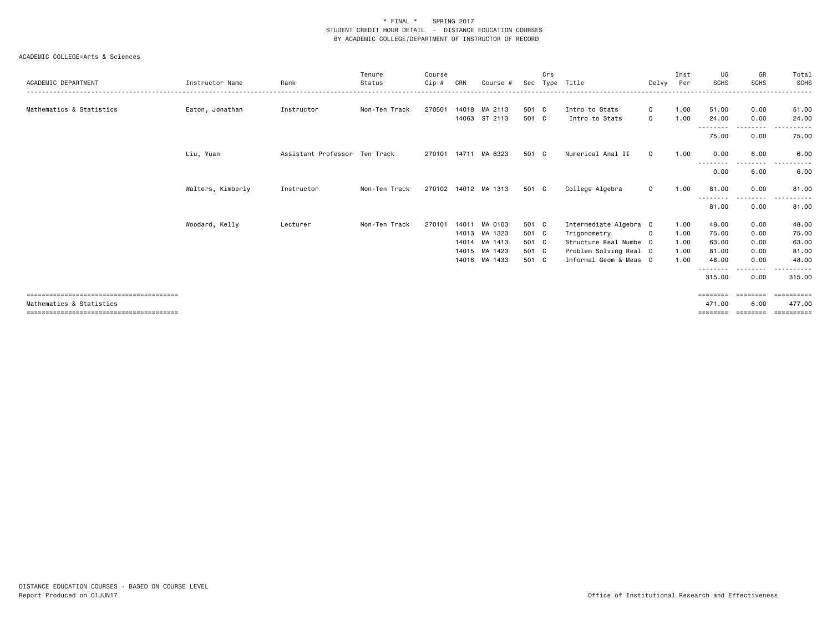| ACADEMIC DEPARTMENT      | Instructor Name   | Rank                          | Tenure<br>Status | Course<br>$Cip$ # | CRN   | Course #             | Sec   | Crs<br>Type | Title                  | Delvy        | Inst<br>Per | UG<br><b>SCHS</b> | GR<br><b>SCHS</b> | Total<br>SCHS                                                                                               |
|--------------------------|-------------------|-------------------------------|------------------|-------------------|-------|----------------------|-------|-------------|------------------------|--------------|-------------|-------------------|-------------------|-------------------------------------------------------------------------------------------------------------|
|                          |                   |                               |                  |                   |       |                      |       |             |                        |              |             |                   |                   | .                                                                                                           |
| Mathematics & Statistics | Eaton, Jonathan   | Instructor                    | Non-Ten Track    | 270501            |       | 14018 MA 2113        | 501 C |             | Intro to Stats         | $\Omega$     | 1.00        | 51.00             | 0.00              | 51.00                                                                                                       |
|                          |                   |                               |                  |                   |       | 14063 ST 2113        | 501 C |             | Intro to Stats         | $\mathbf 0$  | 1.00        | 24.00<br>.        | 0.00              | 24.00                                                                                                       |
|                          |                   |                               |                  |                   |       |                      |       |             |                        |              |             | 75.00             | 0.00              | 75.00                                                                                                       |
|                          | Liu, Yuan         | Assistant Professor Ten Track |                  | 270101            |       | 14711 MA 6323        | 501 C |             | Numerical Anal II      | $\Omega$     | 1.00        | 0.00<br>.         | 6.00<br>--------  | 6.00<br>$\frac{1}{2} \left( \frac{1}{2} \right) \left( \frac{1}{2} \right) \left( \frac{1}{2} \right)$<br>. |
|                          |                   |                               |                  |                   |       |                      |       |             |                        |              |             | 0.00              | 6.00              | 6.00                                                                                                        |
|                          | Walters, Kimberly | Instructor                    | Non-Ten Track    |                   |       | 270102 14012 MA 1313 | 501 C |             | College Algebra        | $\mathbf{0}$ | 1.00        | 81.00             | 0.00<br>--------  | 81,00<br>.                                                                                                  |
|                          |                   |                               |                  |                   |       |                      |       |             |                        |              |             | 81.00             | 0.00              | 81.00                                                                                                       |
|                          | Woodard, Kelly    | Lecturer                      | Non-Ten Track    | 270101            | 14011 | MA 0103              | 501 C |             | Intermediate Algebra 0 |              | 1.00        | 48.00             | 0.00              | 48.00                                                                                                       |
|                          |                   |                               |                  |                   |       | 14013 MA 1323        | 501 C |             | Trigonometry           | $\mathbf 0$  | 1.00        | 75.00             | 0.00              | 75.00                                                                                                       |
|                          |                   |                               |                  |                   |       | 14014 MA 1413        | 501 C |             | Structure Real Numbe 0 |              | 1.00        | 63.00             | 0.00              | 63.00                                                                                                       |
|                          |                   |                               |                  |                   |       | 14015 MA 1423        | 501 C |             | Problem Solving Real 0 |              | 1.00        | 81.00             | 0.00              | 81.00                                                                                                       |
|                          |                   |                               |                  |                   |       | 14016 MA 1433        | 501 C |             | Informal Geom & Meas 0 |              | 1.00        | 48.00             | 0.00              | 48.00                                                                                                       |
|                          |                   |                               |                  |                   |       |                      |       |             |                        |              |             | .<br>315.00       | .<br>0.00         | 315,00                                                                                                      |
|                          |                   |                               |                  |                   |       |                      |       |             |                        |              |             | ========          | ========          | ==========                                                                                                  |
| Mathematics & Statistics |                   |                               |                  |                   |       |                      |       |             |                        |              |             | 471.00            | 6.00              | 477.00                                                                                                      |
|                          |                   |                               |                  |                   |       |                      |       |             |                        |              |             | ----              |                   |                                                                                                             |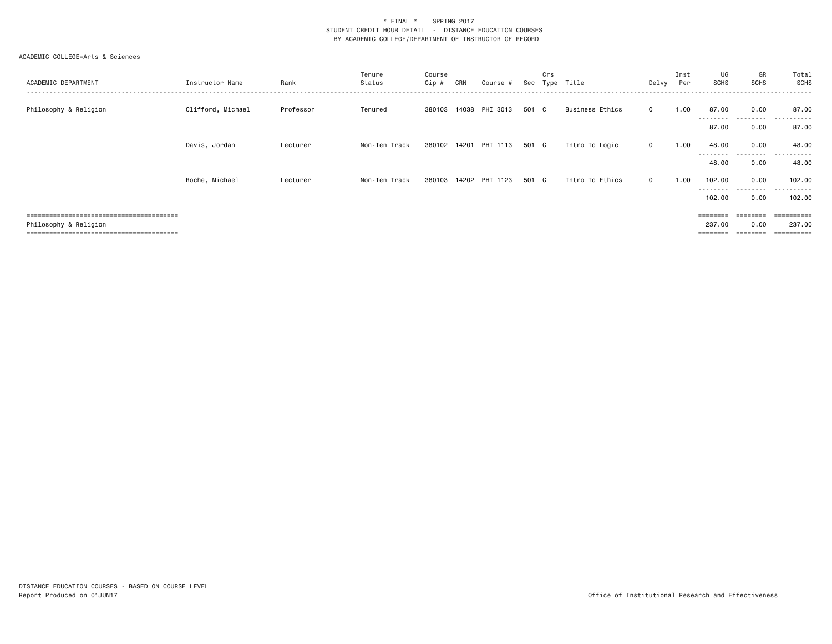| ACADEMIC DEPARTMENT                  | Instructor Name   | Rank      | Tenure<br>Status | Course<br>$Cip$ # | CRN | Course #              | Sec   | Crs<br>Type | Title                  | Delvy       | Inst<br>Per | UG<br>SCHS                                                              | GR<br><b>SCHS</b> | Total<br>SCHS         |
|--------------------------------------|-------------------|-----------|------------------|-------------------|-----|-----------------------|-------|-------------|------------------------|-------------|-------------|-------------------------------------------------------------------------|-------------------|-----------------------|
| Philosophy & Religion                | Clifford, Michael | Professor | Tenured          | 380103            |     | 14038 PHI 3013        | 501 C |             | <b>Business Ethics</b> | $\Omega$    | 1.00        | 87.00<br>--------                                                       | 0.00<br>.         | 87.00                 |
|                                      |                   |           |                  |                   |     |                       |       |             |                        |             |             | 87.00                                                                   | 0.00              | 87.00                 |
|                                      | Davis, Jordan     | Lecturer  | Non-Ten Track    |                   |     | 380102 14201 PHI 1113 | 501 C |             | Intro To Logic         | $\mathbf 0$ | 1.00        | 48.00                                                                   | 0.00              | 48.00                 |
|                                      |                   |           |                  |                   |     |                       |       |             |                        |             |             | ---------<br>48.00                                                      | ------<br>0.00    | .<br>48.00            |
|                                      | Roche, Michael    | Lecturer  | Non-Ten Track    | 380103            |     | 14202 PHI 1123        | 501 C |             | Intro To Ethics        | $\Omega$    | 1.00        | 102.00                                                                  | 0.00              | 102.00                |
|                                      |                   |           |                  |                   |     |                       |       |             |                        |             |             | ---------<br>102.00                                                     | .<br>0.00         | .<br>102.00           |
|                                      |                   |           |                  |                   |     |                       |       |             |                        |             |             | $\qquad \qquad \equiv \equiv \equiv \equiv \equiv \equiv \equiv \equiv$ | ========          | =========             |
| Philosophy & Religion                |                   |           |                  |                   |     |                       |       |             |                        |             |             | 237.00                                                                  | 0.00              | 237,00                |
| ------------------------------------ |                   |           |                  |                   |     |                       |       |             |                        |             |             |                                                                         |                   | $=$ = = = = = = = = : |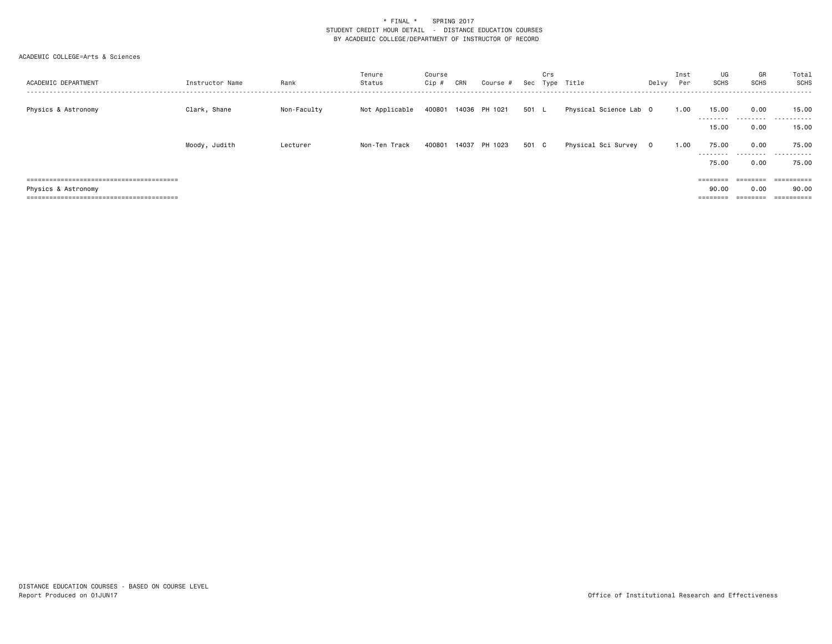| ACADEMIC DEPARTMENT | Instructor Name | Rank        | Tenure<br>Status | Course<br>Cip # | CRN   | Course #      |       | Crs | Sec Type Title         | Delvy | Inst<br>Per | UG<br>SCHS                 | GR<br>SCHS             | Total<br>SCHS       |
|---------------------|-----------------|-------------|------------------|-----------------|-------|---------------|-------|-----|------------------------|-------|-------------|----------------------------|------------------------|---------------------|
| Physics & Astronomy | Clark, Shane    | Non-Faculty | Not Applicable   | 400801          |       | 14036 PH 1021 | 501 L |     | Physical Science Lab 0 |       | 1.00        | 15.00<br>--------<br>15.00 | 0.00<br>.<br>0.00      | 15.00<br>.<br>15.00 |
|                     | Moody, Judith   | Lecturer    | Non-Ten Track    | 400801          | 14037 | PH 1023       | 501 C |     | Physical Sci Survey 0  |       | 1.00        | 75.00<br>---------         | 0.00<br>.              | 75.00<br>.          |
|                     |                 |             |                  |                 |       |               |       |     |                        |       |             | 75.00<br>$=$ = = = = = = = | 0.00<br><b>EEEEEEE</b> | 75.00<br>========== |
| Physics & Astronomy |                 |             |                  |                 |       |               |       |     |                        |       |             | 90.00<br>=======           | 0.00                   | 90.00               |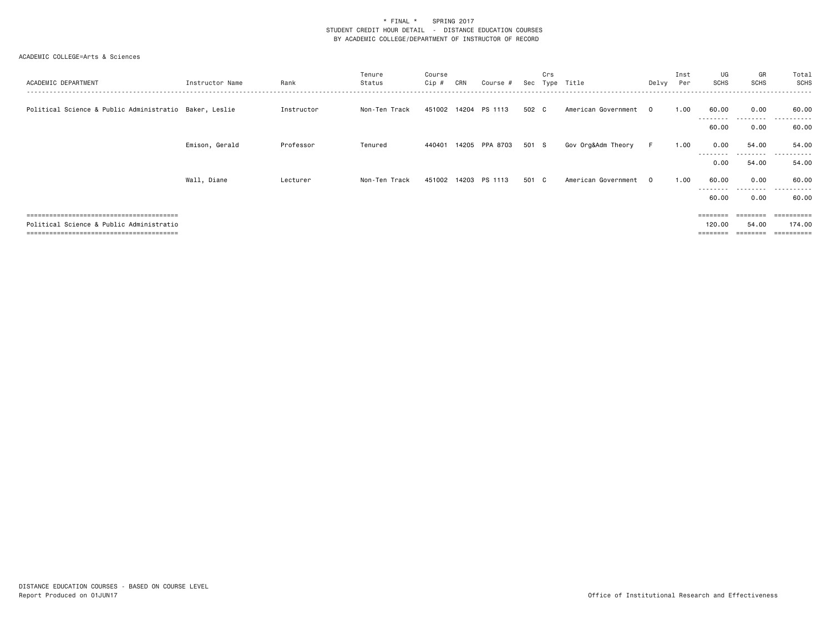| ACADEMIC DEPARTMENT                                    | Instructor Name | Rank       | Tenure<br>Status | Course<br>$Cip \#$ | CRN | Course #             | Sec   | Crs<br>Type | Title               | Delvy    | Inst<br>Per | UG<br><b>SCHS</b>  | GR<br>SCHS | Total<br>SCHS         |
|--------------------------------------------------------|-----------------|------------|------------------|--------------------|-----|----------------------|-------|-------------|---------------------|----------|-------------|--------------------|------------|-----------------------|
| Political Science & Public Administratio Baker, Leslie |                 | Instructor | Non-Ten Track    |                    |     | 451002 14204 PS 1113 | 502 C |             | American Government | $\Omega$ | 1.00        | 60.00              | 0.00<br>.  | 60.00                 |
|                                                        |                 |            |                  |                    |     |                      |       |             |                     |          |             | 60.00              | 0.00       | 60.00                 |
|                                                        | Emison, Gerald  | Professor  | Tenured          | 440401             |     | 14205 PPA 8703       | 501 S |             | Gov Org&Adm Theory  | F.       | 1.00        | 0.00               | 54.00      | 54.00                 |
|                                                        |                 |            |                  |                    |     |                      |       |             |                     |          |             | --------<br>0.00   | .<br>54.00 | .<br>54.00            |
|                                                        | Wall, Diane     | Lecturer   | Non-Ten Track    | 451002             |     | 14203 PS 1113        | 501 C |             | American Government | $\Omega$ | 1.00        | 60.00              | 0.00       | 60.00                 |
|                                                        |                 |            |                  |                    |     |                      |       |             |                     |          |             | ---------<br>60.00 | .<br>0.00  | .<br>60.00            |
|                                                        |                 |            |                  |                    |     |                      |       |             |                     |          |             | $=$ = = = = = = =  |            | =========             |
| Political Science & Public Administratio               |                 |            |                  |                    |     |                      |       |             |                     |          |             | 120.00             | 54.00      | 174.00                |
| , ____________________________________                 |                 |            |                  |                    |     |                      |       |             |                     |          |             |                    |            | $=$ = = = = = = = = : |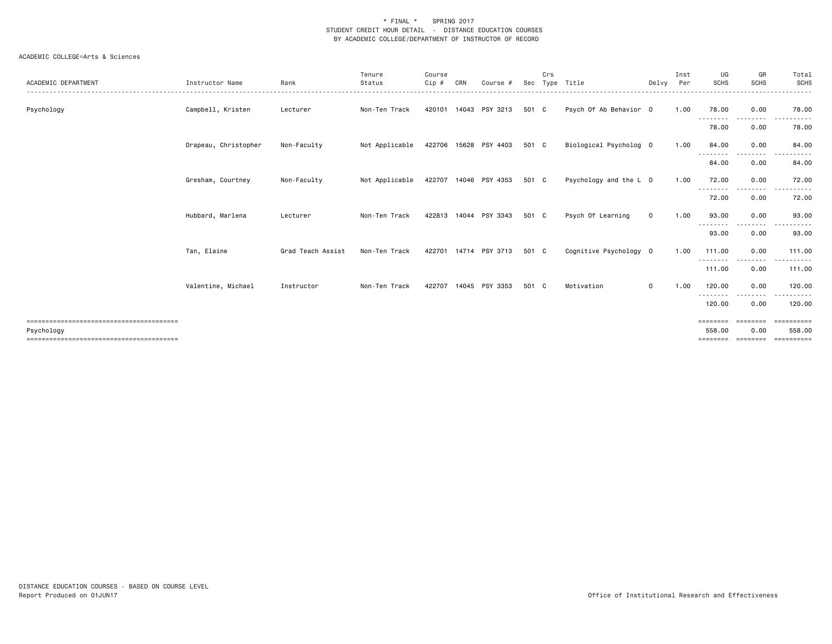| ACADEMIC DEPARTMENT | Instructor Name      | Rank              | Tenure<br>Status | Course<br>Cip # | CRN   | Course #              | Sec   | Crs | Type Title             | Delvy       | Inst<br>Per | UG<br><b>SCHS</b>              | GR<br><b>SCHS</b> | Total<br>SCHS                      |
|---------------------|----------------------|-------------------|------------------|-----------------|-------|-----------------------|-------|-----|------------------------|-------------|-------------|--------------------------------|-------------------|------------------------------------|
| Psychology          | Campbell, Kristen    | Lecturer          | Non-Ten Track    | 420101          |       | 14043 PSY 3213        | 501 C |     | Psych Of Ab Behavior 0 |             | 1.00        | 78.00                          | 0.00              | .<br>78.00                         |
|                     |                      |                   |                  |                 |       |                       |       |     |                        |             |             | ---------<br>78.00             | ---------<br>0.00 | .<br>78.00                         |
|                     | Drapeau, Christopher | Non-Faculty       | Not Applicable   |                 |       | 422706 15628 PSY 4403 | 501 C |     | Biological Psycholog 0 |             | 1.00        | 84,00                          | 0.00              | 84.00                              |
|                     |                      |                   |                  |                 |       |                       |       |     |                        |             |             | .<br>84.00                     | .<br>0.00         | 84.00                              |
|                     | Gresham, Courtney    | Non-Faculty       | Not Applicable   |                 |       | 422707 14046 PSY 4353 | 501 C |     | Psychology and the L 0 |             | 1.00        | 72.00                          | 0.00              | 72.00                              |
|                     |                      |                   |                  |                 |       |                       |       |     |                        |             |             | - - - - - - - -<br>72.00       | .<br>0.00         | 72.00                              |
|                     | Hubbard, Marlena     | Lecturer          | Non-Ten Track    |                 |       | 422813 14044 PSY 3343 | 501 C |     | Psych Of Learning      | $\mathbf 0$ | 1.00        | 93.00<br><u>.</u>              | 0.00<br>$- - - -$ | 93.00                              |
|                     |                      |                   |                  |                 |       |                       |       |     |                        |             |             | 93.00                          | 0.00              | 93.00                              |
|                     | Tan, Elaine          | Grad Teach Assist | Non-Ten Track    |                 |       | 422701 14714 PSY 3713 | 501 C |     | Cognitive Psychology 0 |             | 1.00        | 111.00<br>--------             | 0.00<br>--------- | 111.00<br>.                        |
|                     |                      |                   |                  |                 |       |                       |       |     |                        |             |             | 111.00                         | 0.00              | 111.00                             |
|                     | Valentine, Michael   | Instructor        | Non-Ten Track    | 422707          | 14045 | PSY 3353              | 501 C |     | Motivation             | $\mathbf 0$ | 1.00        | 120.00<br>--------             | 0.00<br>.         | 120.00<br>------                   |
|                     |                      |                   |                  |                 |       |                       |       |     |                        |             |             | 120.00                         | 0.00              | 120.00                             |
| Psychology          |                      |                   |                  |                 |       |                       |       |     |                        |             |             | ========<br>558,00<br>======== | ========<br>0.00  | ==========<br>558.00<br>========== |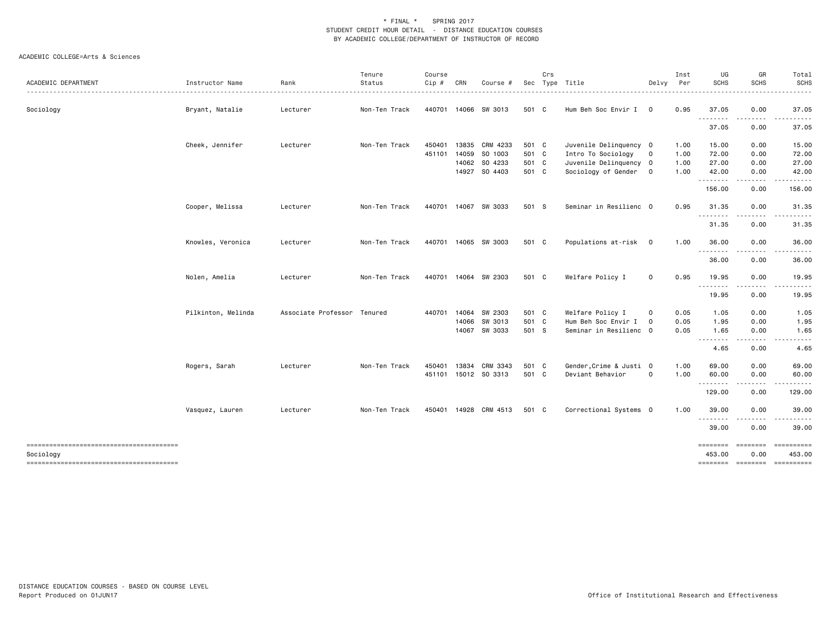|                     |                    |                             | Tenure        | Course       |       |                       |       | Crs |                         |                | Inst | UG                 | GR                        | Total            |
|---------------------|--------------------|-----------------------------|---------------|--------------|-------|-----------------------|-------|-----|-------------------------|----------------|------|--------------------|---------------------------|------------------|
| ACADEMIC DEPARTMENT | Instructor Name    | Rank                        | Status        | Cip #        | CRN   | Course #              |       |     | Sec Type Title          | Delvy          | Per  | <b>SCHS</b>        | SCHS                      | <b>SCHS</b><br>. |
| Sociology           | Bryant, Natalie    | Lecturer                    | Non-Ten Track |              |       | 440701 14066 SW 3013  | 501 C |     | Hum Beh Soc Envir I     | $\mathbf 0$    | 0.95 | 37.05<br>.         | 0.00                      | 37.05            |
|                     |                    |                             |               |              |       |                       |       |     |                         |                |      | 37.05              | 0.00                      | 37.05            |
|                     | Cheek, Jennifer    | Lecturer                    | Non-Ten Track | 450401       | 13835 | CRM 4233              | 501 C |     | Juvenile Delinquency 0  |                | 1.00 | 15.00              | 0.00                      | 15.00            |
|                     |                    |                             |               | 451101       | 14059 | SO 1003               | 501 C |     | Intro To Sociology      | 0              | 1.00 | 72.00              | 0.00                      | 72.00            |
|                     |                    |                             |               |              |       | 14062 SO 4233         | 501 C |     | Juvenile Delinquency 0  |                | 1.00 | 27.00              | 0.00                      | 27.00            |
|                     |                    |                             |               |              |       | 14927 SO 4403         | 501 C |     | Sociology of Gender     | $\overline{0}$ | 1.00 | 42.00              | 0.00<br>.                 | 42.00            |
|                     |                    |                             |               |              |       |                       |       |     |                         |                |      | 156.00             | 0.00                      | 156.00           |
|                     | Cooper, Melissa    | Lecturer                    | Non-Ten Track |              |       | 440701 14067 SW 3033  | 501 S |     | Seminar in Resilienc 0  |                | 0.95 | 31.35<br>.         | 0.00                      | 31.35            |
|                     |                    |                             |               |              |       |                       |       |     |                         |                |      | 31.35              | 0.00                      | 31.35            |
|                     | Knowles, Veronica  | Lecturer                    | Non-Ten Track |              |       | 440701 14065 SW 3003  | 501 C |     | Populations at-risk 0   |                | 1.00 | 36.00<br>.         | 0.00<br>.                 | 36.00            |
|                     |                    |                             |               |              |       |                       |       |     |                         |                |      | 36.00              | 0.00                      | 36.00            |
|                     | Nolen, Amelia      | Lecturer                    | Non-Ten Track |              |       | 440701 14064 SW 2303  | 501 C |     | Welfare Policy I        | $\mathsf{O}$   | 0.95 | 19.95<br>--------  | 0.00                      | 19.95            |
|                     |                    |                             |               |              |       |                       |       |     |                         |                |      | 19.95              | 0.00                      | 19.95            |
|                     | Pilkinton, Melinda | Associate Professor Tenured |               | 440701 14064 |       | SW 2303               | 501 C |     | Welfare Policy I        | $\mathbf 0$    | 0.05 | 1.05               | 0.00                      | 1.05             |
|                     |                    |                             |               |              | 14066 | SW 3013               | 501 C |     | Hum Beh Soc Envir I     | $\mathbf 0$    | 0.05 | 1.95               | 0.00                      | 1.95             |
|                     |                    |                             |               |              |       | 14067 SW 3033         | 501 S |     | Seminar in Resilienc 0  |                | 0.05 | 1.65               | 0.00                      | 1.65             |
|                     |                    |                             |               |              |       |                       |       |     |                         |                |      | .<br>4.65          | 0.00                      | 4.65             |
|                     | Rogers, Sarah      | Lecturer                    | Non-Ten Track | 450401       |       | 13834 CRM 3343        | 501 C |     | Gender, Crime & Justi 0 |                | 1.00 | 69.00              | 0.00                      | 69.00            |
|                     |                    |                             |               |              |       | 451101 15012 SO 3313  | 501 C |     | Deviant Behavior        | $\mathbf 0$    | 1.00 | 60.00<br>--------  | 0.00                      | 60.00            |
|                     |                    |                             |               |              |       |                       |       |     |                         |                |      | 129.00             | 0.00                      | 129.00           |
|                     | Vasquez, Lauren    | Lecturer                    | Non-Ten Track |              |       | 450401 14928 CRM 4513 | 501 C |     | Correctional Systems 0  |                | 1.00 | 39.00              | 0.00                      | 39.00            |
|                     |                    |                             |               |              |       |                       |       |     |                         |                |      | .<br>39.00         | 0.00                      | 39.00            |
| Sociology           |                    |                             |               |              |       |                       |       |     |                         |                |      | ========<br>453.00 | $= = = = = = = =$<br>0.00 | 453.00           |
|                     |                    |                             |               |              |       |                       |       |     |                         |                |      |                    | -------- -------          | ==========       |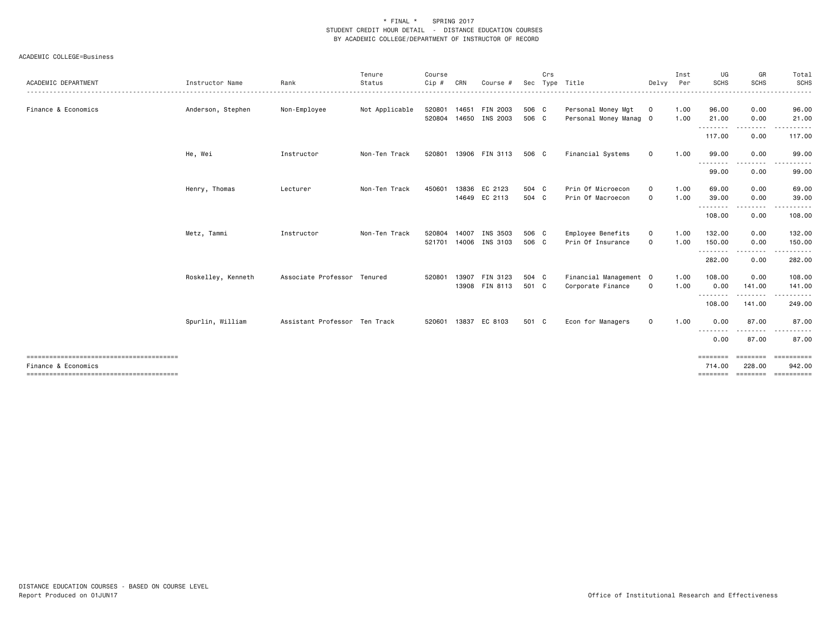| ACADEMIC DEPARTMENT | Instructor Name    | Rank                          | Tenure<br>Status | Course<br>Cip #        | CRN   | Course #                       | Sec            | Crs | Type Title                                   | Delvy                      | Inst<br>Per  | UG<br><b>SCHS</b>              | GR<br><b>SCHS</b>              | Total<br>SCHS                      |
|---------------------|--------------------|-------------------------------|------------------|------------------------|-------|--------------------------------|----------------|-----|----------------------------------------------|----------------------------|--------------|--------------------------------|--------------------------------|------------------------------------|
| Finance & Economics | Anderson, Stephen  | Non-Employee                  | Not Applicable   | 520801<br>520804       | 14650 | 14651 FIN 2003<br>INS 2003     | 506 C<br>506 C |     | Personal Money Mgt<br>Personal Money Manag 0 | $\mathbf 0$                | 1.00<br>1.00 | 96.00<br>21.00                 | 0.00<br>0.00                   | 96.00<br>21.00                     |
|                     |                    |                               |                  |                        |       |                                |                |     |                                              |                            |              | ---------<br>117.00            | $\cdots \cdots \cdots$<br>0.00 | 117.00                             |
|                     | He, Wei            | Instructor                    | Non-Ten Track    | 520801                 |       | 13906 FIN 3113                 | 506 C          |     | Financial Systems                            | 0                          | 1.00         | 99.00<br>--------              | 0.00                           | 99.00                              |
|                     |                    |                               |                  |                        |       |                                |                |     |                                              |                            |              | 99.00                          | 0.00                           | 99.00                              |
|                     | Henry, Thomas      | Lecturer                      | Non-Ten Track    | 450601                 |       | 13836 EC 2123<br>14649 EC 2113 | 504 C<br>504 C |     | Prin Of Microecon<br>Prin Of Macroecon       | $\mathbf 0$<br>$\mathbf 0$ | 1.00<br>1.00 | 69.00<br>39.00<br>--------     | 0.00<br>0.00                   | 69.00<br>39.00                     |
|                     |                    |                               |                  |                        |       |                                |                |     |                                              |                            |              | 108.00                         | 0.00                           | 108.00                             |
|                     | Metz, Tammi        | Instructor                    | Non-Ten Track    | 520804<br>521701 14006 | 14007 | INS 3503<br>INS 3103           | 506 C<br>506 C |     | Employee Benefits<br>Prin Of Insurance       | 0<br>$\Omega$              | 1.00<br>1.00 | 132.00<br>150.00<br>.          | 0.00<br>0.00                   | 132.00<br>150.00                   |
|                     |                    |                               |                  |                        |       |                                |                |     |                                              |                            |              | 282.00                         | 0.00                           | 282.00                             |
|                     | Roskelley, Kenneth | Associate Professor Tenured   |                  | 520801                 | 13907 | FIN 3123<br>13908 FIN 8113     | 504 C<br>501 C |     | Financial Management 0<br>Corporate Finance  | $\mathbf 0$                | 1.00<br>1.00 | 108.00<br>0.00                 | 0.00<br>141.00                 | 108.00<br>141.00                   |
|                     |                    |                               |                  |                        |       |                                |                |     |                                              |                            |              | .<br>108.00                    | .<br>141.00                    | 249.00                             |
|                     | Spurlin, William   | Assistant Professor Ten Track |                  | 520601                 | 13837 | EC 8103                        | 501 C          |     | Econ for Managers                            | $\mathbf 0$                | 1.00         | 0.00<br>--------               | 87.00<br>- - - - -             | 87.00                              |
|                     |                    |                               |                  |                        |       |                                |                |     |                                              |                            |              | 0.00                           | 87.00                          | 87.00                              |
| Finance & Economics |                    |                               |                  |                        |       |                                |                |     |                                              |                            |              | ========<br>714.00<br>======== | 228.00<br>========             | ==========<br>942.00<br>========== |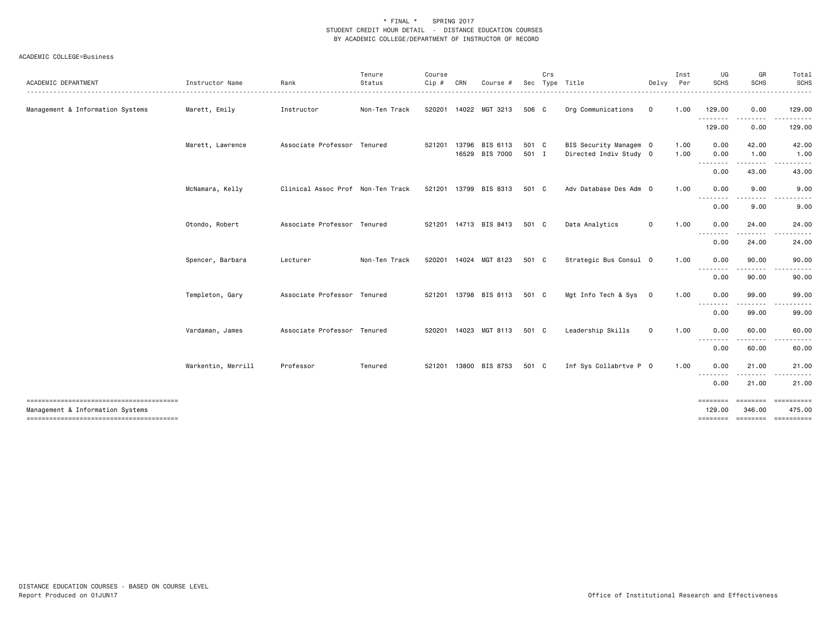| ACADEMIC DEPARTMENT                                                        | Instructor Name    | Rank                              | Tenure<br>Status | Course<br>Cip # | CRN   | Course #                   | Sec            | Crs | Type Title                                       | Delvy        | Inst<br>Per  | UG<br>SCHS                                                                                                                             | GR<br>SCHS                      | Total<br><b>SCHS</b><br>$- - - - -$   |
|----------------------------------------------------------------------------|--------------------|-----------------------------------|------------------|-----------------|-------|----------------------------|----------------|-----|--------------------------------------------------|--------------|--------------|----------------------------------------------------------------------------------------------------------------------------------------|---------------------------------|---------------------------------------|
| Management & Information Systems                                           | Marett, Emily      | Instructor                        | Non-Ten Track    |                 |       | 520201 14022 MGT 3213      | 506 C          |     | Org Communications                               | $\mathbf 0$  | 1.00         | 129.00                                                                                                                                 | 0.00                            | 129.00                                |
|                                                                            |                    |                                   |                  |                 |       |                            |                |     |                                                  |              |              | .<br>129.00                                                                                                                            | .<br>0.00                       | .<br>129.00                           |
|                                                                            | Marett, Lawrence   | Associate Professor Tenured       |                  | 521201          | 13796 | BIS 6113<br>16529 BIS 7000 | 501 C<br>501 I |     | BIS Security Managem 0<br>Directed Indiv Study 0 |              | 1.00<br>1.00 | 0.00<br>0.00                                                                                                                           | 42.00<br>1.00                   | 42.00<br>1.00                         |
|                                                                            |                    |                                   |                  |                 |       |                            |                |     |                                                  |              |              | .<br>0.00                                                                                                                              | $\cdots \cdots \cdots$<br>43.00 | .<br>43.00                            |
|                                                                            | McNamara, Kelly    | Clinical Assoc Prof Non-Ten Track |                  |                 |       | 521201 13799 BIS 8313      | 501 C          |     | Adv Database Des Adm 0                           |              | 1.00         | 0.00<br>$\frac{1}{2} \frac{1}{2} \frac{1}{2} \frac{1}{2} \frac{1}{2} \frac{1}{2}$                                                      | 9.00                            | 9.00                                  |
|                                                                            |                    |                                   |                  |                 |       |                            |                |     |                                                  |              |              | 0.00                                                                                                                                   | 9.00                            | 9.00                                  |
|                                                                            | Otondo, Robert     | Associate Professor Tenured       |                  |                 |       | 521201 14713 BIS 8413      | 501 C          |     | Data Analytics                                   | 0            | 1.00         | 0.00                                                                                                                                   | 24.00                           | 24.00                                 |
|                                                                            |                    |                                   |                  |                 |       |                            |                |     |                                                  |              |              | .<br>0.00                                                                                                                              | .<br>24.00                      | 24.00                                 |
|                                                                            | Spencer, Barbara   | Lecturer                          | Non-Ten Track    |                 |       | 520201 14024 MGT 8123      | 501 C          |     | Strategic Bus Consul 0                           |              | 1.00         | 0.00<br>--------                                                                                                                       | 90.00<br><u>.</u>               | 90.00<br><u>.</u>                     |
|                                                                            |                    |                                   |                  |                 |       |                            |                |     |                                                  |              |              | 0.00                                                                                                                                   | 90.00                           | 90.00                                 |
|                                                                            | Templeton, Gary    | Associate Professor Tenured       |                  |                 |       | 521201 13798 BIS 8113      | 501 C          |     | Mgt Info Tech & Sys                              | $\mathbf{0}$ | 1.00         | 0.00                                                                                                                                   | 99.00                           | 99.00                                 |
|                                                                            |                    |                                   |                  |                 |       |                            |                |     |                                                  |              |              | .<br>0.00                                                                                                                              | 99.00                           | 99.00                                 |
|                                                                            | Vardaman, James    | Associate Professor Tenured       |                  |                 |       | 520201 14023 MGT 8113      | 501 C          |     | Leadership Skills                                | $\mathbf 0$  | 1.00         | 0.00                                                                                                                                   | 60.00                           | 60.00                                 |
|                                                                            |                    |                                   |                  |                 |       |                            |                |     |                                                  |              |              | $\frac{1}{2} \left( \frac{1}{2} \right) \left( \frac{1}{2} \right) \left( \frac{1}{2} \right) \left( \frac{1}{2} \right)$<br>.<br>0.00 | 60.00                           | 60.00                                 |
|                                                                            | Warkentin, Merrill | Professor                         | Tenured          |                 |       | 521201 13800 BIS 8753      | 501 C          |     | Inf Sys Collabrtve P 0                           |              | 1.00         | 0.00                                                                                                                                   | 21.00                           | 21.00                                 |
|                                                                            |                    |                                   |                  |                 |       |                            |                |     |                                                  |              |              | - - - - - - - -<br>0.00                                                                                                                | .<br>21.00                      | 21.00                                 |
|                                                                            |                    |                                   |                  |                 |       |                            |                |     |                                                  |              |              |                                                                                                                                        | ========                        | ==========                            |
| Management & Information Systems<br>-------------------------------------- |                    |                                   |                  |                 |       |                            |                |     |                                                  |              |              | 129,00                                                                                                                                 | 346.00                          | 475.00<br>======== ======== ========= |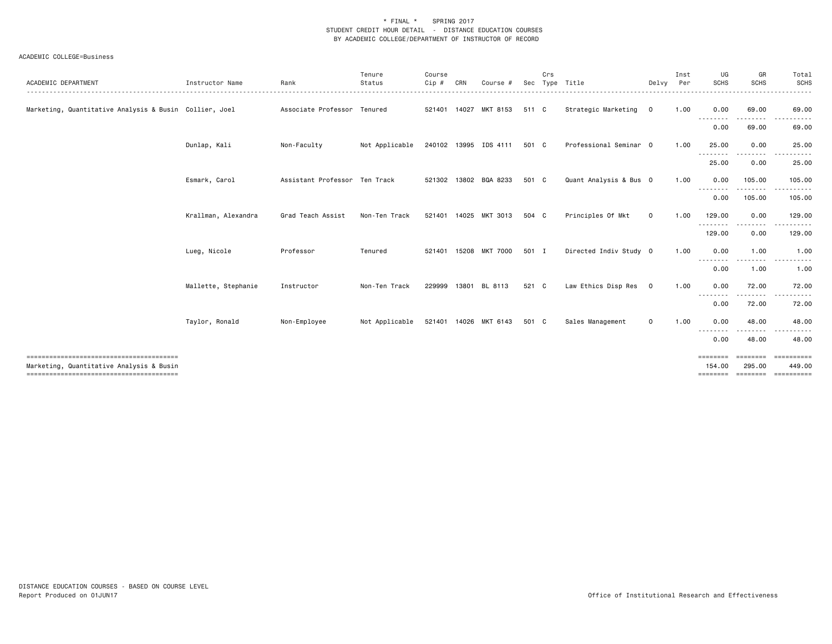| ACADEMIC DEPARTMENT                                    | Instructor Name     | Rank                          | Tenure<br>Status<br>.                | Course<br>Cip# | CRN          | Course                | Sec   | Crs | Type Title             | Delvy       | Inst<br>Per<br>. | UG<br><b>SCHS</b>                                                                                                                 | GR<br><b>SCHS</b>  | Total<br>SCHS<br><u>.</u> |
|--------------------------------------------------------|---------------------|-------------------------------|--------------------------------------|----------------|--------------|-----------------------|-------|-----|------------------------|-------------|------------------|-----------------------------------------------------------------------------------------------------------------------------------|--------------------|---------------------------|
| Marketing, Quantitative Analysis & Busin Collier, Joel |                     | Associate Professor Tenured   |                                      |                | 521401 14027 | MKT 8153              | 511 C |     | Strategic Marketing 0  |             | 1.00             | 0.00<br>--------                                                                                                                  | 69.00              | 69.00                     |
|                                                        |                     |                               |                                      |                |              |                       |       |     |                        |             |                  | 0.00                                                                                                                              | 69.00              | 69.00                     |
|                                                        | Dunlap, Kali        | Non-Faculty                   | Not Applicable 240102 13995 IDS 4111 |                |              |                       | 501 C |     | Professional Seminar 0 |             | 1.00             | 25.00                                                                                                                             | 0.00               | 25.00                     |
|                                                        |                     |                               |                                      |                |              |                       |       |     |                        |             |                  | .<br>25.00                                                                                                                        | 0.00               | 25.00                     |
|                                                        | Esmark, Carol       | Assistant Professor Ten Track |                                      |                |              | 521302 13802 BQA 8233 | 501 C |     | Quant Analysis & Bus 0 |             | 1.00             | 0.00                                                                                                                              | 105.00             | 105.00                    |
|                                                        |                     |                               |                                      |                |              |                       |       |     |                        |             |                  | --------<br>0.00                                                                                                                  | .<br>105.00        | ----------<br>105.00      |
|                                                        | Krallman, Alexandra | Grad Teach Assist             | Non-Ten Track                        |                |              | 521401 14025 MKT 3013 | 504 C |     | Principles Of Mkt      | $\mathbf 0$ | 1.00             | 129.00                                                                                                                            | 0.00               | 129.00                    |
|                                                        |                     |                               |                                      |                |              |                       |       |     |                        |             |                  | .<br>129.00                                                                                                                       | 0.00               | 129.00                    |
|                                                        | Lueg, Nicole        | Professor                     | Tenured                              |                |              | 521401 15208 MKT 7000 | 501 I |     | Directed Indiv Study 0 |             | 1.00             | 0.00                                                                                                                              | 1.00               | 1.00                      |
|                                                        |                     |                               |                                      |                |              |                       |       |     |                        |             |                  | --------<br>0.00                                                                                                                  | 1.00               | 1.00                      |
|                                                        | Mallette, Stephanie | Instructor                    | Non-Ten Track                        |                |              | 229999 13801 BL 8113  | 521 C |     | Law Ethics Disp Res 0  |             | 1.00             | 0.00                                                                                                                              | 72.00              | 72.00                     |
|                                                        |                     |                               |                                      |                |              |                       |       |     |                        |             |                  | $\frac{1}{2} \left( \frac{1}{2} \right) \left( \frac{1}{2} \right) \left( \frac{1}{2} \right) \left( \frac{1}{2} \right)$<br>0.00 | 72.00              | 72.00                     |
|                                                        | Taylor, Ronald      | Non-Employee                  | Not Applicable                       |                |              | 521401 14026 MKT 6143 | 501 C |     | Sales Management       | 0           | 1.00             | 0.00                                                                                                                              | 48.00              | 48.00                     |
|                                                        |                     |                               |                                      |                |              |                       |       |     |                        |             |                  | $\cdots$<br>0.00                                                                                                                  | 48.00              | 48.00                     |
| Marketing, Quantitative Analysis & Busin               |                     |                               |                                      |                |              |                       |       |     |                        |             |                  | ========<br>154.00                                                                                                                | ========<br>295.00 | ==========<br>449.00      |
|                                                        |                     |                               |                                      |                |              |                       |       |     |                        |             |                  | <b>EBBEBBBB</b>                                                                                                                   | ========           | ==========                |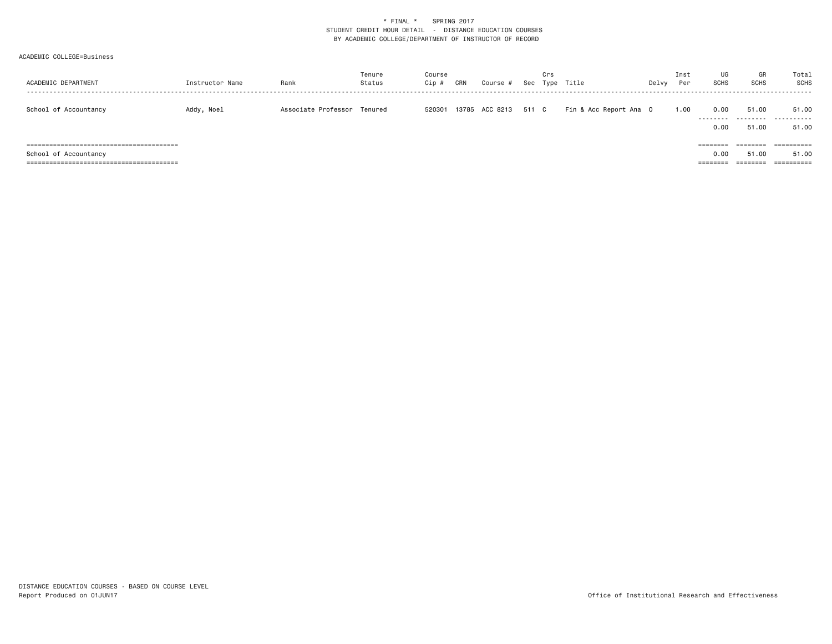| ACADEMIC DEPARTMENT   | Instructor Name | Rank                        | Tenure<br>Status | Course<br>Cip # | CRN | Course #             | Crs | Sec Type Title         | Delvy | Inst<br>Per | UG<br><b>SCHS</b> | GR<br><b>SCHS</b> | Total<br>SCHS          |
|-----------------------|-----------------|-----------------------------|------------------|-----------------|-----|----------------------|-----|------------------------|-------|-------------|-------------------|-------------------|------------------------|
| School of Accountancy | Addy, Noel      | Associate Professor Tenured |                  | 520301          |     | 13785 ACC 8213 511 C |     | Fin & Acc Report Ana O |       | 1.00        | 0.00<br>--------- | 51.00<br>.        | 51.00<br>- - - - - - - |
|                       |                 |                             |                  |                 |     |                      |     |                        |       |             | 0.00              | 51.00             | 51.00                  |
|                       |                 |                             |                  |                 |     |                      |     |                        |       |             | ========          | ========          | ==========             |
| School of Accountancy |                 |                             |                  |                 |     |                      |     |                        |       |             | 0.00              | 51.00             | 51.00                  |
|                       |                 |                             |                  |                 |     |                      |     |                        |       |             | ========          | ========          |                        |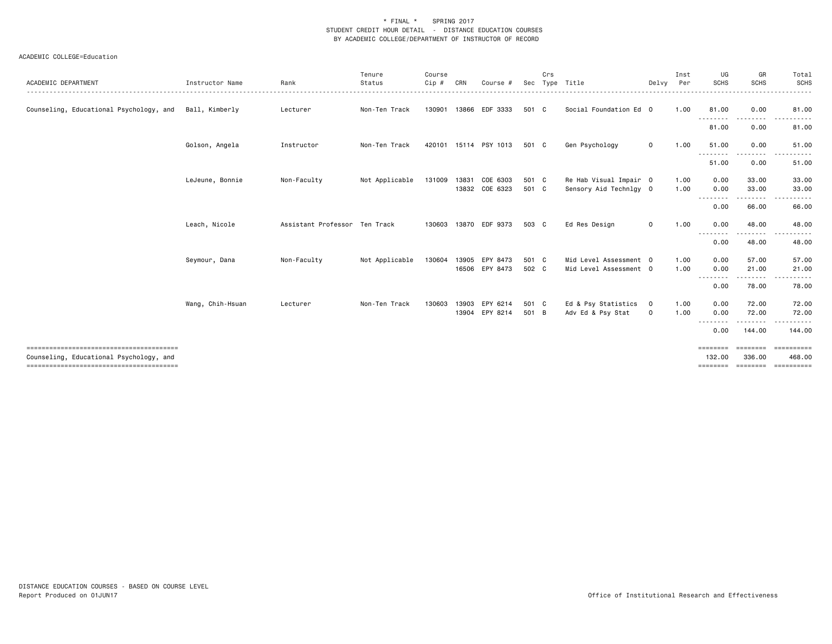| ACADEMIC DEPARTMENT                     | Instructor Name  | Rank                          | Tenure<br>Status | Course<br>Cip# | CRN   | Course #              | Sec   | Crs | Type Title             | Delvy       | Inst<br>Per | UG<br><b>SCHS</b>                                                                                                                 | GR<br><b>SCHS</b>  | Total<br>SCHS         |
|-----------------------------------------|------------------|-------------------------------|------------------|----------------|-------|-----------------------|-------|-----|------------------------|-------------|-------------|-----------------------------------------------------------------------------------------------------------------------------------|--------------------|-----------------------|
| Counseling, Educational Psychology, and | Ball, Kimberly   | Lecturer                      | Non-Ten Track    | 130901         |       | 13866 EDF 3333        | 501 C |     | Social Foundation Ed 0 |             | 1.00        | 81.00<br><u>.</u>                                                                                                                 | 0.00               | 81.00                 |
|                                         |                  |                               |                  |                |       |                       |       |     |                        |             |             | 81.00                                                                                                                             | 0.00               | 81.00                 |
|                                         | Golson, Angela   | Instructor                    | Non-Ten Track    |                |       | 420101 15114 PSY 1013 | 501 C |     | Gen Psychology         | $\mathbf 0$ | 1.00        | 51.00<br>---------                                                                                                                | 0.00<br>-----      | 51.00<br>.            |
|                                         |                  |                               |                  |                |       |                       |       |     |                        |             |             | 51.00                                                                                                                             | 0.00               | 51.00                 |
|                                         | LeJeune, Bonnie  | Non-Faculty                   | Not Applicable   | 131009         | 13831 | COE 6303              | 501 C |     | Re Hab Visual Impair 0 |             | 1.00        | 0.00                                                                                                                              | 33.00              | 33.00                 |
|                                         |                  |                               |                  |                |       | 13832 COE 6323        | 501 C |     | Sensory Aid Technlgy 0 |             | 1.00        | 0.00                                                                                                                              | 33.00              | 33.00                 |
|                                         |                  |                               |                  |                |       |                       |       |     |                        |             |             | --------<br>0.00                                                                                                                  | - - - - -<br>66.00 | -----<br>66.00        |
|                                         | Leach, Nicole    | Assistant Professor Ten Track |                  | 130603         |       | 13870 EDF 9373        | 503 C |     | Ed Res Design          | $\mathbf 0$ | 1.00        | 0.00                                                                                                                              | 48.00              | 48.00                 |
|                                         |                  |                               |                  |                |       |                       |       |     |                        |             |             | --------<br>0.00                                                                                                                  | 48.00              | 48.00                 |
|                                         | Seymour, Dana    | Non-Faculty                   | Not Applicable   | 130604         | 13905 | EPY 8473              | 501 C |     | Mid Level Assessment 0 |             | 1.00        | 0.00                                                                                                                              | 57.00              | 57.00                 |
|                                         |                  |                               |                  |                |       | 16506 EPY 8473        | 502 C |     | Mid Level Assessment 0 |             | 1.00        | 0.00                                                                                                                              | 21.00              | 21.00                 |
|                                         |                  |                               |                  |                |       |                       |       |     |                        |             |             | $\frac{1}{2} \left( \frac{1}{2} \right) \left( \frac{1}{2} \right) \left( \frac{1}{2} \right) \left( \frac{1}{2} \right)$<br>0.00 | .<br>78.00         | .<br>78.00            |
|                                         | Wang, Chih-Hsuan | Lecturer                      | Non-Ten Track    | 130603         | 13903 | EPY 6214              | 501 C |     | Ed & Psy Statistics    | $\mathbf 0$ | 1.00        | 0.00                                                                                                                              | 72.00              | 72.00                 |
|                                         |                  |                               |                  |                |       | 13904 EPY 8214        | 501 B |     | Adv Ed & Psy Stat      | $\mathbf 0$ | 1.00        | 0.00                                                                                                                              | 72.00              | 72.00                 |
|                                         |                  |                               |                  |                |       |                       |       |     |                        |             |             | 0.00                                                                                                                              | 144.00             | 144,00                |
| Counseling, Educational Psychology, and |                  |                               |                  |                |       |                       |       |     |                        |             |             | ========<br>132.00                                                                                                                | ========<br>336,00 | -----------<br>468,00 |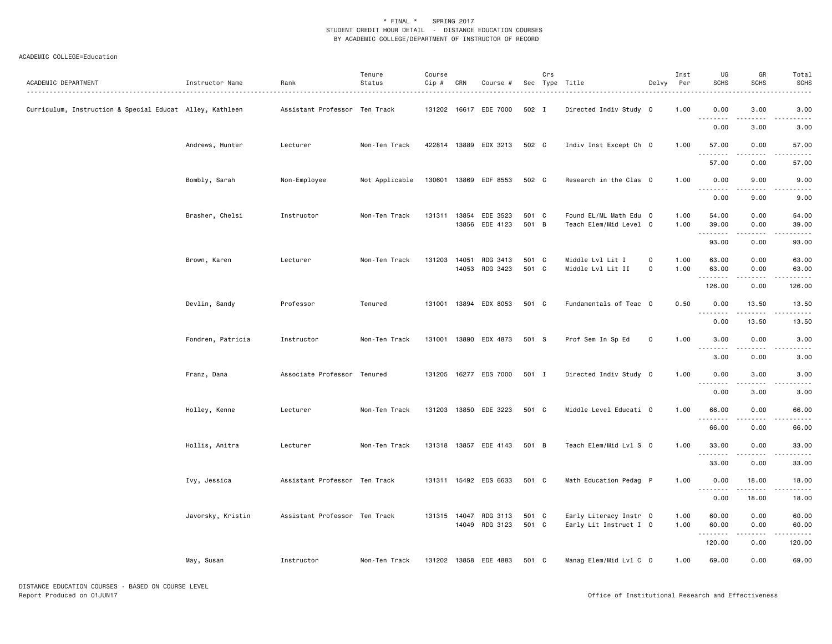| ACADEMIC DEPARTMENT                                      | Instructor Name   | Rank                          | Tenure<br>Status | Course<br>$Cip \#$ | CRN          | Course #                                |                | Crs | Sec Type Title                                   | Delvy                    | Inst<br>Per  | UG<br><b>SCHS</b>                                                                                                                                                                    | GR<br><b>SCHS</b>     | Total<br><b>SCHS</b> |
|----------------------------------------------------------|-------------------|-------------------------------|------------------|--------------------|--------------|-----------------------------------------|----------------|-----|--------------------------------------------------|--------------------------|--------------|--------------------------------------------------------------------------------------------------------------------------------------------------------------------------------------|-----------------------|----------------------|
| Curriculum, Instruction & Special Educat Alley, Kathleen |                   | Assistant Professor Ten Track |                  |                    |              | 131202 16617 EDE 7000                   | 502 I          |     | Directed Indiv Study 0                           |                          | 1.00         | 0.00<br>$\sim$ $\sim$ $\sim$<br>$\frac{1}{2} \left( \frac{1}{2} \right) \left( \frac{1}{2} \right) \left( \frac{1}{2} \right) \left( \frac{1}{2} \right) \left( \frac{1}{2} \right)$ | 3.00                  | 3.00                 |
|                                                          |                   |                               |                  |                    |              |                                         |                |     |                                                  |                          |              | 0.00                                                                                                                                                                                 | 3.00                  | 3.00                 |
|                                                          | Andrews, Hunter   | Lecturer                      | Non-Ten Track    |                    |              | 422814 13889 EDX 3213                   | 502 C          |     | Indiv Inst Except Ch 0                           |                          | 1.00         | 57.00<br>.                                                                                                                                                                           | 0.00<br>.             | 57.00                |
|                                                          |                   |                               |                  |                    |              |                                         |                |     |                                                  |                          |              | 57.00                                                                                                                                                                                | 0.00                  | 57.00                |
|                                                          | Bombly, Sarah     | Non-Employee                  | Not Applicable   |                    |              | 130601 13869 EDF 8553                   | 502 C          |     | Research in the Clas 0                           |                          | 1.00         | 0.00                                                                                                                                                                                 | 9.00                  | 9.00                 |
|                                                          |                   |                               |                  |                    |              |                                         |                |     |                                                  |                          |              | 0.00                                                                                                                                                                                 | 9.00                  | 9.00                 |
|                                                          | Brasher, Chelsi   | Instructor                    | Non-Ten Track    |                    | 131311 13854 | EDE 3523<br>13856 EDE 4123              | 501 C<br>501 B |     | Found EL/ML Math Edu 0<br>Teach Elem/Mid Level 0 |                          | 1.00<br>1.00 | 54.00<br>39.00<br>.                                                                                                                                                                  | 0.00<br>0.00<br>.     | 54.00<br>39.00       |
|                                                          |                   |                               |                  |                    |              |                                         |                |     |                                                  |                          |              | 93.00                                                                                                                                                                                | 0.00                  | 93.00                |
|                                                          | Brown, Karen      | Lecturer                      | Non-Ten Track    | 131203             | 14051        | RDG 3413<br>14053 RDG 3423              | 501 C<br>501 C |     | Middle Lvl Lit I<br>Middle Lvl Lit II            | 0<br>$\mathsf{O}\xspace$ | 1.00<br>1.00 | 63.00<br>63.00<br>.                                                                                                                                                                  | 0.00<br>0.00<br>.     | 63.00<br>63.00       |
|                                                          |                   |                               |                  |                    |              |                                         |                |     |                                                  |                          |              | 126.00                                                                                                                                                                               | 0.00                  | 126.00               |
|                                                          | Devlin, Sandy     | Professor                     | Tenured          |                    |              | 131001 13894 EDX 8053                   | 501 C          |     | Fundamentals of Teac 0                           |                          | 0.50         | 0.00<br>$  -$<br>.                                                                                                                                                                   | 13.50                 | 13.50                |
|                                                          |                   |                               |                  |                    |              |                                         |                |     |                                                  |                          |              | 0.00                                                                                                                                                                                 | 13.50                 | 13.50                |
|                                                          | Fondren, Patricia | Instructor                    | Non-Ten Track    |                    |              | 131001 13890 EDX 4873                   | 501 S          |     | Prof Sem In Sp Ed                                | $\mathbf 0$              | 1.00         | 3.00<br><b></b>                                                                                                                                                                      | 0.00<br>$\frac{1}{2}$ | 3.00                 |
|                                                          |                   |                               |                  |                    |              |                                         |                |     |                                                  |                          |              | 3.00                                                                                                                                                                                 | 0.00                  | 3.00                 |
|                                                          | Franz, Dana       | Associate Professor Tenured   |                  |                    |              | 131205 16277 EDS 7000                   | 501 I          |     | Directed Indiv Study 0                           |                          | 1.00         | 0.00<br>$  -$                                                                                                                                                                        | 3.00                  | 3.00                 |
|                                                          |                   |                               |                  |                    |              |                                         |                |     |                                                  |                          |              | 0.00                                                                                                                                                                                 | 3.00                  | 3.00                 |
|                                                          | Holley, Kenne     | Lecturer                      | Non-Ten Track    |                    |              | 131203 13850 EDE 3223                   | 501 C          |     | Middle Level Educati 0                           |                          | 1.00         | 66.00<br>$\sim$ $\sim$ $\sim$                                                                                                                                                        | 0.00                  | 66.00                |
|                                                          |                   |                               |                  |                    |              |                                         |                |     |                                                  |                          |              | 66.00                                                                                                                                                                                | 0.00                  | 66.00                |
|                                                          | Hollis, Anitra    | Lecturer                      | Non-Ten Track    |                    |              | 131318 13857 EDE 4143                   | 501 B          |     | Teach Elem/Mid Lvl S 0                           |                          | 1.00         | 33.00<br>.                                                                                                                                                                           | 0.00                  | 33.00                |
|                                                          |                   |                               |                  |                    |              |                                         |                |     |                                                  |                          |              | 33.00                                                                                                                                                                                | 0.00                  | 33.00                |
|                                                          | Ivy, Jessica      | Assistant Professor Ten Track |                  |                    |              | 131311 15492 EDS 6633                   | 501 C          |     | Math Education Pedag P                           |                          | 1.00         | 0.00<br>$\sim$ $\sim$ $\sim$                                                                                                                                                         | 18.00                 | 18.00                |
|                                                          |                   |                               |                  |                    |              |                                         |                |     |                                                  |                          |              | 0.00                                                                                                                                                                                 | 18.00                 | 18.00                |
|                                                          | Javorsky, Kristin | Assistant Professor Ten Track |                  |                    |              | 131315 14047 RDG 3113<br>14049 RDG 3123 | 501 C<br>501 C |     | Early Literacy Instr 0<br>Early Lit Instruct I 0 |                          | 1.00<br>1.00 | 60.00<br>60.00                                                                                                                                                                       | 0.00<br>0.00          | 60.00<br>60.00       |
|                                                          |                   |                               |                  |                    |              |                                         |                |     |                                                  |                          |              | .<br>120.00                                                                                                                                                                          | <u>.</u><br>0.00      | 120.00               |
|                                                          | May, Susan        | Instructor                    | Non-Ten Track    |                    |              | 131202 13858 EDE 4883                   | 501 C          |     | Manag Elem/Mid Lvl C 0                           |                          | 1.00         | 69.00                                                                                                                                                                                | 0.00                  | 69.00                |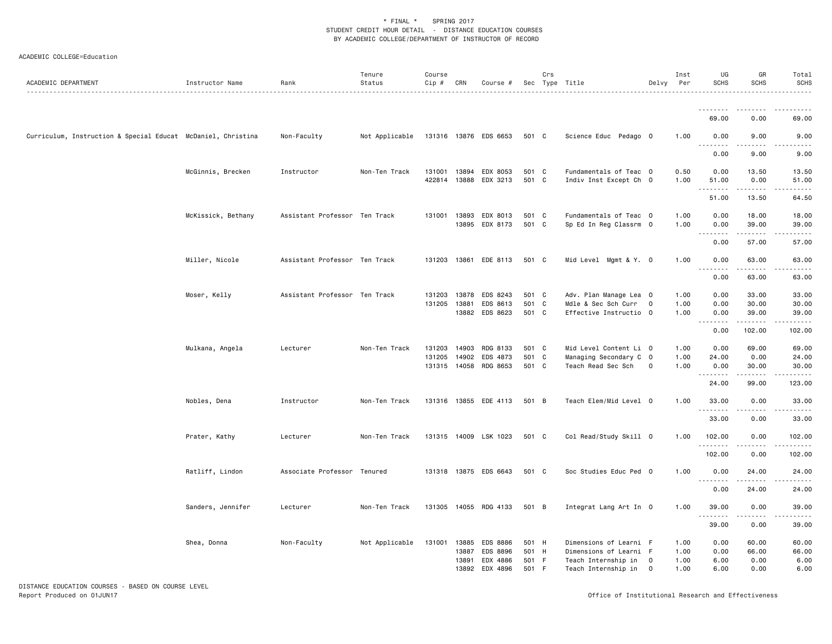| ACADEMIC DEPARTMENT                                          | Instructor Name    | Rank                          | Tenure<br>Status | Course<br>$Cip \#$ | CRN            | Course #                   |                | Crs          | Sec Type Title                                   | Delvy          | Inst<br>Per  | UG<br><b>SCHS</b> | GR<br><b>SCHS</b>                                                                                                                                             | Total<br><b>SCHS</b>                    |
|--------------------------------------------------------------|--------------------|-------------------------------|------------------|--------------------|----------------|----------------------------|----------------|--------------|--------------------------------------------------|----------------|--------------|-------------------|---------------------------------------------------------------------------------------------------------------------------------------------------------------|-----------------------------------------|
|                                                              |                    |                               |                  |                    |                |                            |                |              |                                                  |                |              | <u>.</u><br>69.00 | 0.00                                                                                                                                                          | 69.00                                   |
| Curriculum, Instruction & Special Educat McDaniel, Christina |                    | Non-Faculty                   | Not Applicable   |                    |                | 131316 13876 EDS 6653      | 501 C          |              | Science Educ Pedago 0                            |                | 1.00         | 0.00              | 9.00                                                                                                                                                          | 9.00                                    |
|                                                              |                    |                               |                  |                    |                |                            |                |              |                                                  |                |              | .<br>0.00         | 9.00                                                                                                                                                          | -----<br>9.00                           |
|                                                              | McGinnis, Brecken  | Instructor                    | Non-Ten Track    | 131001             | 13894          | EDX 8053                   | 501 C          |              | Fundamentals of Teac 0                           |                | 0.50         | 0.00              | 13.50                                                                                                                                                         | 13.50                                   |
|                                                              |                    |                               |                  | 422814             |                | 13888 EDX 3213             | 501 C          |              | Indiv Inst Except Ch 0                           |                | 1.00         | 51.00<br>.        | 0.00<br>.                                                                                                                                                     | 51.00<br>.                              |
|                                                              |                    |                               |                  |                    |                |                            |                |              |                                                  |                |              | 51.00             | 13.50                                                                                                                                                         | 64.50                                   |
|                                                              | McKissick, Bethany | Assistant Professor Ten Track |                  | 131001             | 13893          | EDX 8013                   | 501 C          |              | Fundamentals of Teac 0                           |                | 1.00         | 0.00              | 18.00                                                                                                                                                         | 18.00                                   |
|                                                              |                    |                               |                  |                    |                | 13895 EDX 8173             | 501 C          |              | Sp Ed In Reg Classrm 0                           |                | 1.00         | 0.00<br>.         | 39.00<br>.                                                                                                                                                    | 39.00<br>.                              |
|                                                              |                    |                               |                  |                    |                |                            |                |              |                                                  |                |              | 0.00              | 57.00                                                                                                                                                         | 57.00                                   |
|                                                              | Miller, Nicole     | Assistant Professor Ten Track |                  | 131203             |                | 13861 EDE 8113             | 501 C          |              | Mid Level Mgmt & Y. O                            |                | 1.00         | 0.00<br>.         | 63.00<br>$\frac{1}{2}$                                                                                                                                        | 63.00<br>.                              |
|                                                              |                    |                               |                  |                    |                |                            |                |              |                                                  |                |              | 0.00              | 63.00                                                                                                                                                         | 63.00                                   |
|                                                              | Moser, Kelly       | Assistant Professor Ten Track |                  | 131203             |                | 13878 EDS 8243             | 501 C          |              | Adv. Plan Manage Lea 0                           |                | 1.00         | 0.00              | 33.00                                                                                                                                                         | 33.00                                   |
|                                                              |                    |                               |                  | 131205             | 13881          | EDS 8613<br>13882 EDS 8623 | 501<br>501 C   | $\mathbf{C}$ | Mdle & Sec Sch Curr<br>Effective Instructio 0    | $\mathbf 0$    | 1.00<br>1.00 | 0.00<br>0.00      | 30.00<br>39.00                                                                                                                                                | 30.00<br>39.00                          |
|                                                              |                    |                               |                  |                    |                |                            |                |              |                                                  |                |              | .<br>0.00         | .<br>102.00                                                                                                                                                   | ------<br>102.00                        |
|                                                              | Mulkana, Angela    | Lecturer                      | Non-Ten Track    | 131203             | 14903          | RDG 8133                   | 501 C          |              | Mid Level Content Li 0                           |                | 1.00         | 0.00              | 69.00                                                                                                                                                         | 69.00                                   |
|                                                              |                    |                               |                  | 131205             |                | 14902 EDS 4873             | 501 C          |              | Managing Secondary C 0                           |                | 1.00         | 24.00             | 0.00                                                                                                                                                          | 24.00                                   |
|                                                              |                    |                               |                  | 131315             | 14058          | RDG 8653                   | 501 C          |              | Teach Read Sec Sch                               | $\mathbf{0}$   | 1.00         | 0.00<br>.         | 30.00                                                                                                                                                         | 30.00<br>$\omega$ is $\omega$ in .      |
|                                                              |                    |                               |                  |                    |                |                            |                |              |                                                  |                |              | 24.00             | 99.00                                                                                                                                                         | 123.00                                  |
|                                                              | Nobles, Dena       | Instructor                    | Non-Ten Track    |                    |                | 131316 13855 EDE 4113      | 501 B          |              | Teach Elem/Mid Level 0                           |                | 1.00         | 33.00<br>.        | 0.00<br>.                                                                                                                                                     | 33.00<br>.                              |
|                                                              |                    |                               |                  |                    |                |                            |                |              |                                                  |                |              | 33.00             | 0.00                                                                                                                                                          | 33.00                                   |
|                                                              | Prater, Kathy      | Lecturer                      | Non-Ten Track    |                    |                | 131315 14009 LSK 1023      | 501 C          |              | Col Read/Study Skill 0                           |                | 1.00         | 102.00<br>.       | 0.00<br>.                                                                                                                                                     | 102.00<br>$\alpha$ is a single $\alpha$ |
|                                                              |                    |                               |                  |                    |                |                            |                |              |                                                  |                |              | 102.00            | 0.00                                                                                                                                                          | 102.00                                  |
|                                                              | Ratliff, Lindon    | Associate Professor Tenured   |                  |                    |                | 131318 13875 EDS 6643      | 501 C          |              | Soc Studies Educ Ped 0                           |                | 1.00         | 0.00<br>.         | 24.00                                                                                                                                                         | 24.00<br>المتمام                        |
|                                                              |                    |                               |                  |                    |                |                            |                |              |                                                  |                |              | 0.00              | $\frac{1}{2} \left( \frac{1}{2} \right) \left( \frac{1}{2} \right) \left( \frac{1}{2} \right) \left( \frac{1}{2} \right) \left( \frac{1}{2} \right)$<br>24.00 | 24.00                                   |
|                                                              | Sanders, Jennifer  | Lecturer                      | Non-Ten Track    |                    |                | 131305 14055 RDG 4133      | 501 B          |              | Integrat Lang Art In 0                           |                | 1.00         | 39.00             | 0.00                                                                                                                                                          | 39.00                                   |
|                                                              |                    |                               |                  |                    |                |                            |                |              |                                                  |                |              | .<br>39.00        | -----<br>0.00                                                                                                                                                 | .<br>39.00                              |
|                                                              | Shea, Donna        | Non-Faculty                   | Not Applicable   | 131001             | 13885<br>13887 | EDS 8886<br>EDS 8896       | 501 H<br>501 H |              | Dimensions of Learni F<br>Dimensions of Learni F |                | 1.00<br>1.00 | 0.00<br>0.00      | 60.00<br>66.00                                                                                                                                                | 60.00<br>66.00                          |
|                                                              |                    |                               |                  |                    | 13891          | EDX 4886                   | 501 F          |              | Teach Internship in                              | $\mathbf{0}$   | 1.00         | 6.00              | 0.00                                                                                                                                                          | 6.00                                    |
|                                                              |                    |                               |                  |                    |                | 13892 EDX 4896             | 501 F          |              | Teach Internship in                              | $\overline{0}$ | 1.00         | 6.00              | 0.00                                                                                                                                                          | 6.00                                    |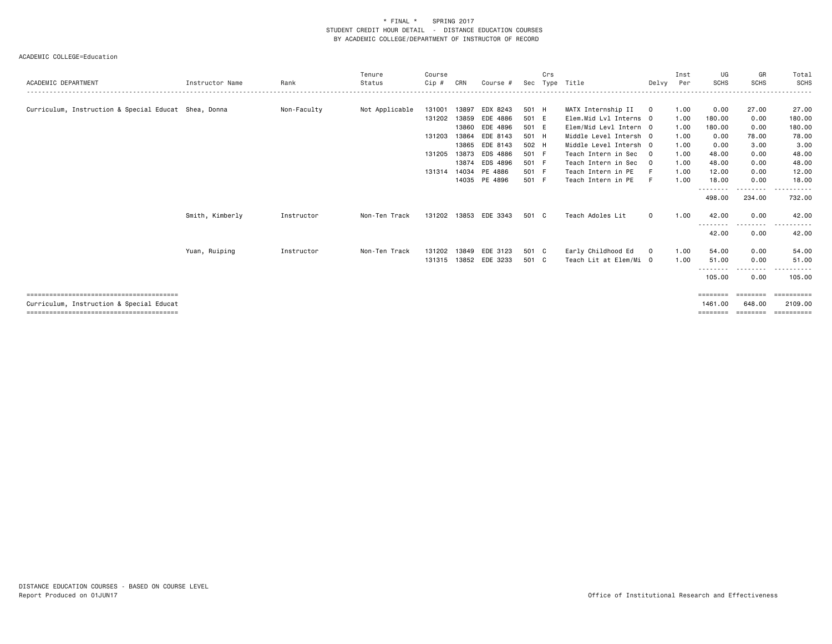|                                                      |                 |             | Tenure         | Course       |       |                       |       | Crs |                        |              | Inst | UG              | GR          | Total        |
|------------------------------------------------------|-----------------|-------------|----------------|--------------|-------|-----------------------|-------|-----|------------------------|--------------|------|-----------------|-------------|--------------|
| ACADEMIC DEPARTMENT                                  | Instructor Name | Rank        | Status         | Cip #        | CRN   | Course #              | Sec   |     | Type Title             | Delvy        | Per  | <b>SCHS</b>     | <b>SCHS</b> | SCHS         |
|                                                      |                 |             |                |              |       |                       |       |     |                        |              |      |                 |             |              |
| Curriculum, Instruction & Special Educat Shea, Donna |                 | Non-Faculty | Not Applicable | 131001       | 13897 | EDX 8243              | 501 H |     | MATX Internship II     | $\mathbf 0$  | 1.00 | 0.00            | 27.00       | 27.00        |
|                                                      |                 |             |                | 131202 13859 |       | EDE 4886              | 501 E |     | Elem.Mid Lvl Interns 0 |              | 1.00 | 180.00          | 0.00        | 180.00       |
|                                                      |                 |             |                |              |       | 13860 EDE 4896        | 501 E |     | Elem/Mid Levl Intern 0 |              | 1.00 | 180.00          | 0.00        | 180.00       |
|                                                      |                 |             |                | 131203       | 13864 | EDE 8143              | 501 H |     | Middle Level Intersh 0 |              | 1.00 | 0.00            | 78.00       | 78.00        |
|                                                      |                 |             |                |              |       | 13865 EDE 8143        | 502 H |     | Middle Level Intersh 0 |              | 1.00 | 0.00            | 3.00        | 3.00         |
|                                                      |                 |             |                | 131205       | 13873 | EDS 4886              | 501 F |     | Teach Intern in Sec    | $\Omega$     | 1.00 | 48.00           | 0.00        | 48.00        |
|                                                      |                 |             |                |              | 13874 | EDS 4896              | 501 F |     | Teach Intern in Sec    | $\mathbf{0}$ | 1.00 | 48.00           | 0.00        | 48.00        |
|                                                      |                 |             |                | 131314       |       | 14034 PE 4886         | 501 F |     | Teach Intern in PE     |              | 1.00 | 12.00           | 0.00        | 12.00        |
|                                                      |                 |             |                |              |       | 14035 PE 4896         | 501 F |     | Teach Intern in PE     | F            | 1.00 | 18,00           | 0.00        | 18,00        |
|                                                      |                 |             |                |              |       |                       |       |     |                        |              |      | - - - - - - - - | .           | .            |
|                                                      |                 |             |                |              |       |                       |       |     |                        |              |      | 498,00          | 234.00      | 732.00       |
|                                                      |                 |             |                |              |       |                       |       |     |                        |              |      |                 |             |              |
|                                                      | Smith, Kimberly | Instructor  | Non-Ten Track  |              |       | 131202 13853 EDE 3343 | 501 C |     | Teach Adoles Lit       | $\mathbf 0$  | 1.00 | 42.00           | 0.00        | 42.00        |
|                                                      |                 |             |                |              |       |                       |       |     |                        |              |      | --------        | .           | .<br>$- - -$ |
|                                                      |                 |             |                |              |       |                       |       |     |                        |              |      | 42.00           | 0.00        | 42.00        |
|                                                      | Yuan, Ruiping   | Instructor  | Non-Ten Track  | 131202       | 13849 | EDE 3123              | 501 C |     | Early Childhood Ed     | $\mathbf{O}$ | 1.00 | 54.00           | 0.00        | 54.00        |
|                                                      |                 |             |                |              |       | 131315 13852 EDE 3233 | 501 C |     | Teach Lit at Elem/Mi 0 |              | 1.00 | 51.00           | 0.00        | 51.00        |
|                                                      |                 |             |                |              |       |                       |       |     |                        |              |      | .               | $- - - -$   |              |
|                                                      |                 |             |                |              |       |                       |       |     |                        |              |      | 105.00          | 0.00        | 105.00       |
|                                                      |                 |             |                |              |       |                       |       |     |                        |              |      |                 |             |              |
|                                                      |                 |             |                |              |       |                       |       |     |                        |              |      | ========        | ========    | EEEEEEEE     |
| Curriculum, Instruction & Special Educat             |                 |             |                |              |       |                       |       |     |                        |              |      | 1461.00         | 648.00      | 2109.00      |
|                                                      |                 |             |                |              |       |                       |       |     |                        |              |      |                 |             | =======      |
|                                                      |                 |             |                |              |       |                       |       |     |                        |              |      |                 |             |              |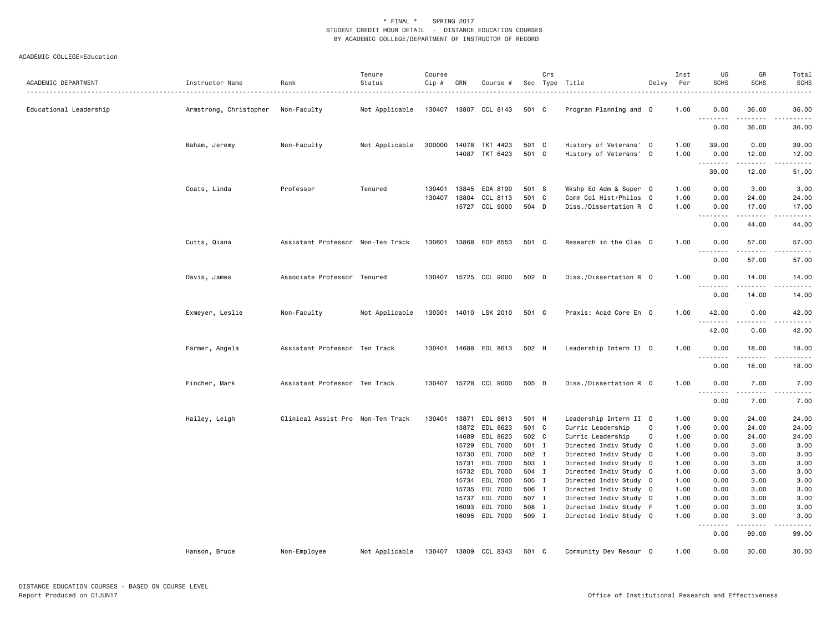| ACADEMIC DEPARTMENT    | Instructor Name        | Rank                              | Tenure<br>Status | Course<br>Cip # | CRN            | Course #                         |                | Crs | Sec Type Title                                   | Delvy       | Inst<br>Per  | UG<br><b>SCHS</b> | GR<br><b>SCHS</b>                                                                                                                                             | Total<br><b>SCHS</b><br>.                                                                                                                                    |
|------------------------|------------------------|-----------------------------------|------------------|-----------------|----------------|----------------------------------|----------------|-----|--------------------------------------------------|-------------|--------------|-------------------|---------------------------------------------------------------------------------------------------------------------------------------------------------------|--------------------------------------------------------------------------------------------------------------------------------------------------------------|
| Educational Leadership | Armstrong, Christopher | Non-Faculty                       | Not Applicable   |                 |                | 130407 13807 CCL 8143            | 501 C          |     | Program Planning and 0                           |             | 1.00         | 0.00<br>.         | 36.00<br>.                                                                                                                                                    | 36.00<br>.                                                                                                                                                   |
|                        |                        |                                   |                  |                 |                |                                  |                |     |                                                  |             |              | 0.00              | 36.00                                                                                                                                                         | 36.00                                                                                                                                                        |
|                        | Baham, Jeremy          | Non-Faculty                       | Not Applicable   | 300000          |                | 14078 TKT 4423<br>14087 TKT 6423 | 501 C<br>501 C |     | History of Veterans' 0<br>History of Veterans' 0 |             | 1.00<br>1.00 | 39.00<br>0.00     | 0.00<br>12.00                                                                                                                                                 | 39.00<br>12.00                                                                                                                                               |
|                        |                        |                                   |                  |                 |                |                                  |                |     |                                                  |             |              | .<br>39.00        | .<br>12.00                                                                                                                                                    | .<br>51.00                                                                                                                                                   |
|                        | Coats, Linda           | Professor                         | Tenured          | 130401          | 13845          | EDA 8190                         | 501 S          |     | Wkshp Ed Adm & Super 0                           |             | 1.00         | 0.00              | 3.00                                                                                                                                                          | 3.00                                                                                                                                                         |
|                        |                        |                                   |                  | 130407          | 13804          | CCL 8113<br>15727 CCL 9000       | 501 C<br>504 D |     | Comm Col Hist/Philos 0<br>Diss./Dissertation R 0 |             | 1.00<br>1.00 | 0.00<br>0.00      | 24.00<br>17.00                                                                                                                                                | 24.00<br>17.00                                                                                                                                               |
|                        |                        |                                   |                  |                 |                |                                  |                |     |                                                  |             |              | .<br>0.00         | .<br>44.00                                                                                                                                                    | المتمامين<br>44.00                                                                                                                                           |
|                        | Cutts, Qiana           | Assistant Professor Non-Ten Track |                  | 130601          |                | 13868 EDF 8553                   | 501 C          |     | Research in the Clas 0                           |             | 1.00         | 0.00              | 57.00                                                                                                                                                         | 57.00                                                                                                                                                        |
|                        |                        |                                   |                  |                 |                |                                  |                |     |                                                  |             |              | <u>.</u><br>0.00  | .<br>57.00                                                                                                                                                    | .<br>57.00                                                                                                                                                   |
|                        | Davis, James           | Associate Professor Tenured       |                  |                 |                | 130407 15725 CCL 9000            | 502 D          |     | Diss./Dissertation R 0                           |             | 1.00         | 0.00              | 14.00                                                                                                                                                         | 14.00                                                                                                                                                        |
|                        |                        |                                   |                  |                 |                |                                  |                |     |                                                  |             |              | .<br>0.00         | $- - - - -$<br>14.00                                                                                                                                          | .<br>14.00                                                                                                                                                   |
|                        | Exmeyer, Leslie        | Non-Faculty                       | Not Applicable   | 130301          |                | 14010 LSK 2010                   | 501 C          |     | Praxis: Acad Core En 0                           |             | 1.00         | 42.00             | 0.00<br>$- - -$                                                                                                                                               | 42.00<br>.                                                                                                                                                   |
|                        |                        |                                   |                  |                 |                |                                  |                |     |                                                  |             |              | 42.00             | 0.00                                                                                                                                                          | 42.00                                                                                                                                                        |
|                        | Farmer, Angela         | Assistant Professor Ten Track     |                  | 130401          |                | 14688 EDL 8613                   | 502 H          |     | Leadership Intern II 0                           |             | 1.00         | 0.00<br>.         | 18.00<br>$\frac{1}{2} \left( \frac{1}{2} \right) \left( \frac{1}{2} \right) \left( \frac{1}{2} \right) \left( \frac{1}{2} \right) \left( \frac{1}{2} \right)$ | 18.00<br>.                                                                                                                                                   |
|                        |                        |                                   |                  |                 |                |                                  |                |     |                                                  |             |              | 0.00              | 18.00                                                                                                                                                         | 18.00                                                                                                                                                        |
|                        | Fincher, Mark          | Assistant Professor Ten Track     |                  | 130407          |                | 15728 CCL 9000                   | 505 D          |     | Diss./Dissertation R 0                           |             | 1.00         | 0.00<br><b>.</b>  | 7.00<br>.                                                                                                                                                     | 7.00<br>$\frac{1}{2} \left( \frac{1}{2} \right) \left( \frac{1}{2} \right) \left( \frac{1}{2} \right) \left( \frac{1}{2} \right) \left( \frac{1}{2} \right)$ |
|                        |                        |                                   |                  |                 |                |                                  |                |     |                                                  |             |              | 0.00              | 7.00                                                                                                                                                          | 7.00                                                                                                                                                         |
|                        | Hailey, Leigh          | Clinical Assist Pro Non-Ten Track |                  | 130401          | 13871<br>13872 | EDL 8613                         | 501 H<br>501 C |     | Leadership Intern II 0                           | 0           | 1.00<br>1.00 | 0.00              | 24.00<br>24.00                                                                                                                                                | 24.00<br>24.00                                                                                                                                               |
|                        |                        |                                   |                  |                 | 14689          | EDL 8623<br>EDL 8623             | 502 C          |     | Curric Leadership<br>Curric Leadership           | $\mathbf 0$ | 1.00         | 0.00<br>0.00      | 24.00                                                                                                                                                         | 24.00                                                                                                                                                        |
|                        |                        |                                   |                  |                 | 15729          | EDL 7000                         | 501 I          |     | Directed Indiv Study 0                           |             | 1.00         | 0.00              | 3.00                                                                                                                                                          | 3.00                                                                                                                                                         |
|                        |                        |                                   |                  |                 | 15730          | EDL 7000                         | 502 I          |     | Directed Indiv Study 0                           |             | 1.00         | 0.00              | 3.00                                                                                                                                                          | 3.00                                                                                                                                                         |
|                        |                        |                                   |                  |                 | 15731          | EDL 7000                         | 503 I          |     | Directed Indiv Study 0                           |             | 1.00         | 0.00              | 3.00                                                                                                                                                          | 3.00                                                                                                                                                         |
|                        |                        |                                   |                  |                 | 15732          | EDL 7000                         | 504 I          |     | Directed Indiv Study 0                           |             | 1.00         | 0.00              | 3.00                                                                                                                                                          | 3.00                                                                                                                                                         |
|                        |                        |                                   |                  |                 | 15734          | EDL 7000                         | 505 I          |     | Directed Indiv Study 0                           |             | 1.00         | 0.00              | 3.00                                                                                                                                                          | 3.00                                                                                                                                                         |
|                        |                        |                                   |                  |                 | 15735          | EDL 7000                         | 506 I          |     | Directed Indiv Study 0                           |             | 1.00         | 0.00              | 3.00                                                                                                                                                          | 3.00                                                                                                                                                         |
|                        |                        |                                   |                  |                 | 15737          | EDL 7000                         | 507 I          |     | Directed Indiv Study 0                           |             | 1.00         | 0.00              | 3.00                                                                                                                                                          | 3.00                                                                                                                                                         |
|                        |                        |                                   |                  |                 | 16093          | EDL 7000                         | 508 I          |     | Directed Indiv Study F                           |             | 1.00         | 0.00              | 3.00                                                                                                                                                          | 3.00                                                                                                                                                         |
|                        |                        |                                   |                  |                 |                | 16095 EDL 7000                   | 509 I          |     | Directed Indiv Study 0                           |             | 1.00         | 0.00<br>.         | 3.00<br>$\frac{1}{2} \left( \frac{1}{2} \right) \left( \frac{1}{2} \right) \left( \frac{1}{2} \right) \left( \frac{1}{2} \right) \left( \frac{1}{2} \right)$  | 3.00<br>.                                                                                                                                                    |
|                        |                        |                                   |                  |                 |                |                                  |                |     |                                                  |             |              | 0.00              | 99.00                                                                                                                                                         | 99.00                                                                                                                                                        |
|                        | Hanson, Bruce          | Non-Employee                      | Not Applicable   | 130407          |                | 13809 CCL 8343                   | 501 C          |     | Community Dev Resour 0                           |             | 1.00         | 0.00              | 30.00                                                                                                                                                         | 30.00                                                                                                                                                        |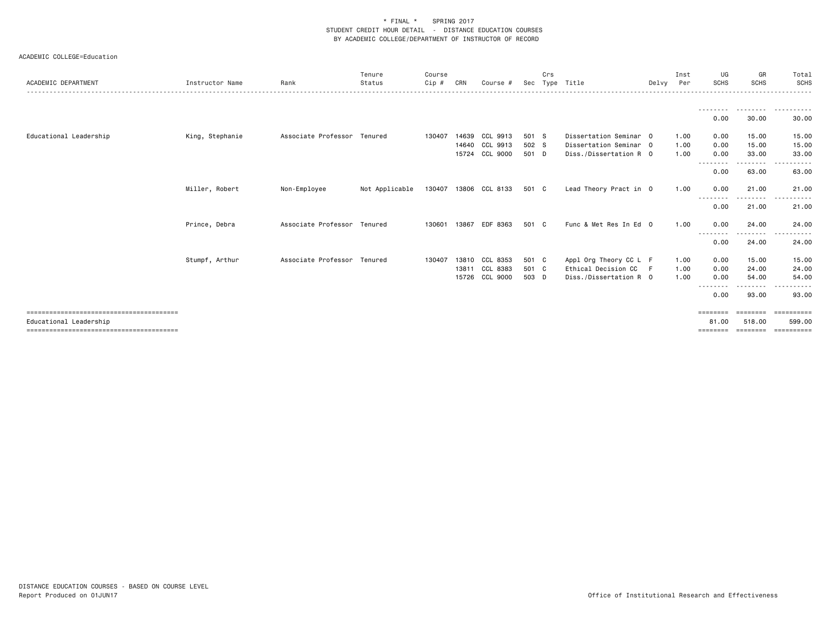| ACADEMIC DEPARTMENT    | Instructor Name | Rank                        | Tenure<br>Status | Course<br>$C$ ip $#$ | CRN   | Course #              | Sec   | Crs | Type Title             | Delvv | Inst<br>Per | UG<br><b>SCHS</b> | GR<br><b>SCHS</b> | Total<br>SCHS                                                                                                                                  |
|------------------------|-----------------|-----------------------------|------------------|----------------------|-------|-----------------------|-------|-----|------------------------|-------|-------------|-------------------|-------------------|------------------------------------------------------------------------------------------------------------------------------------------------|
|                        |                 |                             |                  |                      |       |                       |       |     |                        |       |             |                   |                   |                                                                                                                                                |
|                        |                 |                             |                  |                      |       |                       |       |     |                        |       |             | 0.00              | 30.00             | 30.00                                                                                                                                          |
| Educational Leadership | King, Stephanie | Associate Professor Tenured |                  | 130407               | 14639 | CCL 9913              | 501 S |     | Dissertation Seminar 0 |       | 1.00        | 0.00              | 15.00             | 15.00                                                                                                                                          |
|                        |                 |                             |                  |                      |       | 14640 CCL 9913        | 502 S |     | Dissertation Seminar 0 |       | 1.00        | 0.00              | 15.00             | 15.00                                                                                                                                          |
|                        |                 |                             |                  |                      | 15724 | CCL 9000              | 501 D |     | Diss./Dissertation R 0 |       | 1.00        | 0.00<br>--------  | 33.00<br>-------- | 33.00<br>$\cdots$<br>$\begin{array}{cccccccccccccc} \bullet & \bullet & \bullet & \bullet & \bullet & \bullet & \bullet & \bullet \end{array}$ |
|                        |                 |                             |                  |                      |       |                       |       |     |                        |       |             | 0.00              | 63.00             | 63.00                                                                                                                                          |
|                        | Miller, Robert  | Non-Employee                | Not Applicable   |                      |       | 130407 13806 CCL 8133 | 501 C |     | Lead Theory Pract in 0 |       | 1.00        | 0.00              | 21.00             | 21.00<br>------                                                                                                                                |
|                        |                 |                             |                  |                      |       |                       |       |     |                        |       |             | 0.00              | .<br>21.00        | 21.00                                                                                                                                          |
|                        | Prince, Debra   | Associate Professor Tenured |                  | 130601               | 13867 | EDF 8363              | 501 C |     | Func & Met Res In Ed 0 |       | 1.00        | 0.00              | 24.00             | 24.00                                                                                                                                          |
|                        |                 |                             |                  |                      |       |                       |       |     |                        |       |             | --------<br>0.00  | .<br>24.00        | .<br>$\sim$ $\sim$ $\sim$<br>24.00                                                                                                             |
|                        | Stumpf, Arthur  | Associate Professor Tenured |                  | 130407               | 13810 | CCL 8353              | 501 C |     | Appl Org Theory CC L F |       | 1.00        | 0.00              | 15.00             | 15.00                                                                                                                                          |
|                        |                 |                             |                  |                      | 13811 | CCL 8383              | 501 C |     | Ethical Decision CC    | - F   | 1.00        | 0.00              | 24.00             | 24.00                                                                                                                                          |
|                        |                 |                             |                  |                      | 15726 | CCL 9000              | 503 D |     | Diss./Dissertation R 0 |       | 1.00        | 0.00<br>--------  | 54.00<br>-------- | 54.00<br>.                                                                                                                                     |
|                        |                 |                             |                  |                      |       |                       |       |     |                        |       |             | 0.00              | 93.00             | 93.00                                                                                                                                          |
|                        |                 |                             |                  |                      |       |                       |       |     |                        |       |             | ========          | ========          | ==========                                                                                                                                     |
| Educational Leadership |                 |                             |                  |                      |       |                       |       |     |                        |       |             | 81,00             | 518,00            | 599,00                                                                                                                                         |
|                        |                 |                             |                  |                      |       |                       |       |     |                        |       |             | ========          | ========          | ==========                                                                                                                                     |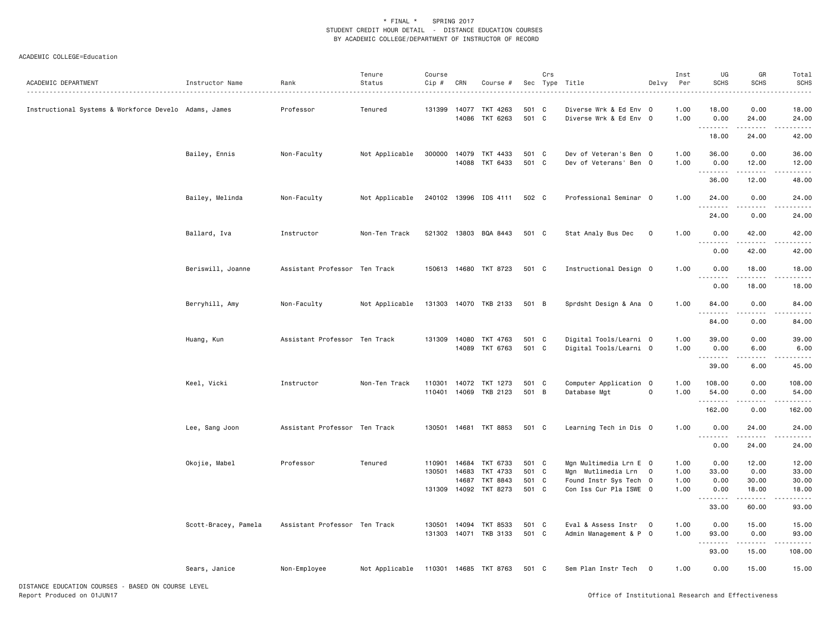| ACADEMIC DEPARTMENT                                   | Instructor Name      | Rank                          | Tenure<br>Status | Course<br>Cip #  | CRN                     | Course #                                |                       | Crs          | Sec Type Title                                                         | Delvy          | Inst<br>Per          | UG<br><b>SCHS</b>         | GR<br><b>SCHS</b>            | Total<br>SCHS           |
|-------------------------------------------------------|----------------------|-------------------------------|------------------|------------------|-------------------------|-----------------------------------------|-----------------------|--------------|------------------------------------------------------------------------|----------------|----------------------|---------------------------|------------------------------|-------------------------|
| Instructional Systems & Workforce Develo Adams, James |                      | Professor                     | Tenured          | 131399 14077     |                         | TKT 4263<br>14086 TKT 6263              | 501<br>501 C          | $\mathbf{C}$ | Diverse Wrk & Ed Env 0<br>Diverse Wrk & Ed Env 0                       |                | 1.00<br>1.00         | 18.00<br>0.00             | 0.00<br>24.00                | 18.00<br>24.00          |
|                                                       |                      |                               |                  |                  |                         |                                         |                       |              |                                                                        |                |                      | .<br>18.00                | .<br>24.00                   | 42.00                   |
|                                                       | Bailey, Ennis        | Non-Faculty                   | Not Applicable   |                  |                         | 300000 14079 TKT 4433<br>14088 TKT 6433 | 501 C<br>501 C        |              | Dev of Veteran's Ben 0<br>Dev of Veterans' Ben 0                       |                | 1.00<br>1.00         | 36.00<br>0.00<br>.        | 0.00<br>12.00<br>$- - - - -$ | 36.00<br>12.00<br>.     |
|                                                       |                      |                               |                  |                  |                         |                                         |                       |              |                                                                        |                |                      | 36.00                     | 12.00                        | 48.00                   |
|                                                       | Bailey, Melinda      | Non-Faculty                   | Not Applicable   |                  |                         | 240102 13996 IDS 4111                   | 502 C                 |              | Professional Seminar 0                                                 |                | 1.00                 | 24.00<br>.                | 0.00                         | 24.00                   |
|                                                       |                      |                               |                  |                  |                         |                                         |                       |              |                                                                        |                |                      | 24.00                     | 0.00                         | 24.00                   |
|                                                       | Ballard, Iva         | Instructor                    | Non-Ten Track    |                  |                         | 521302 13803 BQA 8443                   | 501 C                 |              | Stat Analy Bus Dec                                                     | $\mathbf 0$    | 1.00                 | 0.00<br>.                 | 42.00                        | 42.00                   |
|                                                       |                      |                               |                  |                  |                         |                                         |                       |              |                                                                        |                |                      | 0.00                      | 42.00                        | 42.00                   |
|                                                       | Beriswill, Joanne    | Assistant Professor Ten Track |                  |                  |                         | 150613 14680 TKT 8723                   | 501 C                 |              | Instructional Design 0                                                 |                | 1.00                 | 0.00<br>.                 | 18.00<br>$- - - - -$         | 18.00<br>$- - - -$      |
|                                                       |                      |                               |                  |                  |                         |                                         |                       |              |                                                                        |                |                      | 0.00                      | 18.00                        | 18.00                   |
|                                                       | Berryhill, Amy       | Non-Faculty                   | Not Applicable   |                  |                         | 131303 14070 TKB 2133                   | 501 B                 |              | Sprdsht Design & Ana 0                                                 |                | 1.00                 | 84.00                     | 0.00<br>.                    | 84.00                   |
|                                                       |                      |                               |                  |                  |                         |                                         |                       |              |                                                                        |                |                      | 84.00                     | 0.00                         | 84.00                   |
|                                                       | Huang, Kun           | Assistant Professor Ten Track |                  |                  | 14089                   | 131309 14080 TKT 4763<br>TKT 6763       | 501 C<br>501 C        |              | Digital Tools/Learni 0<br>Digital Tools/Learni 0                       |                | 1.00<br>1.00         | 39.00<br>0.00<br>.        | 0.00<br>6.00                 | 39.00<br>6.00           |
|                                                       |                      |                               |                  |                  |                         |                                         |                       |              |                                                                        |                |                      | 39.00                     | 6.00                         | 45.00                   |
|                                                       | Keel, Vicki          | Instructor                    | Non-Ten Track    | 110301<br>110401 |                         | 14072 TKT 1273<br>14069 TKB 2123        | 501 C<br>501 B        |              | Computer Application 0<br>Database Mgt                                 | $\mathsf{O}$   | 1.00<br>1.00         | 108.00<br>54.00<br>.      | 0.00<br>0.00<br>.            | 108.00<br>54.00<br>.    |
|                                                       |                      |                               |                  |                  |                         |                                         |                       |              |                                                                        |                |                      | 162.00                    | 0.00                         | 162.00                  |
|                                                       | Lee, Sang Joon       | Assistant Professor Ten Track |                  |                  |                         | 130501 14681 TKT 8853                   | 501 C                 |              | Learning Tech in Dis 0                                                 |                | 1.00                 | 0.00<br><b></b>           | 24.00<br>.                   | 24.00<br>.              |
|                                                       |                      |                               |                  |                  |                         |                                         |                       |              |                                                                        |                |                      | 0.00                      | 24.00                        | 24.00                   |
|                                                       | Okojie, Mabel        | Professor                     | Tenured          | 110901<br>130501 | 14684<br>14683<br>14687 | TKT 6733<br>TKT 4733<br>TKT 8843        | 501 C<br>501<br>501 C | C.           | Mgn Multimedia Lrn E 0<br>Mgn Mutlimedia Lrn<br>Found Instr Sys Tech 0 | $\mathbf{0}$   | 1.00<br>1.00<br>1.00 | 0.00<br>33.00<br>0.00     | 12.00<br>0.00<br>30.00       | 12.00<br>33.00<br>30.00 |
|                                                       |                      |                               |                  |                  |                         | 131309 14092 TKT 8273                   | 501 C                 |              | Con Iss Cur Pla ISWE 0                                                 |                | 1.00                 | 0.00<br>.                 | 18.00<br>.                   | 18.00<br>.              |
|                                                       |                      |                               |                  |                  |                         |                                         |                       |              |                                                                        |                |                      | 33.00                     | 60.00                        | 93.00                   |
|                                                       | Scott-Bracey, Pamela | Assistant Professor Ten Track |                  | 130501<br>131303 | 14094                   | TKT 8533<br>14071 TKB 3133              | 501 C<br>501 C        |              | Eval & Assess Instr<br>Admin Management & P 0                          | $\overline{0}$ | 1.00<br>1.00         | 0.00<br>93.00<br><u>.</u> | 15.00<br>0.00                | 15.00<br>93.00          |
|                                                       |                      |                               |                  |                  |                         |                                         |                       |              |                                                                        |                |                      | 93.00                     | 15.00                        | 108.00                  |
|                                                       | Sears, Janice        | Non-Employee                  | Not Applicable   |                  |                         | 110301 14685 TKT 8763                   | 501 C                 |              | Sem Plan Instr Tech                                                    | $\overline{0}$ | 1.00                 | 0.00                      | 15.00                        | 15.00                   |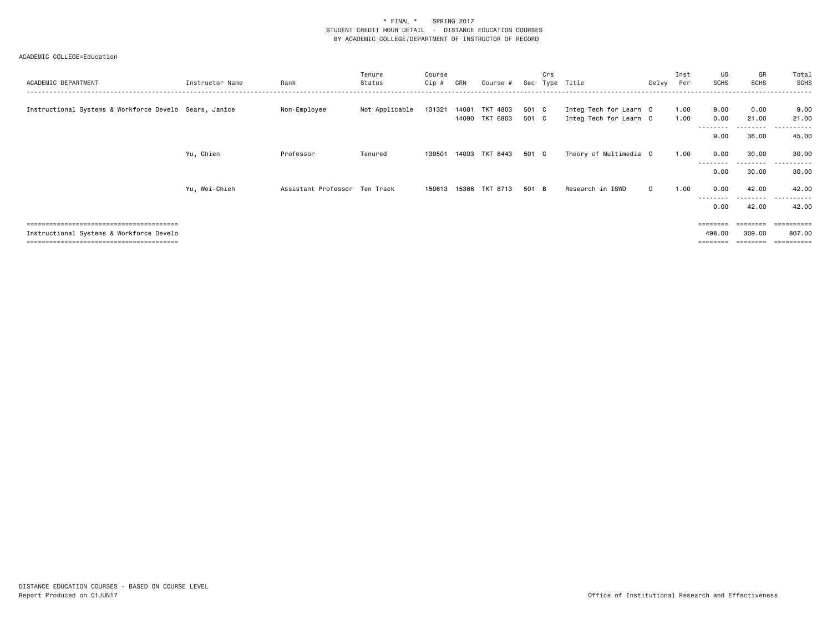| ACADEMIC DEPARTMENT                                    | Instructor Name | Rank                          | Tenure<br>Status | Course<br>Cip # | CRN | Course #                                |                | Crs | Sec Type Title                                   | Delvv    | Inst<br>Per  | UG<br><b>SCHS</b>                                                       | GR<br><b>SCHS</b>     | Total<br>SCHS                      |
|--------------------------------------------------------|-----------------|-------------------------------|------------------|-----------------|-----|-----------------------------------------|----------------|-----|--------------------------------------------------|----------|--------------|-------------------------------------------------------------------------|-----------------------|------------------------------------|
| Instructional Systems & Workforce Develo Sears, Janice |                 | Non-Employee                  | Not Applicable   |                 |     | 131321 14081 TKT 4803<br>14090 TKT 6803 | 501 C<br>501 C |     | Integ Tech for Learn 0<br>Integ Tech for Learn 0 |          | 1.00<br>1.00 | 9.00<br>0.00                                                            | 0.00<br>21.00         | 9.00<br>21.00                      |
|                                                        |                 |                               |                  |                 |     |                                         |                |     |                                                  |          |              | --------<br>9.00                                                        | <u>.</u><br>36.00     | . <b>.</b> .<br>45.00              |
|                                                        | Yu, Chien       | Professor                     | Tenured          | 130501          |     | 14093 TKT 8443                          | 501 C          |     | Theory of Multimedia 0                           |          | 1.00         | 0.00<br>--------                                                        | 30.00<br>. <b>.</b> . | 30.00<br>.<br>$\sim$ $\sim$ $\sim$ |
|                                                        |                 |                               |                  |                 |     |                                         |                |     |                                                  |          |              | 0.00                                                                    | 30.00                 | 30.00                              |
|                                                        | Yu, Wei-Chieh   | Assistant Professor Ten Track |                  |                 |     | 150613 15366 TKT 8713                   | 501 B          |     | Research in ISWD                                 | $\Omega$ | 1.00         | 0.00                                                                    | 42.00<br>---------    | 42.00<br>.                         |
|                                                        |                 |                               |                  |                 |     |                                         |                |     |                                                  |          |              | 0.00                                                                    | 42.00                 | 42.00                              |
|                                                        |                 |                               |                  |                 |     |                                         |                |     |                                                  |          |              | $\qquad \qquad \equiv \equiv \equiv \equiv \equiv \equiv \equiv \equiv$ | ========              | ==========                         |
| Instructional Systems & Workforce Develo               |                 |                               |                  |                 |     |                                         |                |     |                                                  |          |              | 498.00<br>========                                                      | 309.00<br>========    | 807.00<br>----------               |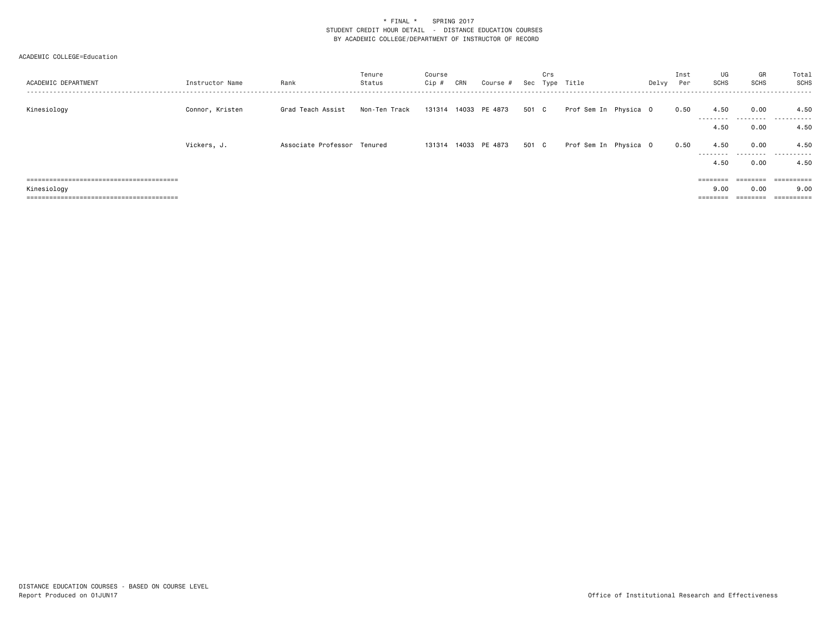| ACADEMIC DEPARTMENT | Instructor Name | Rank                        | Tenure<br>Status | Course<br>Cip# | CRN | Course #             |       | Crs | Sec Type Title        | Delvy | Inst<br>Per | UG<br>SCHS        | GR<br>SCHS | Total<br>SCHS |
|---------------------|-----------------|-----------------------------|------------------|----------------|-----|----------------------|-------|-----|-----------------------|-------|-------------|-------------------|------------|---------------|
| Kinesiology         | Connor, Kristen | Grad Teach Assist           | Non-Ten Track    |                |     | 131314 14033 PE 4873 | 501 C |     | Prof Sem In Physica O |       | 0.50        | 4.50              | 0.00       | 4.50          |
|                     |                 |                             |                  |                |     |                      |       |     |                       |       |             | ---------<br>4.50 | 0.00       | .<br>4.50     |
|                     | Vickers, J.     | Associate Professor Tenured |                  |                |     | 131314 14033 PE 4873 | 501 C |     | Prof Sem In Physica O |       | 0.50        | 4.50<br>--------- | 0.00<br>.  | 4.50<br>.     |
|                     |                 |                             |                  |                |     |                      |       |     |                       |       |             | 4.50              | 0.00       | 4.50          |
|                     |                 |                             |                  |                |     |                      |       |     |                       |       |             |                   | eeeeeee    | ==========    |
| Kinesiology         |                 |                             |                  |                |     |                      |       |     |                       |       |             | 9.00              | 0.00       | 9.00          |
|                     |                 |                             |                  |                |     |                      |       |     |                       |       |             |                   |            |               |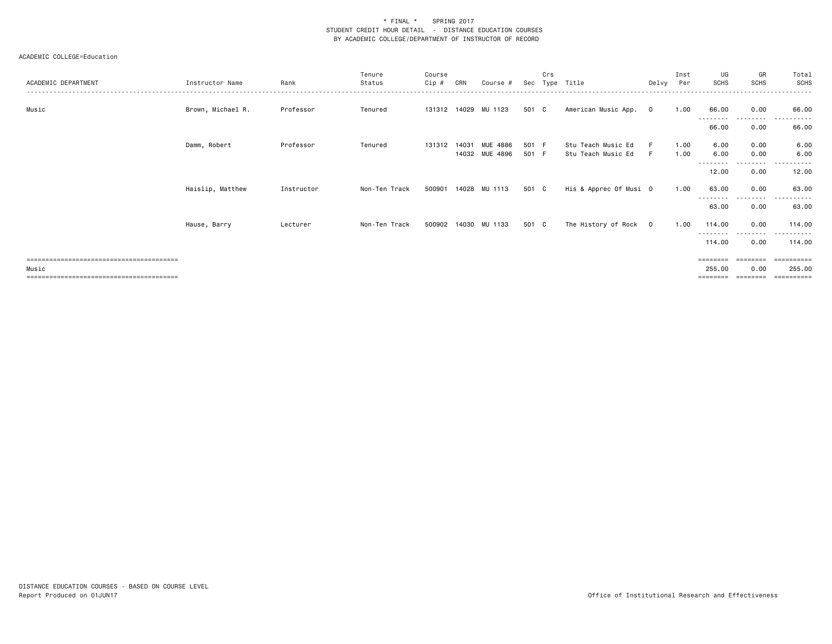| ACADEMIC DEPARTMENT | Instructor Name   | Rank       | Tenure<br>Status | Course<br>Cip# | CRN   | Course #             | Sec   | Crs | Type Title             | Delvy Per      | Inst | UG<br><b>SCHS</b>   | GR<br><b>SCHS</b>  | Total<br>SCHS      |
|---------------------|-------------------|------------|------------------|----------------|-------|----------------------|-------|-----|------------------------|----------------|------|---------------------|--------------------|--------------------|
|                     |                   |            |                  |                |       |                      |       |     |                        |                |      |                     |                    |                    |
| Music               | Brown, Michael R. | Professor  | Tenured          |                |       | 131312 14029 MU 1123 | 501 C |     | American Music App.    | $\overline{0}$ | 1.00 | 66.00               | 0.00               | 66.00              |
|                     |                   |            |                  |                |       |                      |       |     |                        |                |      | 66.00               | 0.00               | 66.00              |
|                     | Damm, Robert      | Professor  | Tenured          | 131312         | 14031 | MUE 4886             | 501 F |     | Stu Teach Music Ed     |                | 1.00 | 6.00                | 0.00               | 6.00               |
|                     |                   |            |                  |                |       | 14032 MUE 4896       | 501 F |     | Stu Teach Music Ed     |                | 1.00 | 6.00                | 0.00               | 6.00               |
|                     |                   |            |                  |                |       |                      |       |     |                        |                |      | --------<br>12.00   | .<br>0.00          | .<br>12.00         |
|                     | Haislip, Matthew  | Instructor | Non-Ten Track    |                |       | 500901 14028 MU 1113 | 501 C |     | His & Apprec Of Musi 0 |                | 1.00 | 63.00               | 0.00               | 63.00              |
|                     |                   |            |                  |                |       |                      |       |     |                        |                |      | 63.00               | 0.00               | 63.00              |
|                     | Hause, Barry      | Lecturer   | Non-Ten Track    |                |       | 500902 14030 MU 1133 | 501 C |     | The History of Rock 0  |                | 1.00 | 114.00              | 0.00               | 114.00             |
|                     |                   |            |                  |                |       |                      |       |     |                        |                |      | ---------<br>114.00 | . <u>.</u><br>0.00 | <u>.</u><br>114.00 |
|                     |                   |            |                  |                |       |                      |       |     |                        |                |      | ========            | ========           | -----------        |
| Music               |                   |            |                  |                |       |                      |       |     |                        |                |      | 255.00              | 0.00               | 255.00             |
|                     |                   |            |                  |                |       |                      |       |     |                        |                |      | ========            | ========           | ==========         |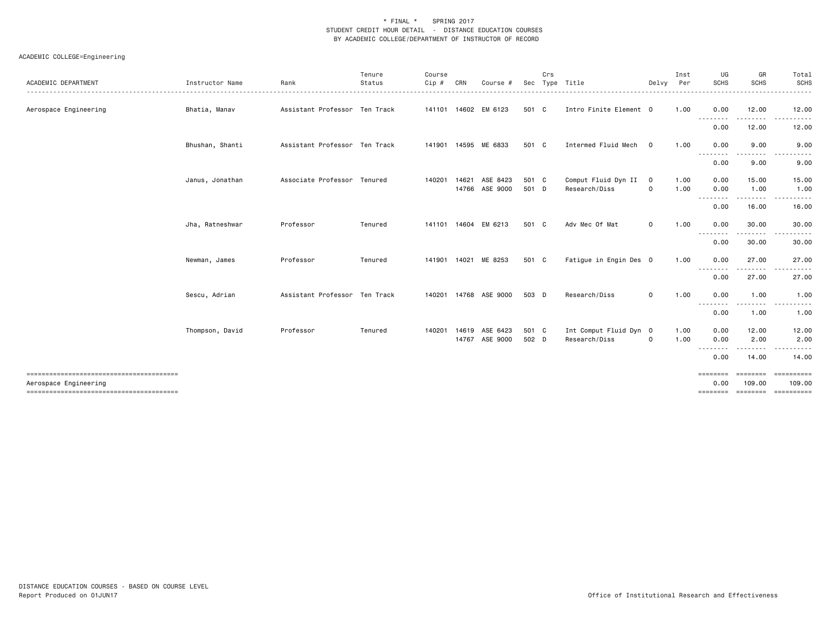| ACADEMIC DEPARTMENT                                             | Instructor Name | Rank                          | Tenure<br>Status | Course<br>Cip # | CRN          | Course #                                | Sec            | Crs | Type Title                              | Delvy            | Inst<br>Per  | UG<br><b>SCHS</b>            | GR<br><b>SCHS</b>  | Total<br><b>SCHS</b><br>.                    |
|-----------------------------------------------------------------|-----------------|-------------------------------|------------------|-----------------|--------------|-----------------------------------------|----------------|-----|-----------------------------------------|------------------|--------------|------------------------------|--------------------|----------------------------------------------|
| Aerospace Engineering                                           | Bhatia, Manav   | Assistant Professor Ten Track |                  |                 |              | 141101 14602 EM 6123                    | 501 C          |     | Intro Finite Element 0                  |                  | 1.00         | 0.00                         | 12.00<br>-----     | 12.00<br>. <u>.</u> .                        |
|                                                                 |                 |                               |                  |                 |              |                                         |                |     |                                         |                  |              | .<br>0.00                    | 12.00              | 12.00                                        |
|                                                                 | Bhushan, Shanti | Assistant Professor Ten Track |                  |                 |              | 141901 14595 ME 6833                    | 501 C          |     | Intermed Fluid Mech                     | $\mathbf 0$      | 1.00         | 0.00                         | 9.00               | 9.00                                         |
|                                                                 |                 |                               |                  |                 |              |                                         |                |     |                                         |                  |              | .<br>0.00                    | 9.00               | 9.00                                         |
|                                                                 | Janus, Jonathan | Associate Professor Tenured   |                  |                 | 140201 14621 | ASE 8423<br>14766 ASE 9000              | 501 C<br>501 D |     | Comput Fluid Dyn II<br>Research/Diss    | $\mathbf 0$<br>0 | 1.00<br>1.00 | 0.00<br>0.00                 | 15.00<br>1.00      | 15.00<br>1.00                                |
|                                                                 |                 |                               |                  |                 |              |                                         |                |     |                                         |                  |              | --------<br>0.00             | 16.00              | 16.00                                        |
|                                                                 | Jha, Ratneshwar | Professor                     | Tenured          |                 |              | 141101 14604 EM 6213                    | 501 C          |     | Adv Mec Of Mat                          | $\mathbf{O}$     | 1.00         | 0.00                         | 30.00              | 30.00                                        |
|                                                                 |                 |                               |                  |                 |              |                                         |                |     |                                         |                  |              | 0.00                         | .<br>30.00         | 30.00                                        |
|                                                                 | Newman, James   | Professor                     | Tenured          |                 |              | 141901 14021 ME 8253                    | 501 C          |     | Fatigue in Engin Des 0                  |                  | 1.00         | 0.00                         | 27.00              | 27.00                                        |
|                                                                 |                 |                               |                  |                 |              |                                         |                |     |                                         |                  |              | .<br>0.00                    | 27.00              | 27.00                                        |
|                                                                 | Sescu, Adrian   | Assistant Professor Ten Track |                  |                 |              | 140201  14768  ASE  9000                | 503 D          |     | Research/Diss                           | $\Omega$         | 1.00         | 0.00                         | 1.00               | 1.00                                         |
|                                                                 |                 |                               |                  |                 |              |                                         |                |     |                                         |                  |              | $- - - -$<br>.<br>0.00       | 1.00               | 1.00                                         |
|                                                                 | Thompson, David | Professor                     | Tenured          |                 |              | 140201 14619 ASE 6423<br>14767 ASE 9000 | 501 C<br>502 D |     | Int Comput Fluid Dyn 0<br>Research/Diss | $\mathbf 0$      | 1.00<br>1.00 | 0.00<br>0.00                 | 12.00<br>2.00      | 12.00<br>2.00                                |
|                                                                 |                 |                               |                  |                 |              |                                         |                |     |                                         |                  |              | .<br>0.00                    | 14.00              | 14.00                                        |
| --------------------------------------<br>Aerospace Engineering |                 |                               |                  |                 |              |                                         |                |     |                                         |                  |              | ========<br>0.00<br>======== | ========<br>109.00 | ==========<br>109.00<br>========= ========== |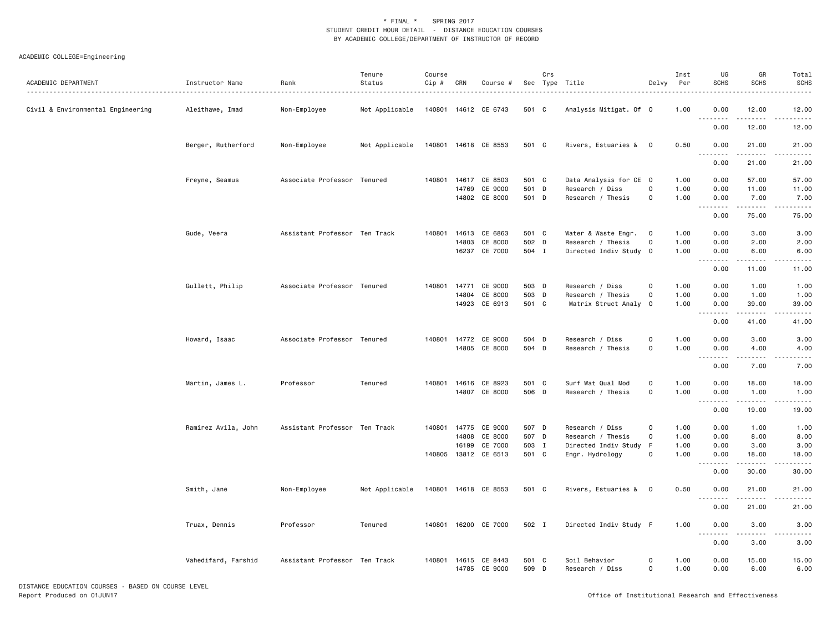### ACADEMIC COLLEGE=Engineering

| ACADEMIC DEPARTMENT               | Instructor Name     | Rank<br>.                     | Tenure<br>Status | Course<br>Cip # | CRN   | Course #             |       | Crs | Sec Type Title         | Delvy               | Inst<br>Per | UG<br><b>SCHS</b>            | GR<br><b>SCHS</b>      | Total<br><b>SCHS</b><br>$\omega$ is $\omega$ in . |
|-----------------------------------|---------------------|-------------------------------|------------------|-----------------|-------|----------------------|-------|-----|------------------------|---------------------|-------------|------------------------------|------------------------|---------------------------------------------------|
| Civil & Environmental Engineering | Aleithawe, Imad     | Non-Employee                  | Not Applicable   |                 |       | 140801 14612 CE 6743 | 501 C |     | Analysis Mitigat. Of 0 |                     | 1.00        | 0.00<br>.                    | 12.00                  | 12.00<br>.                                        |
|                                   |                     |                               |                  |                 |       |                      |       |     |                        |                     |             | 0.00                         | 12.00                  | 12.00                                             |
|                                   | Berger, Rutherford  | Non-Employee                  | Not Applicable   |                 |       | 140801 14618 CE 8553 | 501 C |     | Rivers, Estuaries & 0  |                     | 0.50        | 0.00                         | 21.00<br>.             | 21.00                                             |
|                                   |                     |                               |                  |                 |       |                      |       |     |                        |                     |             | 0.00                         | 21.00                  | 21.00                                             |
|                                   | Freyne, Seamus      | Associate Professor Tenured   |                  | 140801          |       | 14617 CE 8503        | 501 C |     | Data Analysis for CE 0 |                     | 1.00        | 0.00                         | 57.00                  | 57.00                                             |
|                                   |                     |                               |                  |                 | 14769 | CE 9000              | 501 D |     | Research / Diss        | 0                   | 1.00        | 0.00                         | 11.00                  | 11.00                                             |
|                                   |                     |                               |                  |                 |       | 14802 CE 8000        | 501 D |     | Research / Thesis      | $\mathsf{O}\xspace$ | 1.00        | 0.00                         | 7.00                   | 7.00                                              |
|                                   |                     |                               |                  |                 |       |                      |       |     |                        |                     |             | <u>.</u><br>0.00             | <u>.</u><br>75.00      | .<br>75.00                                        |
|                                   | Gude, Veera         | Assistant Professor Ten Track |                  | 140801          |       | 14613 CE 6863        | 501 C |     | Water & Waste Engr.    | $\overline{0}$      | 1.00        | 0.00                         | 3.00                   | 3.00                                              |
|                                   |                     |                               |                  |                 | 14803 | CE 8000              | 502 D |     | Research / Thesis      | 0                   | 1.00        | 0.00                         | 2.00                   | 2.00                                              |
|                                   |                     |                               |                  |                 |       | 16237 CE 7000        | 504 I |     | Directed Indiv Study 0 |                     | 1.00        | 0.00                         | 6.00                   | 6.00                                              |
|                                   |                     |                               |                  |                 |       |                      |       |     |                        |                     |             | .<br>0.00                    | 11.00                  | .<br>11.00                                        |
|                                   |                     |                               |                  |                 |       |                      |       |     |                        |                     |             |                              |                        |                                                   |
|                                   | Gullett, Philip     | Associate Professor Tenured   |                  | 140801          | 14771 | CE 9000              | 503 D |     | Research / Diss        | $\mathsf{O}$        | 1.00        | 0.00                         | 1.00                   | 1.00                                              |
|                                   |                     |                               |                  |                 |       | 14804 CE 8000        | 503 D |     | Research / Thesis      | $\mathsf{O}$        | 1.00        | 0.00                         | 1.00                   | 1.00                                              |
|                                   |                     |                               |                  |                 |       | 14923 CE 6913        | 501 C |     | Matrix Struct Analy 0  |                     | 1.00        | 0.00<br><u>.</u>             | 39.00<br>.             | 39.00<br>$\sim$ $\sim$ $\sim$ $\sim$ $\sim$       |
|                                   |                     |                               |                  |                 |       |                      |       |     |                        |                     |             | 0.00                         | 41.00                  | 41.00                                             |
|                                   | Howard, Isaac       | Associate Professor Tenured   |                  | 140801          |       | 14772 CE 9000        | 504 D |     | Research / Diss        | $\mathsf{O}$        | 1.00        | 0.00                         | 3.00                   | 3.00                                              |
|                                   |                     |                               |                  |                 |       | 14805 CE 8000        | 504 D |     | Research / Thesis      | $\mathsf{O}$        | 1.00        | 0.00<br>$\sim$ $\sim$ $\sim$ | 4.00                   | 4.00<br>.                                         |
|                                   |                     |                               |                  |                 |       |                      |       |     |                        |                     |             | 0.00                         | 7.00                   | 7.00                                              |
|                                   | Martin, James L.    | Professor                     | Tenured          | 140801          |       | 14616 CE 8923        | 501 C |     | Surf Wat Qual Mod      | $\mathsf{O}\xspace$ | 1.00        | 0.00                         | 18.00                  | 18.00                                             |
|                                   |                     |                               |                  |                 |       | 14807 CE 8000        | 506 D |     | Research / Thesis      | $\mathbf 0$         | 1.00        | 0.00                         | 1.00                   | 1.00                                              |
|                                   |                     |                               |                  |                 |       |                      |       |     |                        |                     |             | -----<br>0.00                | $\frac{1}{2}$<br>19.00 | 19.00                                             |
|                                   | Ramirez Avila, John | Assistant Professor Ten Track |                  | 140801          |       | 14775 CE 9000        | 507 D |     | Research / Diss        | $\mathsf{O}$        | 1.00        | 0.00                         | 1.00                   | 1.00                                              |
|                                   |                     |                               |                  |                 | 14808 | CE 8000              | 507 D |     | Research / Thesis      | $\mathbf 0$         | 1.00        | 0.00                         | 8.00                   | 8.00                                              |
|                                   |                     |                               |                  |                 | 16199 | CE 7000              | 503 I |     | Directed Indiv Study F |                     | 1.00        | 0.00                         | 3.00                   | 3.00                                              |
|                                   |                     |                               |                  |                 |       | 140805 13812 CE 6513 | 501 C |     | Engr. Hydrology        | $\mathbf 0$         | 1.00        | 0.00                         | 18.00                  | 18.00                                             |
|                                   |                     |                               |                  |                 |       |                      |       |     |                        |                     |             | .<br>0.00                    | 30.00                  | .<br>30.00                                        |
|                                   | Smith, Jane         | Non-Employee                  | Not Applicable   |                 |       | 140801 14618 CE 8553 | 501 C |     | Rivers, Estuaries & 0  |                     | 0.50        | 0.00<br>.                    | 21.00<br>.             | 21.00<br>.                                        |
|                                   |                     |                               |                  |                 |       |                      |       |     |                        |                     |             | 0.00                         | 21.00                  | 21.00                                             |
|                                   | Truax, Dennis       | Professor                     | Tenured          | 140801          |       | 16200 CE 7000        | 502 I |     | Directed Indiv Study F |                     | 1.00        | 0.00                         | 3.00                   | 3.00                                              |
|                                   |                     |                               |                  |                 |       |                      |       |     |                        |                     |             | 0.00                         | 3.00                   | 3.00                                              |
|                                   | Vahedifard, Farshid | Assistant Professor Ten Track |                  | 140801          |       | 14615 CE 8443        | 501 C |     | Soil Behavior          | $\circ$             | 1.00        | 0.00                         | 15.00                  | 15.00                                             |
|                                   |                     |                               |                  |                 |       | 14785 CE 9000        | 509 D |     | Research / Diss        | 0                   | 1.00        | 0.00                         | 6.00                   | 6.00                                              |

DISTANCE EDUCATION COURSES - BASED ON COURSE LEVEL Report Produced on 01JUN17 Office of Institutional Research and Effectiveness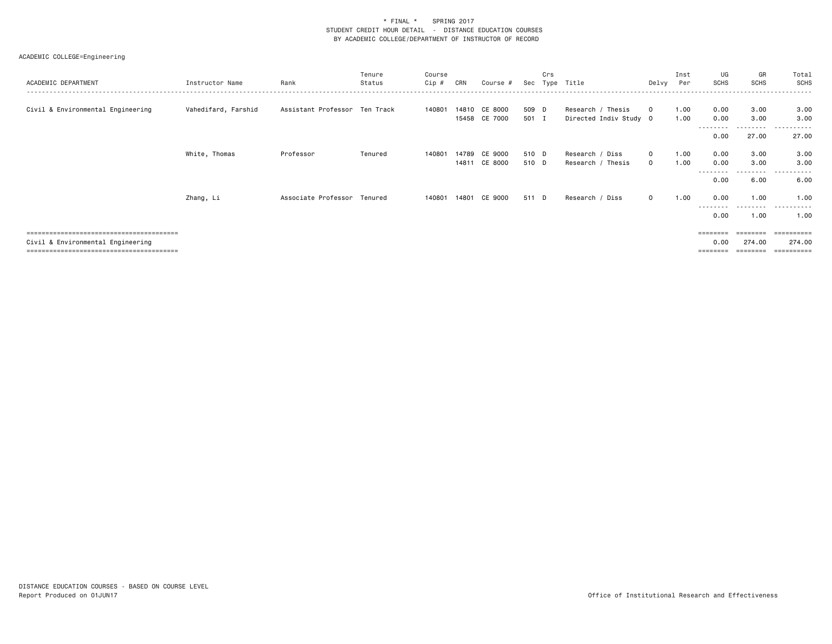### ACADEMIC COLLEGE=Engineering

| ACADEMIC DEPARTMENT               | Instructor Name     | Rank                          | Tenure<br>Status | Course<br>Cip # | CRN   | Course #                 | Sec            | Crs | Type Title                                  | Delvy                      | Inst<br>Per  | UG<br><b>SCHS</b>         | GR<br><b>SCHS</b>  | Total<br>SCHS         |
|-----------------------------------|---------------------|-------------------------------|------------------|-----------------|-------|--------------------------|----------------|-----|---------------------------------------------|----------------------------|--------------|---------------------------|--------------------|-----------------------|
| Civil & Environmental Engineering | Vahedifard, Farshid | Assistant Professor Ten Track |                  | 140801          | 14810 | CE 8000<br>15458 CE 7000 | 509 D<br>501 I |     | Research / Thesis<br>Directed Indiv Study 0 | $^{\circ}$                 | 1.00<br>1.00 | 0.00<br>0.00              | 3.00<br>3.00       | 3.00<br>3.00          |
|                                   |                     |                               |                  |                 |       |                          |                |     |                                             |                            |              | --------<br>0.00          | 27.00              | .<br>27.00            |
|                                   | White, Thomas       | Professor                     | Tenured          | 140801          | 14789 | CE 9000<br>14811 CE 8000 | 510 D<br>510 D |     | Research / Diss<br>Research / Thesis        | $\mathbf 0$<br>$\mathbf 0$ | 1.00<br>1.00 | 0.00<br>0.00              | 3.00<br>3.00       | 3.00<br>3.00          |
|                                   |                     |                               |                  |                 |       |                          |                |     |                                             |                            |              | --------<br>0.00          | .<br>6.00          | .<br>6.00             |
|                                   | Zhang, Li           | Associate Professor Tenured   |                  | 140801          | 14801 | CE 9000                  | 511 D          |     | Research /<br>Diss                          | $\mathbf{0}$               | 1.00         | 0.00                      | 1,00               | 1.00                  |
|                                   |                     |                               |                  |                 |       |                          |                |     |                                             |                            |              | --------<br>0.00          | - - - - -<br>1.00  | .<br>1.00             |
| Civil & Environmental Engineering |                     |                               |                  |                 |       |                          |                |     |                                             |                            |              | $=$ = = = = = = =<br>0.00 | ========<br>274.00 | -----------<br>274.00 |

======================================== ======== ======== ==========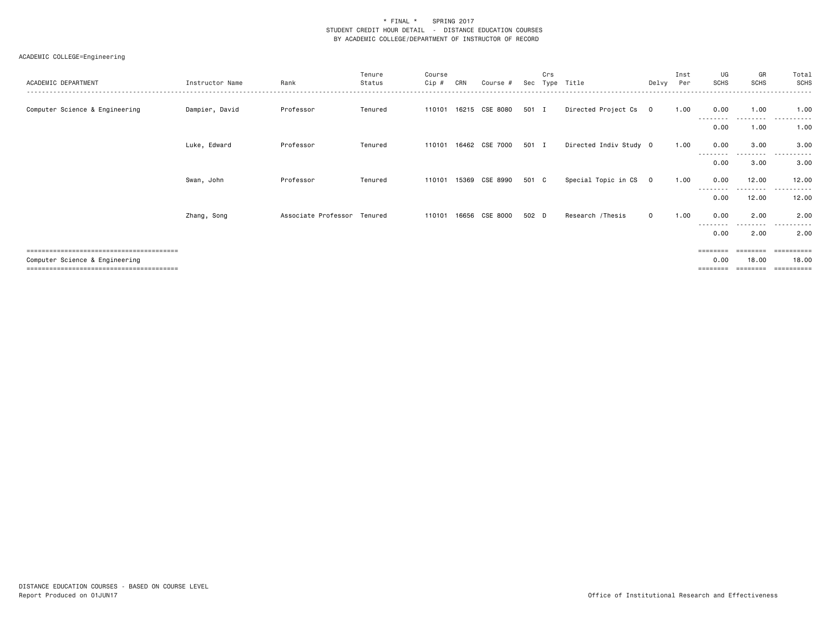| ACADEMIC DEPARTMENT            | Instructor Name | Rank                        | Tenure<br>Status | Course<br>$Cip$ # | CRN   | Course #       | Sec   | Crs<br>Type | Title                  | Delvy                   | Inst<br>Per | UG<br><b>SCHS</b> | GR<br><b>SCHS</b>  | Total<br><b>SCHS</b>       |
|--------------------------------|-----------------|-----------------------------|------------------|-------------------|-------|----------------|-------|-------------|------------------------|-------------------------|-------------|-------------------|--------------------|----------------------------|
| Computer Science & Engineering | Dampier, David  | Professor                   | Tenured          | 110101            |       | 16215 CSE 8080 | 501 I |             | Directed Project Cs    | $\overline{\mathbf{0}}$ | 1.00        | 0.00              | 1.00               | 1.00                       |
|                                |                 |                             |                  |                   |       |                |       |             |                        |                         |             | 0.00              | 1.00               | 1.00                       |
|                                | Luke, Edward    | Professor                   | Tenured          | 110101            |       | 16462 CSE 7000 | 501 I |             | Directed Indiv Study 0 |                         | 1.00        | 0.00              | 3.00               | 3.00                       |
|                                |                 |                             |                  |                   |       |                |       |             |                        |                         |             | 0.00              | .<br>3.00          | 3.00                       |
|                                | Swan, John      | Professor                   | Tenured          | 110101            | 15369 | CSE 8990       | 501 C |             | Special Topic in CS    | $\mathbf 0$             | 1.00        | 0.00              | 12.00              | 12.00                      |
|                                |                 |                             |                  |                   |       |                |       |             |                        |                         |             | --------<br>0.00  | ---------<br>12.00 | ------<br>$- - -$<br>12.00 |
|                                | Zhang, Song     | Associate Professor Tenured |                  | 110101            | 16656 | CSE 8000       | 502 D |             | Research /Thesis       | $\mathbf{0}$            | 1.00        | 0.00              | 2.00               | 2.00                       |
|                                |                 |                             |                  |                   |       |                |       |             |                        |                         |             | 0.00              | - - - -<br>2.00    | 2.00                       |
|                                |                 |                             |                  |                   |       |                |       |             |                        |                         |             | ========          | ========           | ==========                 |
| Computer Science & Engineering |                 |                             |                  |                   |       |                |       |             |                        |                         |             | 0.00<br>========  | 18.00<br>========  | 18.00<br>==========        |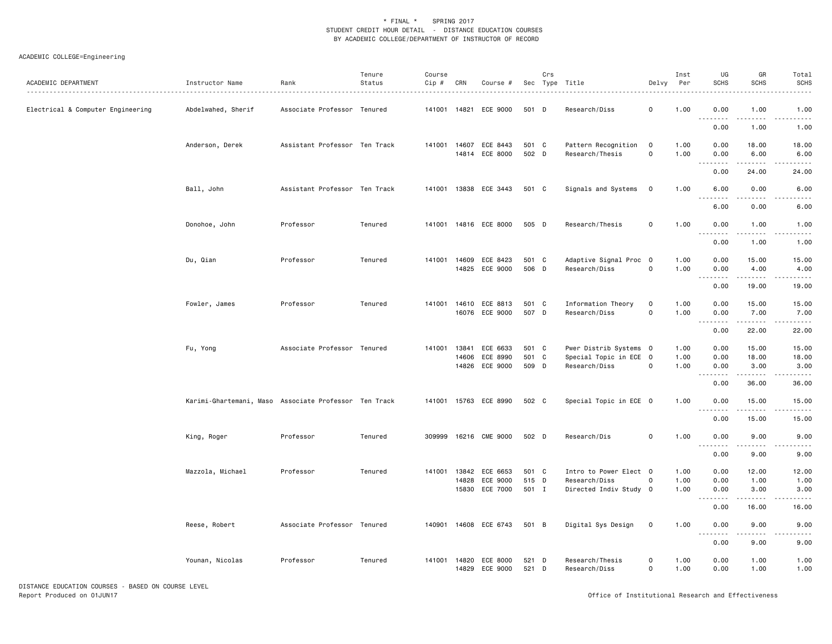| ACADEMIC DEPARTMENT               | Instructor Name                                       | Rank                          | Tenure<br>Status | Course<br>Cip # | CRN            | Course #                                            |                         | Crs | Sec Type Title                                                    | Delvy                          | Inst<br>Per          | UG<br><b>SCHS</b>                      | GR<br><b>SCHS</b>      | Total<br><b>SCHS</b>                |
|-----------------------------------|-------------------------------------------------------|-------------------------------|------------------|-----------------|----------------|-----------------------------------------------------|-------------------------|-----|-------------------------------------------------------------------|--------------------------------|----------------------|----------------------------------------|------------------------|-------------------------------------|
| Electrical & Computer Engineering | Abdelwahed, Sherif                                    | Associate Professor Tenured   |                  | 141001          |                | 14821 ECE 9000                                      | 501 D                   |     | Research/Diss                                                     | $\mathsf{o}$                   | 1.00                 | 0.00<br><b>.</b>                       | 1.00<br>22222          | 1.00<br>.                           |
|                                   |                                                       |                               |                  |                 |                |                                                     |                         |     |                                                                   |                                |                      | 0.00                                   | 1.00                   | 1.00                                |
|                                   | Anderson, Derek                                       | Assistant Professor Ten Track |                  |                 |                | 141001 14607 ECE 8443<br>14814 ECE 8000             | 501 C<br>502 D          |     | Pattern Recognition<br>Research/Thesis                            | $\overline{0}$<br>$\mathsf{o}$ | 1.00<br>1.00         | 0.00<br>0.00                           | 18.00<br>6.00          | 18.00<br>6.00                       |
|                                   |                                                       |                               |                  |                 |                |                                                     |                         |     |                                                                   |                                |                      | <b></b><br>0.00                        | .<br>24.00             | .<br>24.00                          |
|                                   | Ball, John                                            | Assistant Professor Ten Track |                  |                 |                | 141001 13838 ECE 3443                               | 501 C                   |     | Signals and Systems                                               | $\overline{\mathbf{0}}$        | 1.00                 | 6.00                                   | 0.00                   | 6.00                                |
|                                   |                                                       |                               |                  |                 |                |                                                     |                         |     |                                                                   |                                |                      | . <b>.</b><br>6.00                     | 0.00                   | 6.00                                |
|                                   | Donohoe, John                                         | Professor                     | Tenured          |                 |                | 141001 14816 ECE 8000                               | 505 D                   |     | Research/Thesis                                                   | $\mathsf{o}$                   | 1.00                 | 0.00                                   | 1.00                   | 1.00                                |
|                                   |                                                       |                               |                  |                 |                |                                                     |                         |     |                                                                   |                                |                      | $\frac{1}{2}$<br>$\frac{1}{2}$<br>0.00 | .<br>1.00              | $\frac{1}{2}$<br>1.00               |
|                                   | Du, Qian                                              | Professor                     | Tenured          | 141001          | 14609          | ECE 8423<br>14825 ECE 9000                          | 501 C<br>506 D          |     | Adaptive Signal Proc 0<br>Research/Diss                           | 0                              | 1.00<br>1.00         | 0.00<br>0.00                           | 15.00<br>4.00          | 15.00<br>4.00                       |
|                                   |                                                       |                               |                  |                 |                |                                                     |                         |     |                                                                   |                                |                      | .<br>0.00                              | .<br>19.00             | والمناصبات<br>19.00                 |
|                                   | Fowler, James                                         | Professor                     | Tenured          |                 |                | 141001 14610 ECE 8813<br>16076 ECE 9000             | 501 C<br>507 D          |     | Information Theory<br>Research/Diss                               | 0<br>$\mathsf{o}$              | 1.00<br>1.00         | 0.00<br>0.00                           | 15.00<br>7.00          | 15.00<br>7.00                       |
|                                   |                                                       |                               |                  |                 |                |                                                     |                         |     |                                                                   |                                |                      | .<br>0.00                              | .<br>22.00             | 22.00                               |
|                                   | Fu, Yong                                              | Associate Professor Tenured   |                  |                 | 14606          | 141001 13841 ECE 6633<br>ECE 8990<br>14826 ECE 9000 | 501 C<br>501 C<br>509 D |     | Pwer Distrib Systems 0<br>Special Topic in ECE 0<br>Research/Diss | $\mathbf 0$                    | 1.00<br>1.00<br>1.00 | 0.00<br>0.00<br>0.00                   | 15.00<br>18.00<br>3.00 | 15.00<br>18.00<br>3.00              |
|                                   |                                                       |                               |                  |                 |                |                                                     |                         |     |                                                                   |                                |                      | <b></b><br>0.00                        | 36.00                  | المتمالين<br>36.00                  |
|                                   | Karimi-Ghartemani, Maso Associate Professor Ten Track |                               |                  |                 |                | 141001 15763 ECE 8990                               | 502 C                   |     | Special Topic in ECE 0                                            |                                | 1.00                 | 0.00                                   | 15.00                  | 15.00                               |
|                                   |                                                       |                               |                  |                 |                |                                                     |                         |     |                                                                   |                                |                      | 0.00                                   | 15.00                  | 15.00                               |
|                                   | King, Roger                                           | Professor                     | Tenured          | 309999          |                | 16216 CME 9000                                      | 502 D                   |     | Research/Dis                                                      | $\mathbf 0$                    | 1.00                 | 0.00<br>.                              | 9.00<br>$- - - - -$    | 9.00<br>$\frac{1}{2}$               |
|                                   |                                                       |                               |                  |                 |                |                                                     |                         |     |                                                                   |                                |                      | 0.00                                   | 9.00                   | 9.00                                |
|                                   | Mazzola, Michael                                      | Professor                     | Tenured          | 141001          | 13842<br>14828 | ECE 6653<br>ECE 9000<br>15830 ECE 7000              | 501 C<br>515 D<br>501 I |     | Intro to Power Elect 0<br>Research/Diss<br>Directed Indiv Study 0 | $\circ$                        | 1.00<br>1.00<br>1.00 | 0.00<br>0.00<br>0.00                   | 12.00<br>1.00<br>3.00  | 12.00<br>1.00<br>3.00               |
|                                   |                                                       |                               |                  |                 |                |                                                     |                         |     |                                                                   |                                |                      | .<br>0.00                              | .<br>16.00             | 16.00                               |
|                                   | Reese, Robert                                         | Associate Professor Tenured   |                  | 140901          |                | 14608 ECE 6743                                      | 501 B                   |     | Digital Sys Design                                                | 0                              | 1.00                 | 0.00                                   | 9.00                   | 9.00                                |
|                                   |                                                       |                               |                  |                 |                |                                                     |                         |     |                                                                   |                                |                      | .<br>0.00                              | -----<br>9.00          | $\sim$ $\sim$ $\sim$ $\sim$<br>9.00 |
|                                   | Younan, Nicolas                                       | Professor                     | Tenured          | 141001          | 14820          | ECE 8000<br>14829 ECE 9000                          | 521 D<br>521 D          |     | Research/Thesis<br>Research/Diss                                  | $\circ$<br>$\mathbf 0$         | 1.00<br>1.00         | 0.00<br>0.00                           | 1.00<br>1.00           | 1.00<br>1.00                        |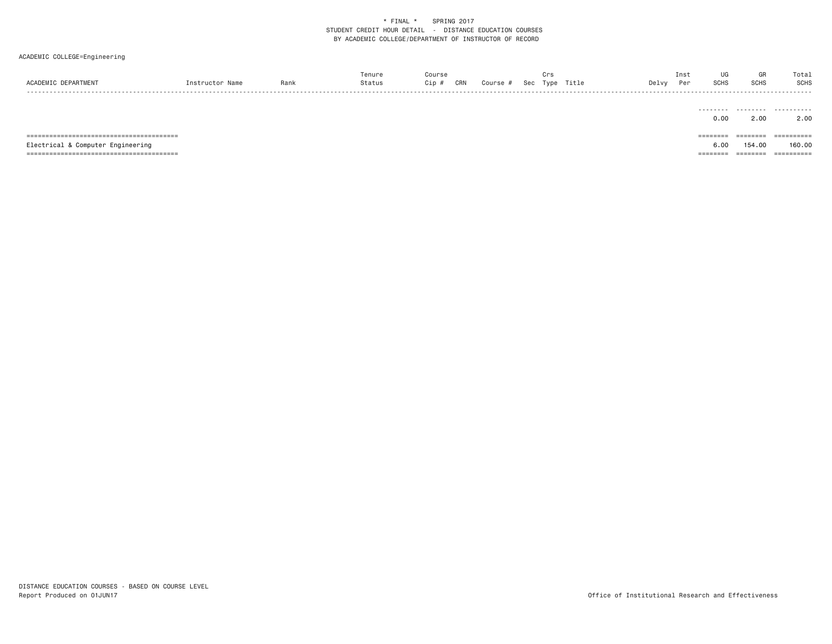| ACADEMIC DEPARTMENT               | Instructor Name | Rank | Tenure<br>Status | Course<br>Cip # | CRN | Course # | Crs | Sec Type Title | Delvy | Inst<br>Per | UG<br><b>SCHS</b> | GR<br><b>SCHS</b>     | Total<br><b>SCHS</b><br>------- |
|-----------------------------------|-----------------|------|------------------|-----------------|-----|----------|-----|----------------|-------|-------------|-------------------|-----------------------|---------------------------------|
|                                   |                 |      |                  |                 |     |          |     |                |       |             | 0.00              | 2.00                  | <br>2.00                        |
|                                   |                 |      |                  |                 |     |          |     |                |       |             | ========          | ---------<br>-------- | ==========                      |
| Electrical & Computer Engineering |                 |      |                  |                 |     |          |     |                |       |             | 6.00              | 154.00                | 160.00                          |
|                                   |                 |      |                  |                 |     |          |     |                |       |             | ======            | ========              | ==========                      |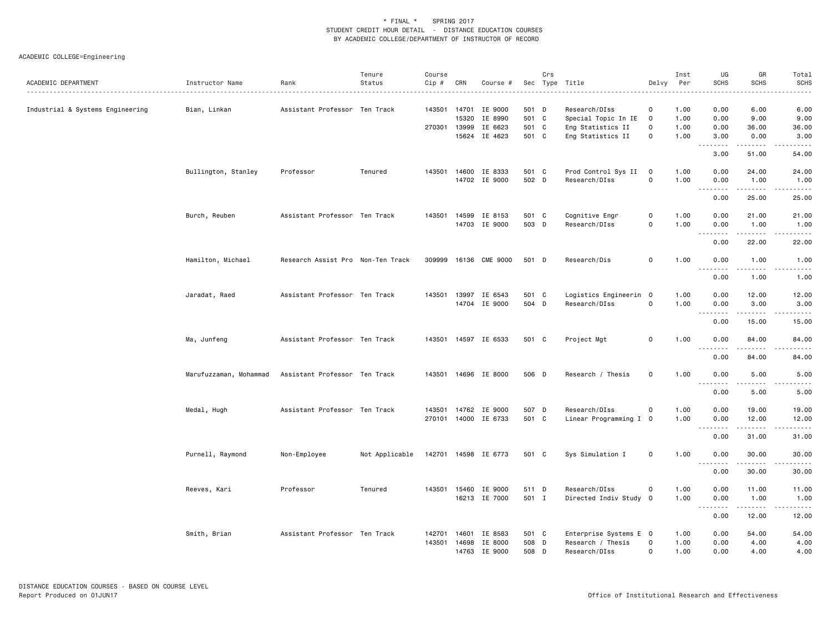|                                  |                        |                                   | Tenure         | Course |       |                       |       | Crs |                        |                | Inst | UG               | GR                     | Total            |
|----------------------------------|------------------------|-----------------------------------|----------------|--------|-------|-----------------------|-------|-----|------------------------|----------------|------|------------------|------------------------|------------------|
| ACADEMIC DEPARTMENT              | Instructor Name        | Rank<br>.                         | Status         | Cip #  | CRN   | Course #              |       |     | Sec Type Title         | Delvy          | Per  | <b>SCHS</b>      | <b>SCHS</b>            | <b>SCHS</b><br>. |
| Industrial & Systems Engineering | Bian, Linkan           | Assistant Professor Ten Track     |                |        |       | 143501 14701 IE 9000  | 501 D |     | Research/DIss          | $\mathbf 0$    | 1.00 | 0.00             | 6.00                   | 6.00             |
|                                  |                        |                                   |                |        | 15320 | IE 8990               | 501 C |     | Special Topic In IE    | $\overline{0}$ | 1.00 | 0.00             | 9.00                   | 9.00             |
|                                  |                        |                                   |                |        |       | 270301 13999 IE 6623  | 501 C |     | Eng Statistics II      | $\mathbf 0$    | 1.00 | 0.00             | 36.00                  | 36.00            |
|                                  |                        |                                   |                |        |       | 15624 IE 4623         | 501 C |     | Eng Statistics II      | 0              | 1.00 | 3.00             | 0.00                   | 3.00             |
|                                  |                        |                                   |                |        |       |                       |       |     |                        |                |      | .<br>3.00        | .<br>51.00             | .<br>54.00       |
|                                  | Bullington, Stanley    | Professor                         | Tenured        | 143501 |       | 14600 IE 8333         | 501 C |     | Prod Control Sys II    | $\mathbf 0$    | 1.00 | 0.00             | 24.00                  | 24.00            |
|                                  |                        |                                   |                |        |       | 14702 IE 9000         | 502 D |     | Research/DIss          | 0              | 1.00 | 0.00             | 1.00                   | 1.00             |
|                                  |                        |                                   |                |        |       |                       |       |     |                        |                |      | .<br>0.00        | .<br>25.00             | .<br>25.00       |
|                                  | Burch, Reuben          | Assistant Professor Ten Track     |                | 143501 | 14599 | IE 8153               | 501 C |     | Cognitive Engr         | 0              | 1.00 | 0.00             | 21.00                  | 21.00            |
|                                  |                        |                                   |                |        |       | 14703 IE 9000         | 503 D |     | Research/DIss          | 0              | 1.00 | 0.00             | 1.00                   | 1.00             |
|                                  |                        |                                   |                |        |       |                       |       |     |                        |                |      | .<br>0.00        | 22.00                  | .<br>22.00       |
|                                  | Hamilton, Michael      | Research Assist Pro Non-Ten Track |                |        |       | 309999 16136 CME 9000 | 501 D |     | Research/Dis           | 0              | 1.00 | 0.00             | 1.00                   | 1.00             |
|                                  |                        |                                   |                |        |       |                       |       |     |                        |                |      | .                | .                      | $\frac{1}{2}$    |
|                                  |                        |                                   |                |        |       |                       |       |     |                        |                |      | 0.00             | 1.00                   | 1.00             |
|                                  | Jaradat, Raed          | Assistant Professor Ten Track     |                | 143501 | 13997 | IE 6543               | 501 C |     | Logistics Engineerin 0 |                | 1.00 | 0.00             | 12.00                  | 12.00            |
|                                  |                        |                                   |                |        |       | 14704 IE 9000         | 504 D |     | Research/DIss          | 0              | 1.00 | 0.00<br>.        | 3.00                   | 3.00             |
|                                  |                        |                                   |                |        |       |                       |       |     |                        |                |      | 0.00             | 15.00                  | 15.00            |
|                                  | Ma, Junfeng            | Assistant Professor Ten Track     |                |        |       | 143501 14597 IE 6533  | 501 C |     | Project Mgt            | $\mathbf 0$    | 1.00 | 0.00             | 84.00                  | 84.00            |
|                                  |                        |                                   |                |        |       |                       |       |     |                        |                |      | .<br>0.00        | $\frac{1}{2}$<br>84.00 | .<br>84.00       |
|                                  |                        |                                   |                |        |       |                       |       |     |                        |                |      |                  |                        |                  |
|                                  | Marufuzzaman, Mohammad | Assistant Professor Ten Track     |                |        |       | 143501 14696 IE 8000  | 506 D |     | Research / Thesis      | $\mathbf 0$    | 1.00 | 0.00<br><u>.</u> | 5.00<br>$\frac{1}{2}$  | 5.00<br>.        |
|                                  |                        |                                   |                |        |       |                       |       |     |                        |                |      | 0.00             | 5.00                   | 5.00             |
|                                  | Medal, Hugh            | Assistant Professor Ten Track     |                | 143501 |       | 14762 IE 9000         | 507 D |     | Research/DIss          | $\mathbf 0$    | 1.00 | 0.00             | 19.00                  | 19.00            |
|                                  |                        |                                   |                |        |       | 270101 14000 IE 6733  | 501 C |     | Linear Programming I 0 |                | 1.00 | 0.00             | 12.00                  | 12.00            |
|                                  |                        |                                   |                |        |       |                       |       |     |                        |                |      | .<br>0.00        | .<br>31.00             | .<br>31.00       |
|                                  | Purnell, Raymond       | Non-Employee                      | Not Applicable |        |       | 142701 14598 IE 6773  | 501 C |     | Sys Simulation I       | $\mathsf{o}$   | 1.00 | 0.00             | 30.00                  | 30.00            |
|                                  |                        |                                   |                |        |       |                       |       |     |                        |                |      | .<br>0.00        | .<br>30.00             | .<br>30.00       |
|                                  |                        | Professor                         | Tenured        |        |       | 143501 15460 IE 9000  | 511 D |     | Research/DIss          | $\mathbf 0$    | 1.00 | 0.00             | 11.00                  | 11.00            |
|                                  | Reeves, Kari           |                                   |                |        |       | 16213 IE 7000         | 501 I |     | Directed Indiv Study 0 |                | 1.00 | 0.00             | 1.00                   | 1.00             |
|                                  |                        |                                   |                |        |       |                       |       |     |                        |                |      | .<br>0.00        | -----<br>12.00         | 12.00            |
|                                  | Smith, Brian           | Assistant Professor Ten Track     |                | 142701 | 14601 | IE 8583               | 501 C |     | Enterprise Systems E 0 |                | 1.00 | 0.00             | 54.00                  | 54.00            |
|                                  |                        |                                   |                | 143501 |       | 14698 IE 8000         | 508 D |     | Research / Thesis      | 0              | 1.00 | 0.00             | 4.00                   | 4.00             |
|                                  |                        |                                   |                |        | 14763 | IE 9000               | 508   | D   | Research/DIss          | $\Omega$       | 1.00 | 0.00             | 4.00                   | 4.00             |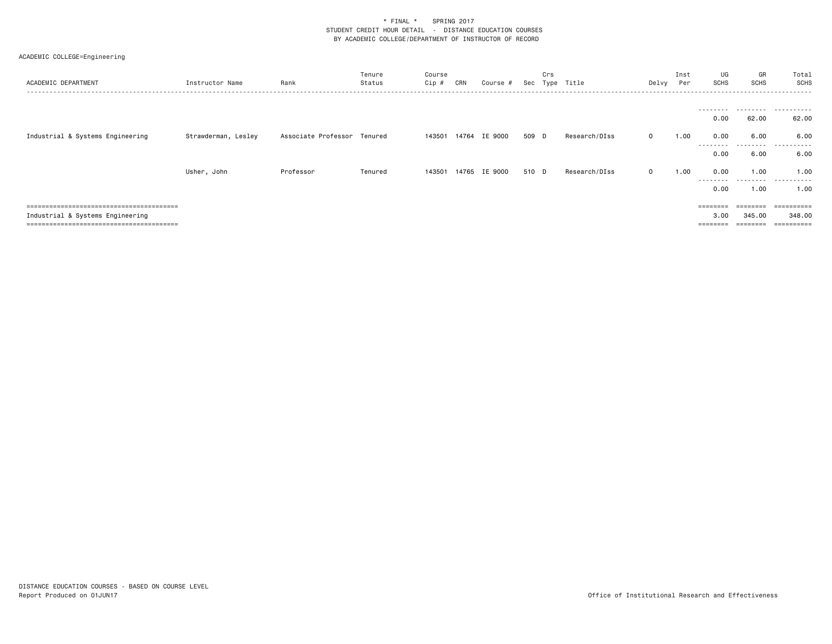| ACADEMIC DEPARTMENT              | Instructor Name     | Rank                        | Tenure<br>Status | Course<br>Cip # | CRN   | Course #      | Sec   | Crs | Type Title    | Delvy        | Inst<br>Per | UG<br>SCHS                | GR<br><b>SCHS</b>  | Total<br>SCHS        |
|----------------------------------|---------------------|-----------------------------|------------------|-----------------|-------|---------------|-------|-----|---------------|--------------|-------------|---------------------------|--------------------|----------------------|
|                                  |                     |                             |                  |                 |       |               |       |     |               |              |             | ---------<br>0.00         | 62.00              | .<br>62.00           |
| Industrial & Systems Engineering | Strawderman, Lesley | Associate Professor Tenured |                  | 143501          | 14764 | IE 9000       | 509 D |     | Research/DIss | $\mathbf{0}$ | 1.00        | 0.00                      | 6.00               | 6.00                 |
|                                  |                     |                             |                  |                 |       |               |       |     |               |              |             | ---------<br>0.00         | .<br>6.00          | .<br>6.00            |
|                                  | Usher, John         | Professor                   | Tenured          | 143501          |       | 14765 IE 9000 | 510 D |     | Research/DIss | $\mathbf{0}$ | 1.00        | 0.00<br>---------<br>0.00 | 1.00<br>.<br>1.00  | 1.00<br>.<br>1.00    |
|                                  |                     |                             |                  |                 |       |               |       |     |               |              |             |                           | --------           | ==========           |
| Industrial & Systems Engineering |                     |                             |                  |                 |       |               |       |     |               |              |             | 3,00<br>=====             | 345,00<br>======== | 348,00<br>========== |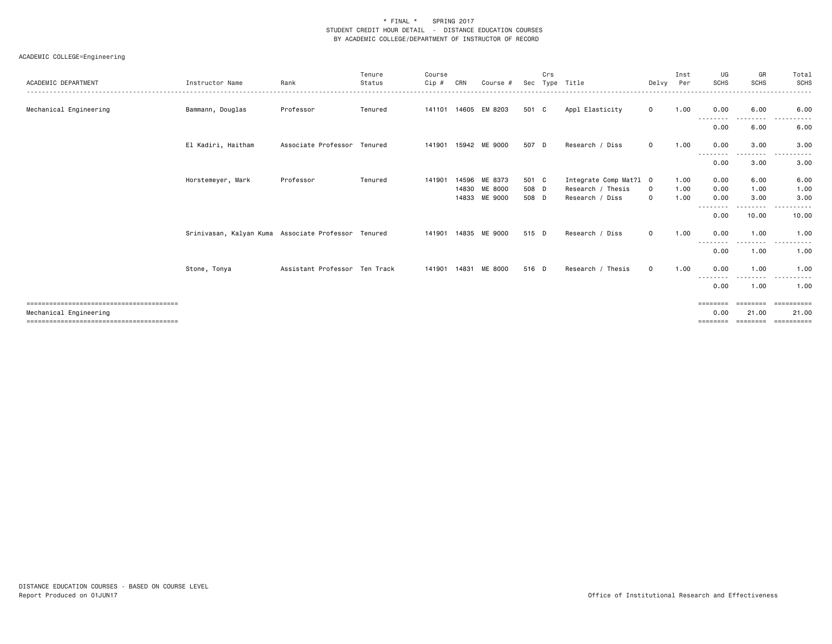| ACADEMIC DEPARTMENT    | Instructor Name                                     | Rank                          | Tenure<br>Status | Course<br>Cip # | CRN   | Course #             | Sec   | Crs | Type Title             | Delvy        | Inst<br>Per | UG<br><b>SCHS</b> | GR<br><b>SCHS</b> | Total<br><b>SCHS</b>                |
|------------------------|-----------------------------------------------------|-------------------------------|------------------|-----------------|-------|----------------------|-------|-----|------------------------|--------------|-------------|-------------------|-------------------|-------------------------------------|
| Mechanical Engineering | Bammann, Douglas                                    | Professor                     | Tenured          |                 |       | 141101 14605 EM 8203 | 501 C |     | Appl Elasticity        | $\mathbf 0$  | 1.00        | 0.00              | 6.00              | . <b>.</b> .<br>6.00                |
|                        |                                                     |                               |                  |                 |       |                      |       |     |                        |              |             | --------<br>0.00  | --------<br>6.00  | .<br>6.00                           |
|                        | El Kadiri, Haitham                                  | Associate Professor Tenured   |                  | 141901          |       | 15942 ME 9000        | 507 D |     | Research / Diss        | $\Omega$     | 1.00        | 0.00              | 3.00<br>--------  | 3.00<br>.                           |
|                        |                                                     |                               |                  |                 |       |                      |       |     |                        |              |             | --------<br>0.00  | 3.00              | 3.00                                |
|                        | Horstemeyer, Mark                                   | Professor                     | Tenured          | 141901          | 14596 | ME 8373              | 501 C |     | Integrate Comp Mat?1 0 |              | 1.00        | 0.00              | 6.00              | 6.00                                |
|                        |                                                     |                               |                  |                 | 14830 | <b>ME 8000</b>       | 508 D |     | Research / Thesis      | $\mathbf 0$  | 1.00        | 0.00              | 1.00              | 1.00                                |
|                        |                                                     |                               |                  |                 |       | 14833 ME 9000        | 508 D |     | Research / Diss        | $\Omega$     | 1.00        | 0.00              | 3.00              | 3.00                                |
|                        |                                                     |                               |                  |                 |       |                      |       |     |                        |              |             | --------<br>0.00  | 10.00             | 10.00                               |
|                        | Srinivasan, Kalyan Kuma Associate Professor Tenured |                               |                  | 141901 14835    |       | ME 9000              | 515 D |     | Research / Diss        | $\mathbf 0$  | 1.00        | 0.00              | 1.00              | 1.00<br>.                           |
|                        |                                                     |                               |                  |                 |       |                      |       |     |                        |              |             | --------<br>0.00  | .<br>1.00         | 1.00                                |
|                        | Stone, Tonya                                        | Assistant Professor Ten Track |                  | 141901 14831    |       | ME 8000              | 516 D |     | Research / Thesis      | $\mathbf{O}$ | 1.00        | 0.00              | 1.00<br>$\cdots$  | 1.00<br>$\sim$ $\sim$ $\sim$ $\sim$ |
|                        |                                                     |                               |                  |                 |       |                      |       |     |                        |              |             | --------<br>0.00  | 1.00              | 1.00                                |
|                        |                                                     |                               |                  |                 |       |                      |       |     |                        |              |             | ========          |                   |                                     |
| Mechanical Engineering |                                                     |                               |                  |                 |       |                      |       |     |                        |              |             | 0.00              | 21.00             | 21,00                               |
|                        |                                                     |                               |                  |                 |       |                      |       |     |                        |              |             | ========          |                   |                                     |